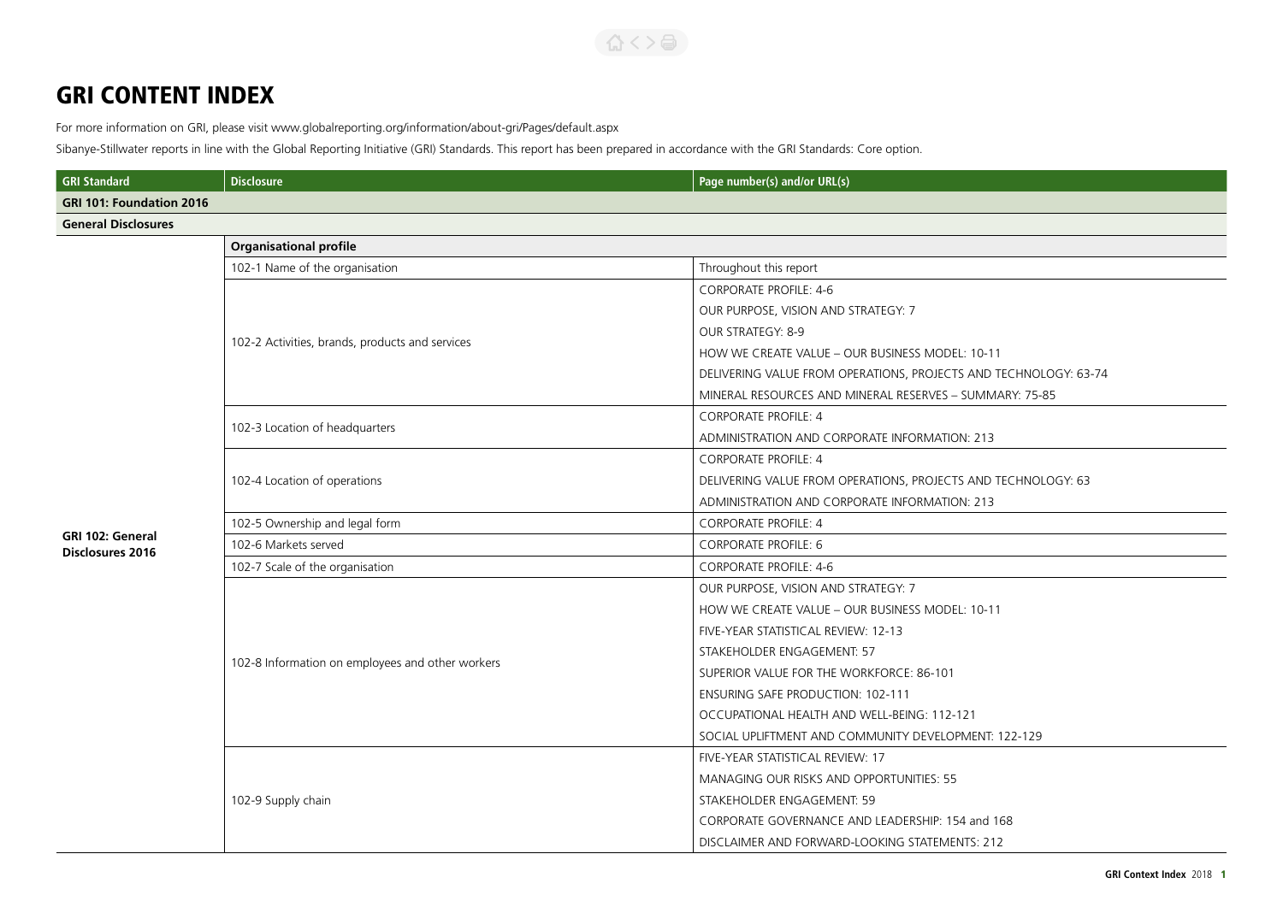# GRI CONTENT INDEX

For more information on GRI, please visit www.globalreporting.org/information/about-gri/Pages/default.aspx

Sibanye-Stillwater reports in line with the Global Reporting Initiative (GRI) Standards. This report has been prepared in accordance with the GRI Standards: Core option.

| <b>GRI Standard</b>                         | <b>Disclosure</b>                                | Page number(s) and/or URL(s)                                     |
|---------------------------------------------|--------------------------------------------------|------------------------------------------------------------------|
| <b>GRI 101: Foundation 2016</b>             |                                                  |                                                                  |
| <b>General Disclosures</b>                  |                                                  |                                                                  |
|                                             | <b>Organisational profile</b>                    |                                                                  |
|                                             | 102-1 Name of the organisation                   | Throughout this report                                           |
|                                             |                                                  | <b>CORPORATE PROFILE: 4-6</b>                                    |
|                                             |                                                  | OUR PURPOSE, VISION AND STRATEGY: 7                              |
|                                             |                                                  | OUR STRATEGY: 8-9                                                |
|                                             | 102-2 Activities, brands, products and services  | HOW WE CREATE VALUE - OUR BUSINESS MODEL: 10-11                  |
|                                             |                                                  | DELIVERING VALUE FROM OPERATIONS, PROJECTS AND TECHNOLOGY: 63-74 |
|                                             |                                                  | MINERAL RESOURCES AND MINERAL RESERVES - SUMMARY: 75-85          |
|                                             | 102-3 Location of headquarters                   | <b>CORPORATE PROFILE: 4</b>                                      |
|                                             |                                                  | ADMINISTRATION AND CORPORATE INFORMATION: 213                    |
|                                             | 102-4 Location of operations                     | <b>CORPORATE PROFILE: 4</b>                                      |
|                                             |                                                  | DELIVERING VALUE FROM OPERATIONS, PROJECTS AND TECHNOLOGY: 63    |
|                                             |                                                  | ADMINISTRATION AND CORPORATE INFORMATION: 213                    |
|                                             | 102-5 Ownership and legal form                   | <b>CORPORATE PROFILE: 4</b>                                      |
| GRI 102: General<br><b>Disclosures 2016</b> | 102-6 Markets served                             | <b>CORPORATE PROFILE: 6</b>                                      |
|                                             | 102-7 Scale of the organisation                  | <b>CORPORATE PROFILE: 4-6</b>                                    |
|                                             | 102-8 Information on employees and other workers | OUR PURPOSE, VISION AND STRATEGY: 7                              |
|                                             |                                                  | HOW WE CREATE VALUE - OUR BUSINESS MODEL: 10-11                  |
|                                             |                                                  | FIVE-YEAR STATISTICAL REVIEW: 12-13                              |
|                                             |                                                  | STAKEHOLDER ENGAGEMENT: 57                                       |
|                                             |                                                  | SUPERIOR VALUE FOR THE WORKFORCE: 86-101                         |
|                                             |                                                  | <b>ENSURING SAFE PRODUCTION: 102-111</b>                         |
|                                             |                                                  | OCCUPATIONAL HEALTH AND WELL-BEING: 112-121                      |
|                                             |                                                  | SOCIAL UPLIFTMENT AND COMMUNITY DEVELOPMENT: 122-129             |
|                                             |                                                  | FIVE-YEAR STATISTICAL REVIEW: 17                                 |
|                                             | 102-9 Supply chain                               | MANAGING OUR RISKS AND OPPORTUNITIES: 55                         |
|                                             |                                                  | STAKEHOLDER ENGAGEMENT: 59                                       |
|                                             |                                                  | CORPORATE GOVERNANCE AND LEADERSHIP: 154 and 168                 |
|                                             |                                                  | DISCLAIMER AND FORWARD-LOOKING STATEMENTS: 212                   |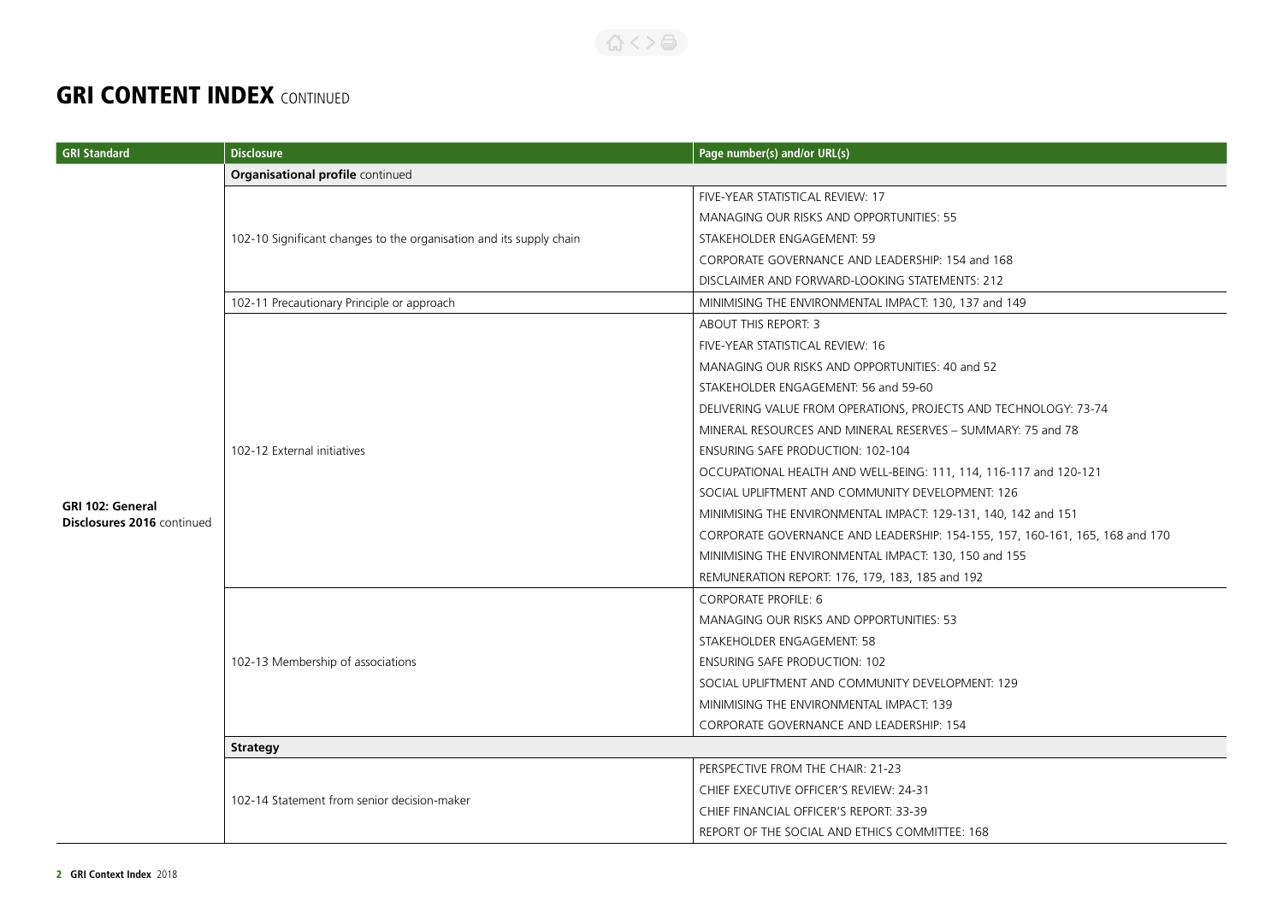合くと高

| <b>GRI Standard</b>                                   | <b>Disclosure</b>                                                   | Page number(s) and/or URL(s)                                                 |  |
|-------------------------------------------------------|---------------------------------------------------------------------|------------------------------------------------------------------------------|--|
|                                                       | Organisational profile continued                                    |                                                                              |  |
|                                                       |                                                                     | FIVE-YEAR STATISTICAL REVIEW: 17                                             |  |
|                                                       |                                                                     | MANAGING OUR RISKS AND OPPORTUNITIES: 55                                     |  |
|                                                       | 102-10 Significant changes to the organisation and its supply chain | STAKEHOLDER ENGAGEMENT: 59                                                   |  |
|                                                       |                                                                     | CORPORATE GOVERNANCE AND LEADERSHIP: 154 and 168                             |  |
|                                                       |                                                                     | DISCLAIMER AND FORWARD-LOOKING STATEMENTS: 212                               |  |
|                                                       | 102-11 Precautionary Principle or approach                          | MINIMISING THE ENVIRONMENTAL IMPACT: 130, 137 and 149                        |  |
|                                                       |                                                                     | ABOUT THIS REPORT: 3                                                         |  |
|                                                       |                                                                     | FIVE-YEAR STATISTICAL REVIEW: 16                                             |  |
|                                                       |                                                                     | MANAGING OUR RISKS AND OPPORTUNITIES: 40 and 52                              |  |
|                                                       |                                                                     | STAKEHOLDER ENGAGEMENT: 56 and 59-60                                         |  |
|                                                       |                                                                     | DELIVERING VALUE FROM OPERATIONS, PROJECTS AND TECHNOLOGY: 73-74             |  |
|                                                       | 102-12 External initiatives                                         | MINERAL RESOURCES AND MINERAL RESERVES - SUMMARY: 75 and 78                  |  |
|                                                       |                                                                     | <b>ENSURING SAFE PRODUCTION: 102-104</b>                                     |  |
|                                                       |                                                                     | OCCUPATIONAL HEALTH AND WELL-BEING: 111, 114, 116-117 and 120-121            |  |
|                                                       |                                                                     | SOCIAL UPLIFTMENT AND COMMUNITY DEVELOPMENT: 126                             |  |
| <b>GRI 102: General</b><br>Disclosures 2016 continued |                                                                     | MINIMISING THE ENVIRONMENTAL IMPACT: 129-131, 140, 142 and 151               |  |
|                                                       |                                                                     | CORPORATE GOVERNANCE AND LEADERSHIP: 154-155, 157, 160-161, 165, 168 and 170 |  |
|                                                       |                                                                     | MINIMISING THE ENVIRONMENTAL IMPACT: 130, 150 and 155                        |  |
|                                                       |                                                                     | REMUNERATION REPORT: 176, 179, 183, 185 and 192                              |  |
|                                                       | 102-13 Membership of associations                                   | <b>CORPORATE PROFILE: 6</b>                                                  |  |
|                                                       |                                                                     | MANAGING OUR RISKS AND OPPORTUNITIES: 53                                     |  |
|                                                       |                                                                     | STAKEHOLDER ENGAGEMENT: 58                                                   |  |
|                                                       |                                                                     | <b>ENSURING SAFE PRODUCTION: 102</b>                                         |  |
|                                                       |                                                                     | SOCIAL UPLIFTMENT AND COMMUNITY DEVELOPMENT: 129                             |  |
|                                                       |                                                                     | MINIMISING THE ENVIRONMENTAL IMPACT: 139                                     |  |
|                                                       |                                                                     | CORPORATE GOVERNANCE AND LEADERSHIP: 154                                     |  |
|                                                       | <b>Strategy</b>                                                     |                                                                              |  |
|                                                       |                                                                     | PERSPECTIVE FROM THE CHAIR: 21-23                                            |  |
|                                                       | 102-14 Statement from senior decision-maker                         | CHIEF EXECUTIVE OFFICER'S REVIEW: 24-31                                      |  |
|                                                       |                                                                     | CHIEF FINANCIAL OFFICER'S REPORT: 33-39                                      |  |
|                                                       |                                                                     | REPORT OF THE SOCIAL AND ETHICS COMMITTEE: 168                               |  |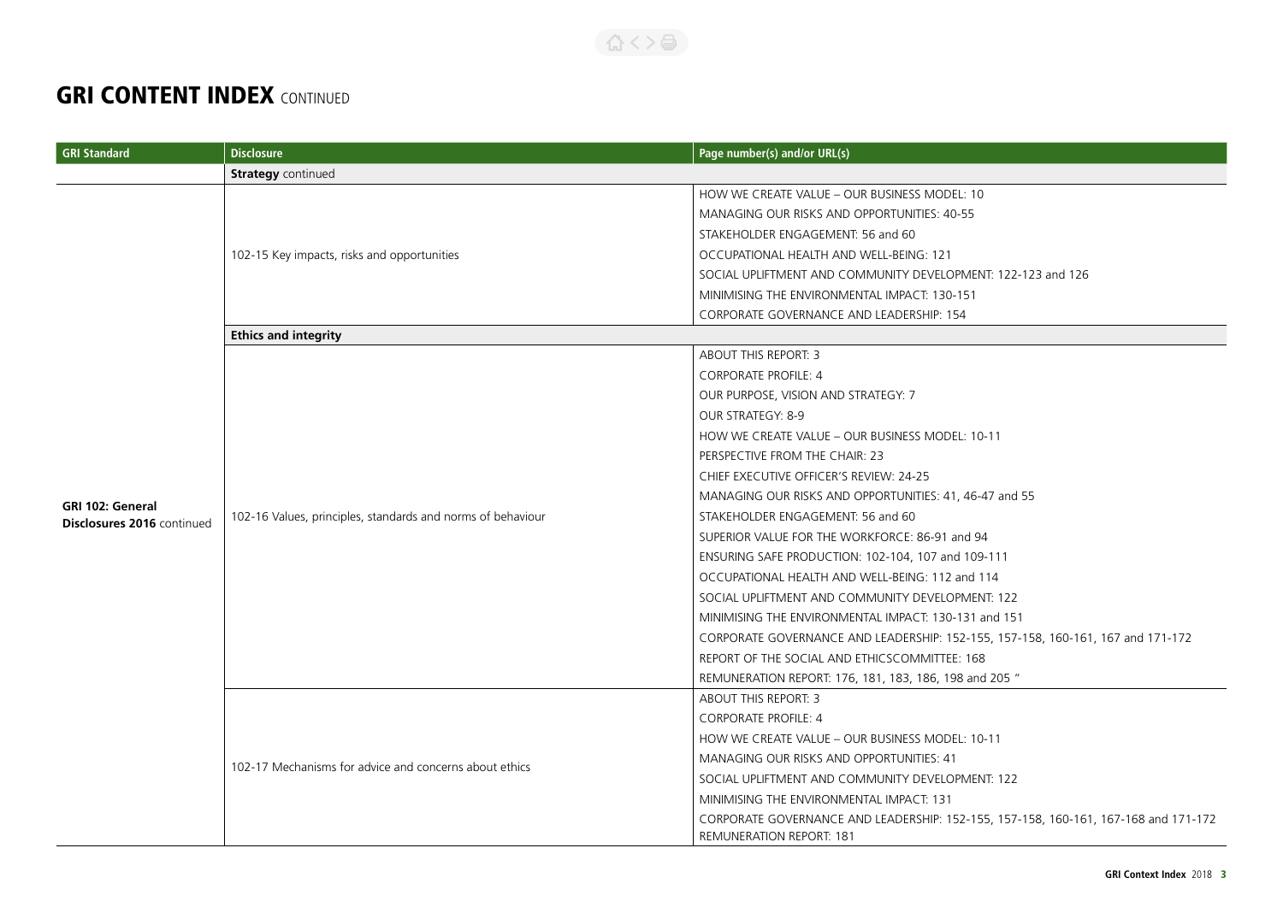| <b>GRI Standard</b>        | <b>Disclosure</b>                                           | Page number(s) and/or URL(s)                                                                                           |  |
|----------------------------|-------------------------------------------------------------|------------------------------------------------------------------------------------------------------------------------|--|
|                            | <b>Strategy</b> continued                                   |                                                                                                                        |  |
|                            |                                                             | HOW WE CREATE VALUE - OUR BUSINESS MODEL: 10                                                                           |  |
|                            |                                                             | MANAGING OUR RISKS AND OPPORTUNITIES: 40-55                                                                            |  |
|                            |                                                             | STAKEHOLDER ENGAGEMENT: 56 and 60                                                                                      |  |
|                            | 102-15 Key impacts, risks and opportunities                 | OCCUPATIONAL HEALTH AND WELL-BEING: 121                                                                                |  |
|                            |                                                             | SOCIAL UPLIFTMENT AND COMMUNITY DEVELOPMENT: 122-123 and 126                                                           |  |
|                            |                                                             | MINIMISING THE ENVIRONMENTAL IMPACT: 130-151                                                                           |  |
|                            |                                                             | CORPORATE GOVERNANCE AND LEADERSHIP: 154                                                                               |  |
|                            | <b>Ethics and integrity</b>                                 |                                                                                                                        |  |
|                            |                                                             | ABOUT THIS REPORT: 3                                                                                                   |  |
|                            |                                                             | <b>CORPORATE PROFILE: 4</b>                                                                                            |  |
|                            |                                                             | OUR PURPOSE, VISION AND STRATEGY: 7                                                                                    |  |
|                            |                                                             | OUR STRATEGY: 8-9                                                                                                      |  |
|                            | 102-16 Values, principles, standards and norms of behaviour | HOW WE CREATE VALUE - OUR BUSINESS MODEL: 10-11                                                                        |  |
|                            |                                                             | PERSPECTIVE FROM THE CHAIR: 23                                                                                         |  |
|                            |                                                             | CHIEF EXECUTIVE OFFICER'S REVIEW: 24-25                                                                                |  |
| <b>GRI 102: General</b>    |                                                             | MANAGING OUR RISKS AND OPPORTUNITIES: 41, 46-47 and 55                                                                 |  |
| Disclosures 2016 continued |                                                             | STAKEHOLDER ENGAGEMENT: 56 and 60                                                                                      |  |
|                            |                                                             | SUPERIOR VALUE FOR THE WORKFORCE: 86-91 and 94                                                                         |  |
|                            |                                                             | ENSURING SAFE PRODUCTION: 102-104, 107 and 109-111                                                                     |  |
|                            |                                                             | OCCUPATIONAL HEALTH AND WELL-BEING: 112 and 114                                                                        |  |
|                            |                                                             | SOCIAL UPLIFTMENT AND COMMUNITY DEVELOPMENT: 122                                                                       |  |
|                            |                                                             | MINIMISING THE ENVIRONMENTAL IMPACT: 130-131 and 151                                                                   |  |
|                            |                                                             | CORPORATE GOVERNANCE AND LEADERSHIP: 152-155, 157-158, 160-161, 167 and 171-172                                        |  |
|                            |                                                             | REPORT OF THE SOCIAL AND ETHICSCOMMITTEE: 168                                                                          |  |
|                            |                                                             | REMUNERATION REPORT: 176, 181, 183, 186, 198 and 205 "                                                                 |  |
|                            |                                                             | ABOUT THIS REPORT: 3                                                                                                   |  |
|                            |                                                             | <b>CORPORATE PROFILE: 4</b>                                                                                            |  |
|                            |                                                             | HOW WE CREATE VALUE - OUR BUSINESS MODEL: 10-11                                                                        |  |
|                            | 102-17 Mechanisms for advice and concerns about ethics      | MANAGING OUR RISKS AND OPPORTUNITIES: 41                                                                               |  |
|                            |                                                             | SOCIAL UPLIFTMENT AND COMMUNITY DEVELOPMENT: 122                                                                       |  |
|                            |                                                             | MINIMISING THE ENVIRONMENTAL IMPACT: 131                                                                               |  |
|                            |                                                             | CORPORATE GOVERNANCE AND LEADERSHIP: 152-155, 157-158, 160-161, 167-168 and 171-172<br><b>REMUNERATION REPORT: 181</b> |  |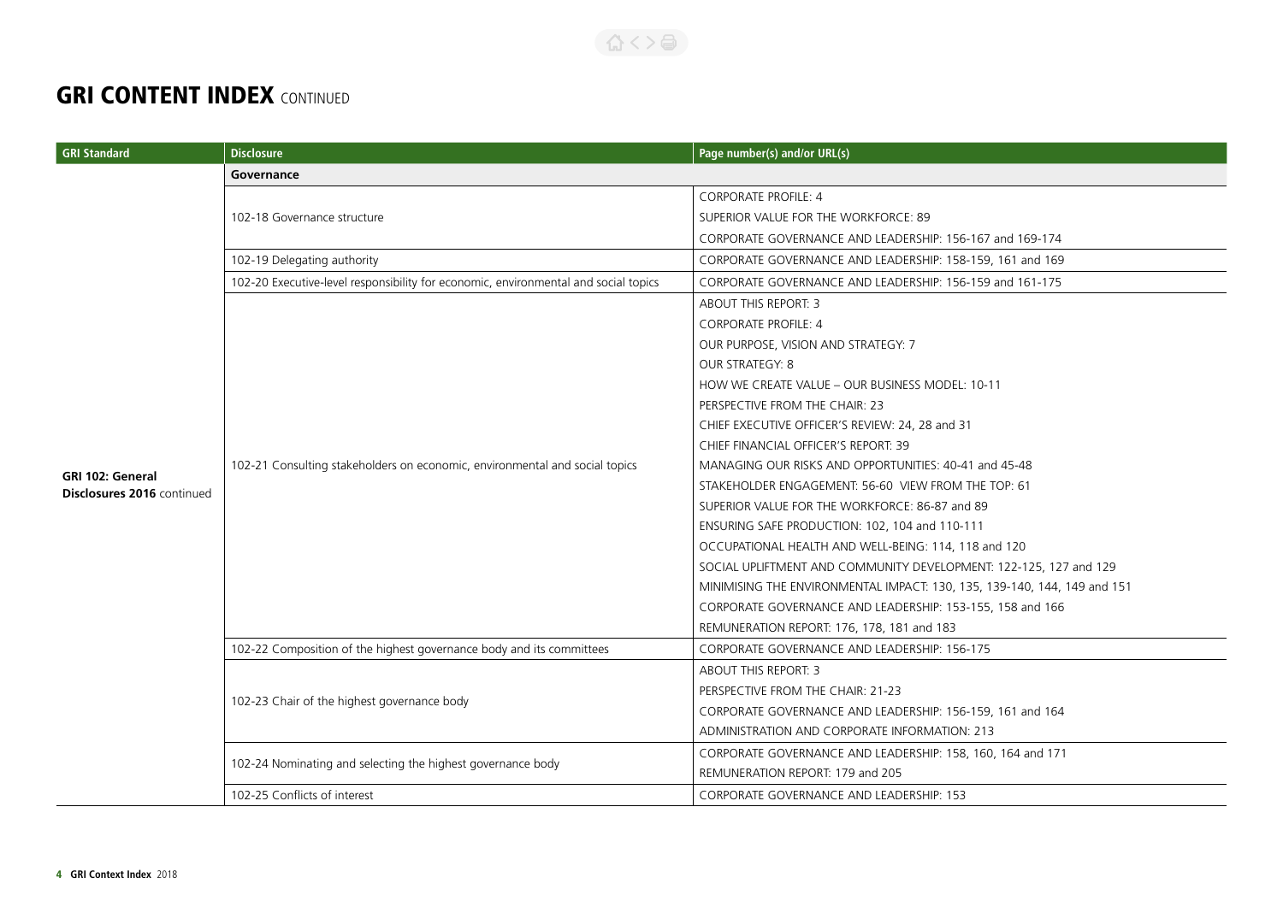| <b>GRI Standard</b>                                   | <b>Disclosure</b>                                                                   | Page number(s) and/or URL(s)                                             |  |
|-------------------------------------------------------|-------------------------------------------------------------------------------------|--------------------------------------------------------------------------|--|
|                                                       | Governance                                                                          |                                                                          |  |
|                                                       |                                                                                     | <b>CORPORATE PROFILE: 4</b>                                              |  |
|                                                       | 102-18 Governance structure                                                         | SUPERIOR VALUE FOR THE WORKFORCE: 89                                     |  |
|                                                       |                                                                                     | CORPORATE GOVERNANCE AND LEADERSHIP: 156-167 and 169-174                 |  |
|                                                       | 102-19 Delegating authority                                                         | CORPORATE GOVERNANCE AND LEADERSHIP: 158-159, 161 and 169                |  |
|                                                       | 102-20 Executive-level responsibility for economic, environmental and social topics | CORPORATE GOVERNANCE AND LEADERSHIP: 156-159 and 161-175                 |  |
|                                                       |                                                                                     | ABOUT THIS REPORT: 3                                                     |  |
|                                                       |                                                                                     | <b>CORPORATE PROFILE: 4</b>                                              |  |
|                                                       |                                                                                     | OUR PURPOSE, VISION AND STRATEGY: 7                                      |  |
|                                                       |                                                                                     | <b>OUR STRATEGY: 8</b>                                                   |  |
|                                                       |                                                                                     | HOW WE CREATE VALUE - OUR BUSINESS MODEL: 10-11                          |  |
|                                                       | 102-21 Consulting stakeholders on economic, environmental and social topics         | PERSPECTIVE FROM THE CHAIR: 23                                           |  |
|                                                       |                                                                                     | CHIEF EXECUTIVE OFFICER'S REVIEW: 24, 28 and 31                          |  |
|                                                       |                                                                                     | CHIEF FINANCIAL OFFICER'S REPORT: 39                                     |  |
|                                                       |                                                                                     | MANAGING OUR RISKS AND OPPORTUNITIES: 40-41 and 45-48                    |  |
| <b>GRI 102: General</b><br>Disclosures 2016 continued |                                                                                     | STAKEHOLDER ENGAGEMENT: 56-60 VIEW FROM THE TOP: 61                      |  |
|                                                       |                                                                                     | SUPERIOR VALUE FOR THE WORKFORCE: 86-87 and 89                           |  |
|                                                       |                                                                                     | ENSURING SAFE PRODUCTION: 102, 104 and 110-111                           |  |
|                                                       |                                                                                     | OCCUPATIONAL HEALTH AND WELL-BEING: 114, 118 and 120                     |  |
|                                                       |                                                                                     | SOCIAL UPLIFTMENT AND COMMUNITY DEVELOPMENT: 122-125, 127 and 129        |  |
|                                                       |                                                                                     | MINIMISING THE ENVIRONMENTAL IMPACT: 130, 135, 139-140, 144, 149 and 151 |  |
|                                                       |                                                                                     | CORPORATE GOVERNANCE AND LEADERSHIP: 153-155, 158 and 166                |  |
|                                                       |                                                                                     | REMUNERATION REPORT: 176, 178, 181 and 183                               |  |
|                                                       | 102-22 Composition of the highest governance body and its committees                | CORPORATE GOVERNANCE AND LEADERSHIP: 156-175                             |  |
|                                                       |                                                                                     | <b>ABOUT THIS REPORT: 3</b>                                              |  |
|                                                       |                                                                                     | PERSPECTIVE FROM THE CHAIR: 21-23                                        |  |
|                                                       | 102-23 Chair of the highest governance body                                         | CORPORATE GOVERNANCE AND LEADERSHIP: 156-159, 161 and 164                |  |
|                                                       |                                                                                     | ADMINISTRATION AND CORPORATE INFORMATION: 213                            |  |
|                                                       | 102-24 Nominating and selecting the highest governance body                         | CORPORATE GOVERNANCE AND LEADERSHIP: 158, 160, 164 and 171               |  |
|                                                       |                                                                                     | REMUNERATION REPORT: 179 and 205                                         |  |
|                                                       | 102-25 Conflicts of interest                                                        | CORPORATE GOVERNANCE AND LEADERSHIP: 153                                 |  |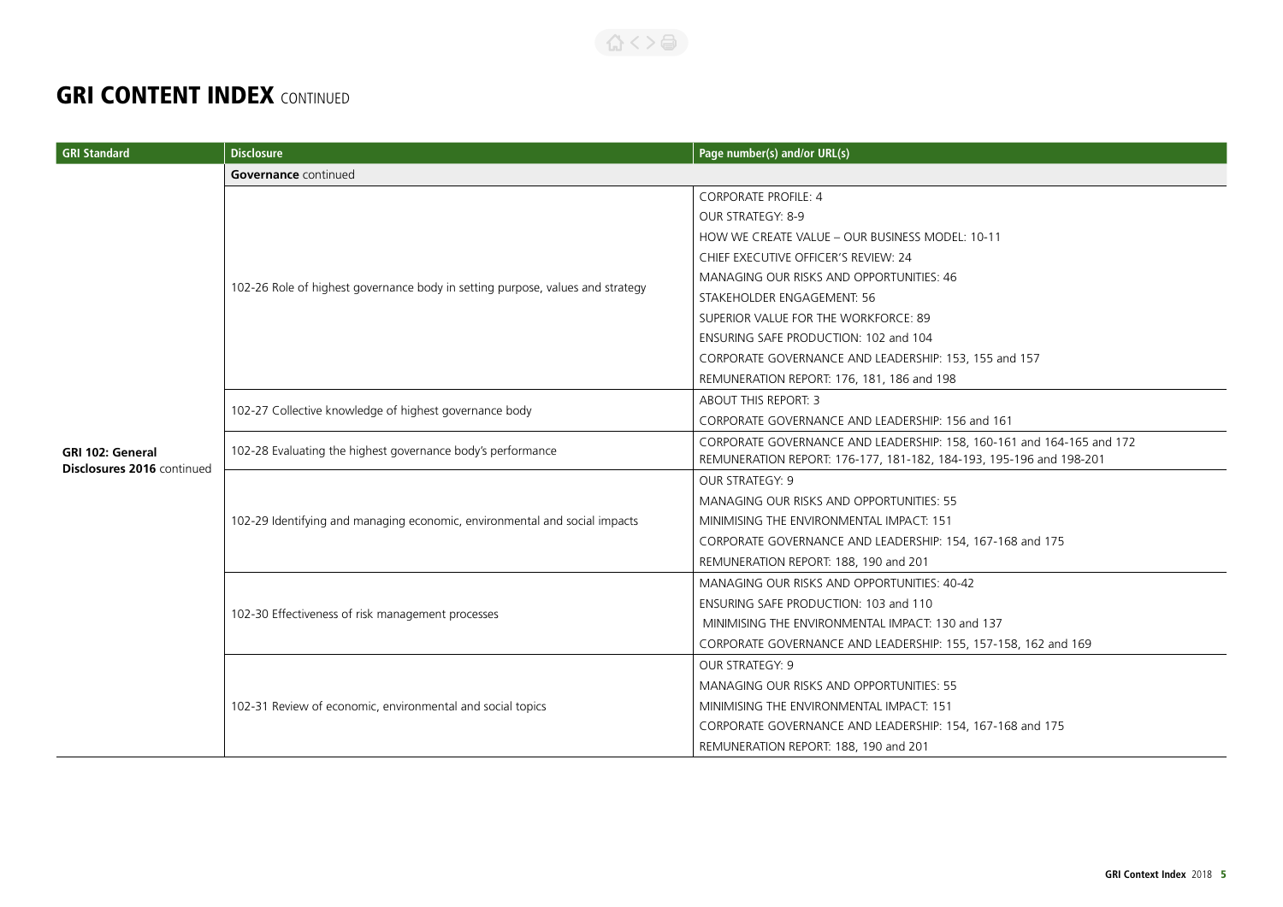| <b>GRI Standard</b>        | <b>Disclosure</b>                                                              | Page number(s) and/or URL(s)                                          |  |
|----------------------------|--------------------------------------------------------------------------------|-----------------------------------------------------------------------|--|
|                            | <b>Governance</b> continued                                                    |                                                                       |  |
|                            |                                                                                | <b>CORPORATE PROFILE: 4</b>                                           |  |
|                            |                                                                                | OUR STRATEGY: 8-9                                                     |  |
|                            |                                                                                | HOW WE CREATE VALUE - OUR BUSINESS MODEL: 10-11                       |  |
|                            |                                                                                | CHIEF EXECUTIVE OFFICER'S REVIEW: 24                                  |  |
|                            |                                                                                | MANAGING OUR RISKS AND OPPORTUNITIES: 46                              |  |
|                            | 102-26 Role of highest governance body in setting purpose, values and strategy | STAKEHOLDER ENGAGEMENT: 56                                            |  |
|                            |                                                                                | SUPERIOR VALUE FOR THE WORKFORCE: 89                                  |  |
|                            |                                                                                | ENSURING SAFE PRODUCTION: 102 and 104                                 |  |
|                            |                                                                                | CORPORATE GOVERNANCE AND LEADERSHIP: 153, 155 and 157                 |  |
|                            |                                                                                | REMUNERATION REPORT: 176, 181, 186 and 198                            |  |
|                            | 102-27 Collective knowledge of highest governance body                         | <b>ABOUT THIS REPORT: 3</b>                                           |  |
|                            |                                                                                | CORPORATE GOVERNANCE AND LEADERSHIP: 156 and 161                      |  |
| GRI 102: General           | 102-28 Evaluating the highest governance body's performance                    | CORPORATE GOVERNANCE AND LEADERSHIP: 158, 160-161 and 164-165 and 172 |  |
| Disclosures 2016 continued |                                                                                | REMUNERATION REPORT: 176-177, 181-182, 184-193, 195-196 and 198-201   |  |
|                            |                                                                                | <b>OUR STRATEGY: 9</b>                                                |  |
|                            |                                                                                | MANAGING OUR RISKS AND OPPORTUNITIES: 55                              |  |
|                            | 102-29 Identifying and managing economic, environmental and social impacts     | MINIMISING THE ENVIRONMENTAL IMPACT: 151                              |  |
|                            |                                                                                | CORPORATE GOVERNANCE AND LEADERSHIP: 154, 167-168 and 175             |  |
|                            |                                                                                | REMUNERATION REPORT: 188, 190 and 201                                 |  |
|                            | 102-30 Effectiveness of risk management processes                              | MANAGING OUR RISKS AND OPPORTUNITIES: 40-42                           |  |
|                            |                                                                                | ENSURING SAFE PRODUCTION: 103 and 110                                 |  |
|                            |                                                                                | MINIMISING THE ENVIRONMENTAL IMPACT: 130 and 137                      |  |
|                            |                                                                                | CORPORATE GOVERNANCE AND LEADERSHIP: 155, 157-158, 162 and 169        |  |
|                            |                                                                                | <b>OUR STRATEGY: 9</b>                                                |  |
|                            | 102-31 Review of economic, environmental and social topics                     | MANAGING OUR RISKS AND OPPORTUNITIES: 55                              |  |
|                            |                                                                                | MINIMISING THE ENVIRONMENTAL IMPACT: 151                              |  |
|                            |                                                                                | CORPORATE GOVERNANCE AND LEADERSHIP: 154, 167-168 and 175             |  |
|                            |                                                                                | REMUNERATION REPORT: 188, 190 and 201                                 |  |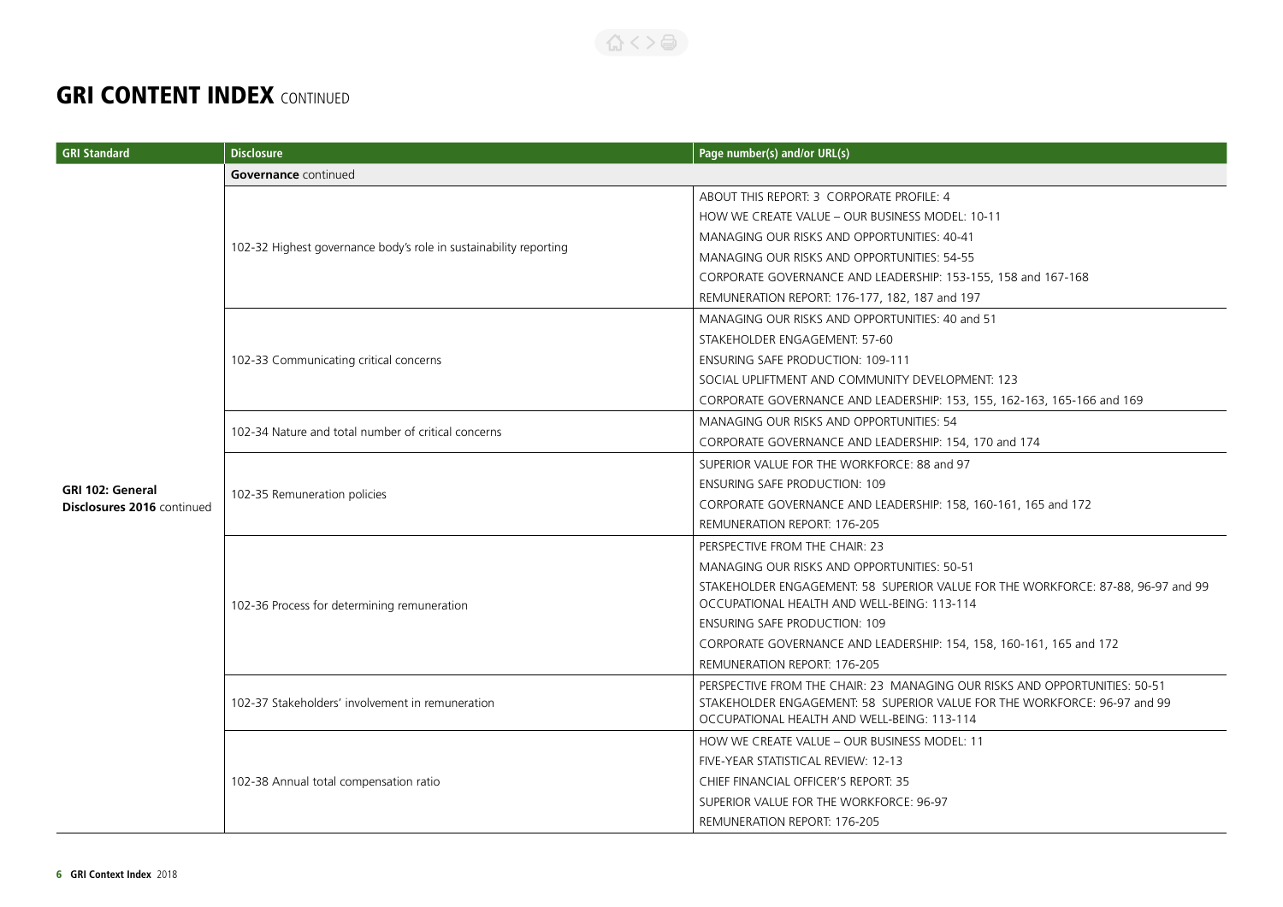| <b>GRI Standard</b>               | <b>Disclosure</b>                                                 | Page number(s) and/or URL(s)                                                                                                                                                                                                                                                                                                                                                                                                                                                                                                       |  |
|-----------------------------------|-------------------------------------------------------------------|------------------------------------------------------------------------------------------------------------------------------------------------------------------------------------------------------------------------------------------------------------------------------------------------------------------------------------------------------------------------------------------------------------------------------------------------------------------------------------------------------------------------------------|--|
|                                   | <b>Governance</b> continued                                       |                                                                                                                                                                                                                                                                                                                                                                                                                                                                                                                                    |  |
|                                   |                                                                   | ABOUT THIS REPORT: 3 CORPORATE PROFILE: 4                                                                                                                                                                                                                                                                                                                                                                                                                                                                                          |  |
|                                   |                                                                   | HOW WE CREATE VALUE - OUR BUSINESS MODEL: 10-11                                                                                                                                                                                                                                                                                                                                                                                                                                                                                    |  |
|                                   |                                                                   | MANAGING OUR RISKS AND OPPORTUNITIES: 40-41                                                                                                                                                                                                                                                                                                                                                                                                                                                                                        |  |
|                                   | 102-32 Highest governance body's role in sustainability reporting | MANAGING OUR RISKS AND OPPORTUNITIES: 54-55                                                                                                                                                                                                                                                                                                                                                                                                                                                                                        |  |
|                                   |                                                                   | CORPORATE GOVERNANCE AND LEADERSHIP: 153-155, 158 and 167-168                                                                                                                                                                                                                                                                                                                                                                                                                                                                      |  |
|                                   |                                                                   | REMUNERATION REPORT: 176-177, 182, 187 and 197                                                                                                                                                                                                                                                                                                                                                                                                                                                                                     |  |
|                                   |                                                                   | MANAGING OUR RISKS AND OPPORTUNITIES: 40 and 51                                                                                                                                                                                                                                                                                                                                                                                                                                                                                    |  |
|                                   |                                                                   | STAKEHOLDER ENGAGEMENT: 57-60                                                                                                                                                                                                                                                                                                                                                                                                                                                                                                      |  |
|                                   | 102-33 Communicating critical concerns                            | ENSURING SAFE PRODUCTION: 109-111                                                                                                                                                                                                                                                                                                                                                                                                                                                                                                  |  |
|                                   |                                                                   | SOCIAL UPLIFTMENT AND COMMUNITY DEVELOPMENT: 123                                                                                                                                                                                                                                                                                                                                                                                                                                                                                   |  |
|                                   |                                                                   | CORPORATE GOVERNANCE AND LEADERSHIP: 153, 155, 162-163, 165-166 and 169                                                                                                                                                                                                                                                                                                                                                                                                                                                            |  |
|                                   | 102-34 Nature and total number of critical concerns               | MANAGING OUR RISKS AND OPPORTUNITIES: 54                                                                                                                                                                                                                                                                                                                                                                                                                                                                                           |  |
|                                   |                                                                   | CORPORATE GOVERNANCE AND LEADERSHIP: 154, 170 and 174                                                                                                                                                                                                                                                                                                                                                                                                                                                                              |  |
|                                   |                                                                   | SUPERIOR VALUE FOR THE WORKFORCE: 88 and 97                                                                                                                                                                                                                                                                                                                                                                                                                                                                                        |  |
| GRI 102: General                  | 102-35 Remuneration policies                                      | <b>ENSURING SAFE PRODUCTION: 109</b>                                                                                                                                                                                                                                                                                                                                                                                                                                                                                               |  |
| <b>Disclosures 2016</b> continued |                                                                   | CORPORATE GOVERNANCE AND LEADERSHIP: 158, 160-161, 165 and 172                                                                                                                                                                                                                                                                                                                                                                                                                                                                     |  |
|                                   |                                                                   | REMUNERATION REPORT: 176-205                                                                                                                                                                                                                                                                                                                                                                                                                                                                                                       |  |
|                                   |                                                                   | PERSPECTIVE FROM THE CHAIR: 23                                                                                                                                                                                                                                                                                                                                                                                                                                                                                                     |  |
|                                   |                                                                   | MANAGING OUR RISKS AND OPPORTUNITIES: 50-51                                                                                                                                                                                                                                                                                                                                                                                                                                                                                        |  |
|                                   |                                                                   | STAKEHOLDER ENGAGEMENT: 58 SUPERIOR VALUE FOR THE WORKFORCE: 87-88, 96-97 and 99                                                                                                                                                                                                                                                                                                                                                                                                                                                   |  |
|                                   | 102-36 Process for determining remuneration                       |                                                                                                                                                                                                                                                                                                                                                                                                                                                                                                                                    |  |
|                                   |                                                                   | <b>ENSURING SAFE PRODUCTION: 109</b>                                                                                                                                                                                                                                                                                                                                                                                                                                                                                               |  |
|                                   |                                                                   |                                                                                                                                                                                                                                                                                                                                                                                                                                                                                                                                    |  |
|                                   |                                                                   |                                                                                                                                                                                                                                                                                                                                                                                                                                                                                                                                    |  |
|                                   |                                                                   |                                                                                                                                                                                                                                                                                                                                                                                                                                                                                                                                    |  |
|                                   |                                                                   |                                                                                                                                                                                                                                                                                                                                                                                                                                                                                                                                    |  |
|                                   |                                                                   |                                                                                                                                                                                                                                                                                                                                                                                                                                                                                                                                    |  |
|                                   | 102-38 Annual total compensation ratio                            |                                                                                                                                                                                                                                                                                                                                                                                                                                                                                                                                    |  |
|                                   |                                                                   |                                                                                                                                                                                                                                                                                                                                                                                                                                                                                                                                    |  |
|                                   |                                                                   | SUPERIOR VALUE FOR THE WORKFORCE: 96-97                                                                                                                                                                                                                                                                                                                                                                                                                                                                                            |  |
|                                   |                                                                   |                                                                                                                                                                                                                                                                                                                                                                                                                                                                                                                                    |  |
|                                   | 102-37 Stakeholders' involvement in remuneration                  | OCCUPATIONAL HEALTH AND WELL-BEING: 113-114<br>CORPORATE GOVERNANCE AND LEADERSHIP: 154, 158, 160-161, 165 and 172<br>REMUNERATION REPORT: 176-205<br>PERSPECTIVE FROM THE CHAIR: 23 MANAGING OUR RISKS AND OPPORTUNITIES: 50-51<br>STAKEHOLDER ENGAGEMENT: 58 SUPERIOR VALUE FOR THE WORKFORCE: 96-97 and 99<br>OCCUPATIONAL HEALTH AND WELL-BEING: 113-114<br>HOW WE CREATE VALUE - OUR BUSINESS MODEL: 11<br>FIVE-YEAR STATISTICAL REVIEW: 12-13<br>CHIEF FINANCIAL OFFICER'S REPORT: 35<br><b>REMUNERATION REPORT: 176-205</b> |  |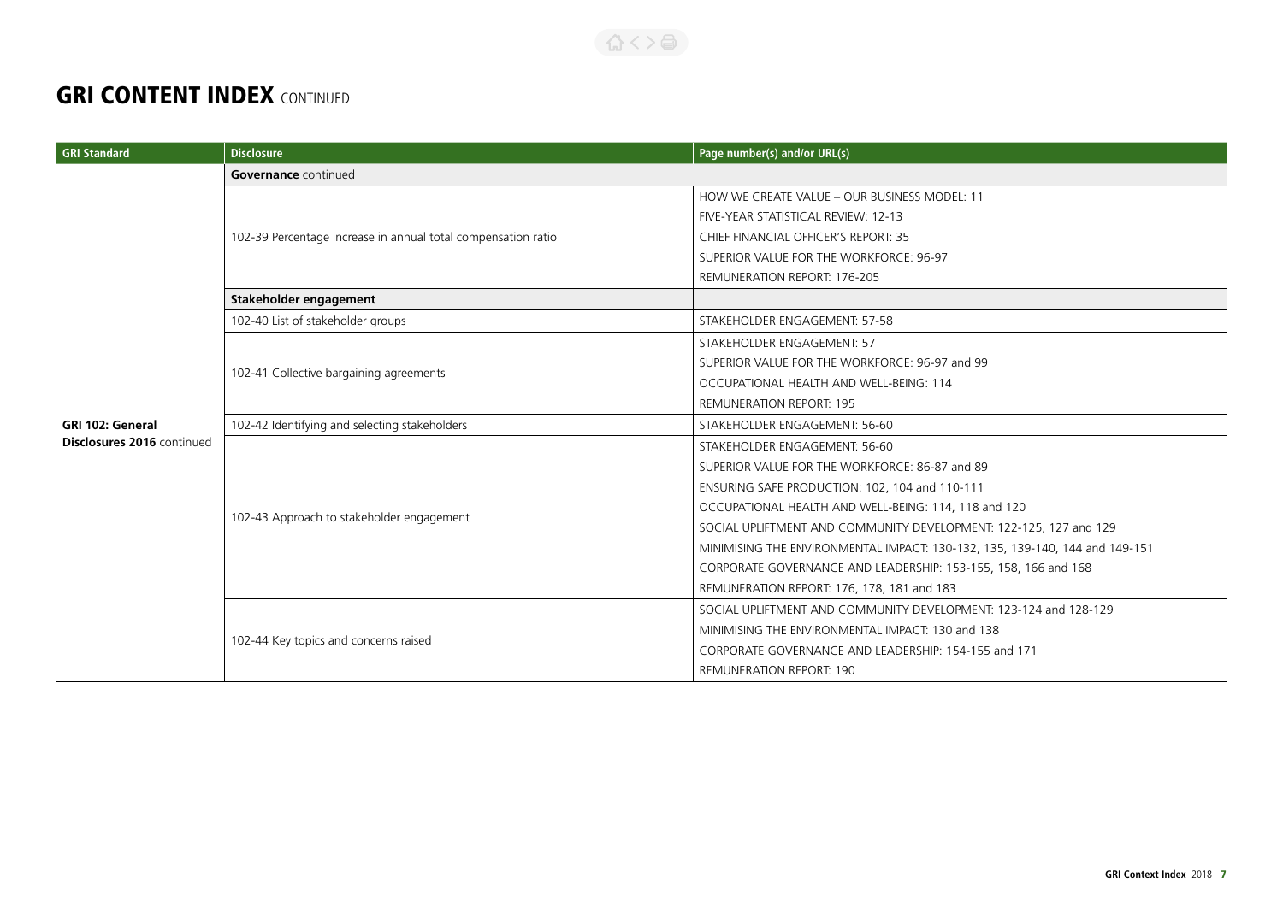#### 合くと高

| <b>GRI Standard</b>        | <b>Disclosure</b>                                             | Page number(s) and/or URL(s)                                                |  |
|----------------------------|---------------------------------------------------------------|-----------------------------------------------------------------------------|--|
|                            | Governance continued                                          |                                                                             |  |
|                            |                                                               | HOW WE CREATE VALUE - OUR BUSINESS MODEL: 11                                |  |
|                            |                                                               | FIVE-YEAR STATISTICAL REVIEW: 12-13                                         |  |
|                            | 102-39 Percentage increase in annual total compensation ratio | CHIEF FINANCIAL OFFICER'S REPORT: 35                                        |  |
|                            |                                                               | SUPERIOR VALUE FOR THE WORKFORCE: 96-97                                     |  |
|                            |                                                               | <b>REMUNERATION REPORT: 176-205</b>                                         |  |
|                            | Stakeholder engagement                                        |                                                                             |  |
|                            | 102-40 List of stakeholder groups                             | STAKEHOLDER ENGAGEMENT: 57-58                                               |  |
|                            |                                                               | STAKEHOLDER ENGAGEMENT: 57                                                  |  |
|                            | 102-41 Collective bargaining agreements                       | SUPERIOR VALUE FOR THE WORKFORCE: 96-97 and 99                              |  |
|                            |                                                               | OCCUPATIONAL HEALTH AND WELL-BEING: 114                                     |  |
|                            |                                                               | <b>REMUNERATION REPORT: 195</b>                                             |  |
| <b>GRI 102: General</b>    | 102-42 Identifying and selecting stakeholders                 | STAKEHOLDER ENGAGEMENT: 56-60                                               |  |
| Disclosures 2016 continued | 102-43 Approach to stakeholder engagement                     | STAKEHOLDER ENGAGEMENT: 56-60                                               |  |
|                            |                                                               | SUPERIOR VALUE FOR THE WORKFORCE: 86-87 and 89                              |  |
|                            |                                                               | ENSURING SAFE PRODUCTION: 102, 104 and 110-111                              |  |
|                            |                                                               | OCCUPATIONAL HEALTH AND WELL-BEING: 114, 118 and 120                        |  |
|                            |                                                               | SOCIAL UPLIFTMENT AND COMMUNITY DEVELOPMENT: 122-125, 127 and 129           |  |
|                            |                                                               | MINIMISING THE ENVIRONMENTAL IMPACT: 130-132, 135, 139-140, 144 and 149-151 |  |
|                            |                                                               | CORPORATE GOVERNANCE AND LEADERSHIP: 153-155, 158, 166 and 168              |  |
|                            |                                                               | REMUNERATION REPORT: 176, 178, 181 and 183                                  |  |
|                            | 102-44 Key topics and concerns raised                         | SOCIAL UPLIFTMENT AND COMMUNITY DEVELOPMENT: 123-124 and 128-129            |  |
|                            |                                                               | MINIMISING THE ENVIRONMENTAL IMPACT: 130 and 138                            |  |
|                            |                                                               | CORPORATE GOVERNANCE AND LEADERSHIP: 154-155 and 171                        |  |
|                            |                                                               | <b>REMUNERATION REPORT: 190</b>                                             |  |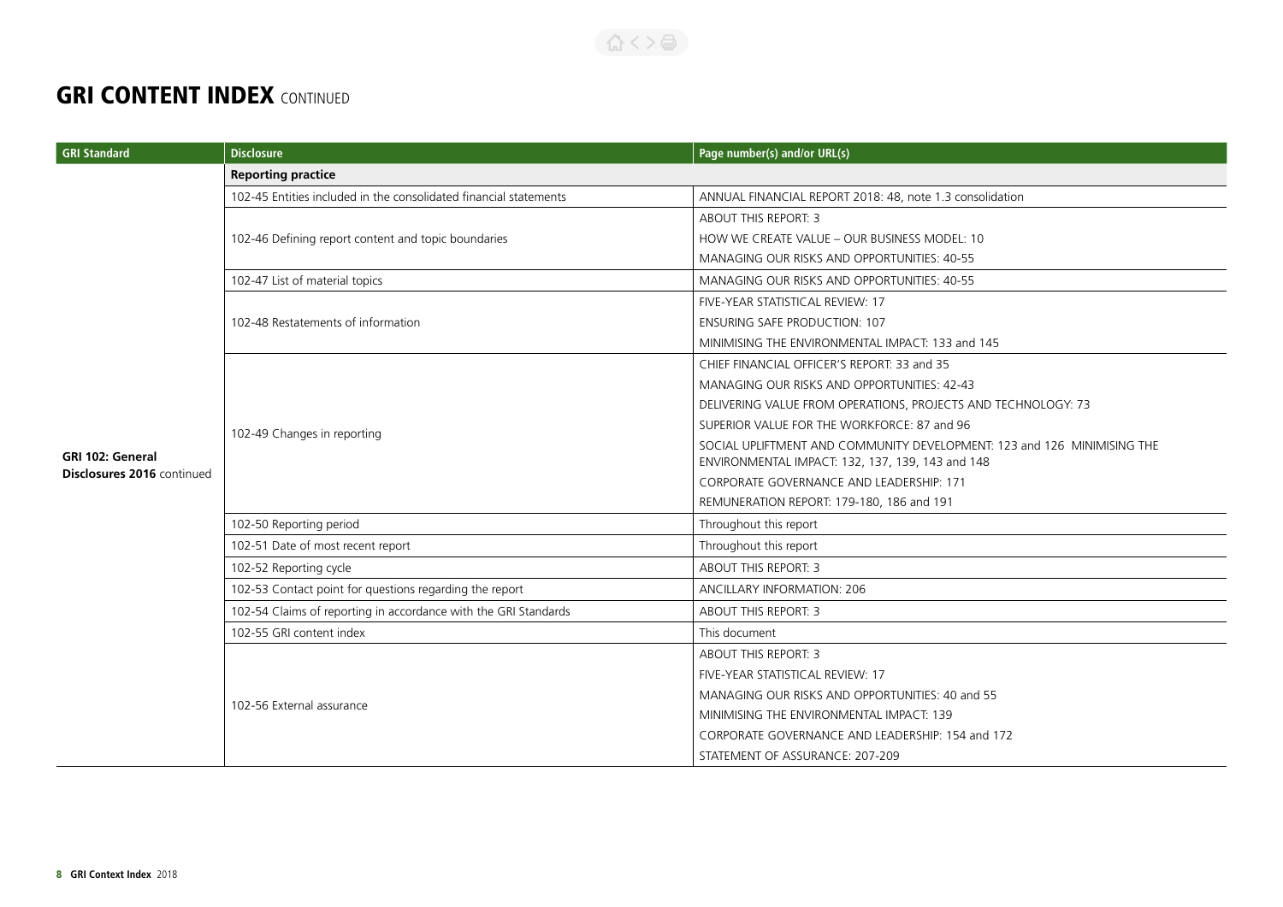#### 公く>台

| <b>GRI Standard</b>        | <b>Disclosure</b>                                                 | Page number(s) and/or URL(s)                                            |  |
|----------------------------|-------------------------------------------------------------------|-------------------------------------------------------------------------|--|
|                            | <b>Reporting practice</b>                                         |                                                                         |  |
|                            | 102-45 Entities included in the consolidated financial statements | ANNUAL FINANCIAL REPORT 2018: 48, note 1.3 consolidation                |  |
|                            |                                                                   | ABOUT THIS REPORT: 3                                                    |  |
|                            | 102-46 Defining report content and topic boundaries               | HOW WE CREATE VALUE - OUR BUSINESS MODEL: 10                            |  |
|                            |                                                                   | MANAGING OUR RISKS AND OPPORTUNITIES: 40-55                             |  |
|                            | 102-47 List of material topics                                    | MANAGING OUR RISKS AND OPPORTUNITIES: 40-55                             |  |
|                            |                                                                   | FIVE-YEAR STATISTICAL REVIEW: 17                                        |  |
|                            | 102-48 Restatements of information                                | <b>ENSURING SAFE PRODUCTION: 107</b>                                    |  |
|                            |                                                                   | MINIMISING THE ENVIRONMENTAL IMPACT: 133 and 145                        |  |
|                            |                                                                   | CHIEF FINANCIAL OFFICER'S REPORT: 33 and 35                             |  |
|                            |                                                                   | MANAGING OUR RISKS AND OPPORTUNITIES: 42-43                             |  |
|                            | 102-49 Changes in reporting                                       | DELIVERING VALUE FROM OPERATIONS, PROJECTS AND TECHNOLOGY: 73           |  |
|                            |                                                                   | SUPERIOR VALUE FOR THE WORKFORCE: 87 and 96                             |  |
| <b>GRI 102: General</b>    |                                                                   | SOCIAL UPLIFTMENT AND COMMUNITY DEVELOPMENT: 123 and 126 MINIMISING THE |  |
| Disclosures 2016 continued |                                                                   | ENVIRONMENTAL IMPACT: 132, 137, 139, 143 and 148                        |  |
|                            |                                                                   | CORPORATE GOVERNANCE AND LEADERSHIP: 171                                |  |
|                            |                                                                   | REMUNERATION REPORT: 179-180, 186 and 191                               |  |
|                            | 102-50 Reporting period                                           | Throughout this report                                                  |  |
|                            | 102-51 Date of most recent report                                 | Throughout this report                                                  |  |
|                            | 102-52 Reporting cycle                                            | <b>ABOUT THIS REPORT: 3</b>                                             |  |
|                            | 102-53 Contact point for questions regarding the report           | ANCILLARY INFORMATION: 206                                              |  |
|                            | 102-54 Claims of reporting in accordance with the GRI Standards   | <b>ABOUT THIS REPORT: 3</b>                                             |  |
|                            | 102-55 GRI content index                                          | This document                                                           |  |
|                            |                                                                   | ABOUT THIS REPORT: 3                                                    |  |
|                            |                                                                   | FIVE-YEAR STATISTICAL REVIEW: 17                                        |  |
|                            | 102-56 External assurance                                         | MANAGING OUR RISKS AND OPPORTUNITIES: 40 and 55                         |  |
|                            |                                                                   | MINIMISING THE ENVIRONMENTAL IMPACT: 139                                |  |
|                            |                                                                   | CORPORATE GOVERNANCE AND LEADERSHIP: 154 and 172                        |  |
|                            |                                                                   | STATEMENT OF ASSURANCE: 207-209                                         |  |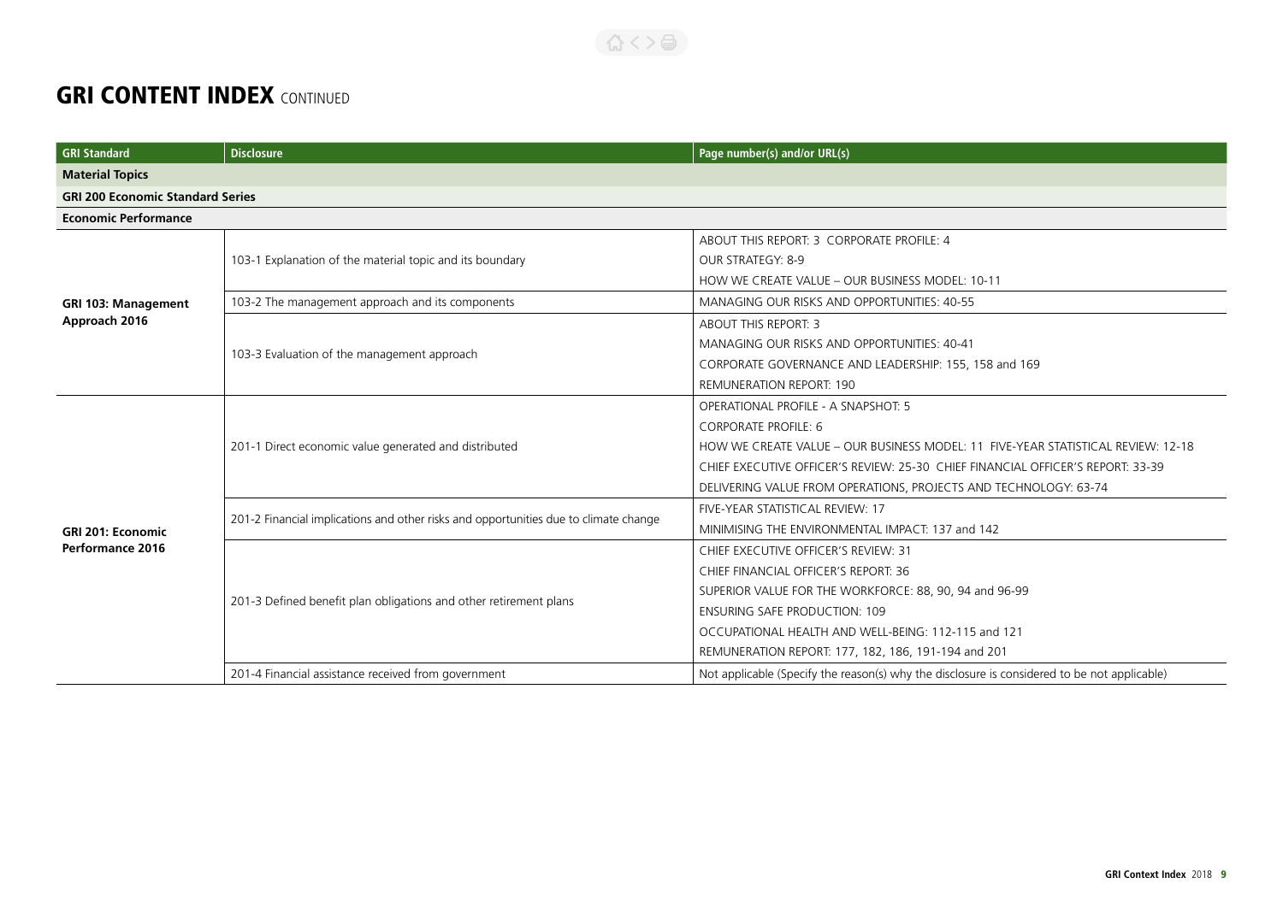| <b>GRI</b> Standard                     | <b>Disclosure</b>                                                                    | Page number(s) and/or URL(s)                                                                 |
|-----------------------------------------|--------------------------------------------------------------------------------------|----------------------------------------------------------------------------------------------|
| <b>Material Topics</b>                  |                                                                                      |                                                                                              |
| <b>GRI 200 Economic Standard Series</b> |                                                                                      |                                                                                              |
| <b>Economic Performance</b>             |                                                                                      |                                                                                              |
|                                         |                                                                                      | ABOUT THIS REPORT: 3 CORPORATE PROFILE: 4                                                    |
|                                         | 103-1 Explanation of the material topic and its boundary                             | OUR STRATEGY: 8-9                                                                            |
|                                         |                                                                                      | HOW WE CREATE VALUE - OUR BUSINESS MODEL: 10-11                                              |
| <b>GRI 103: Management</b>              | 103-2 The management approach and its components                                     | MANAGING OUR RISKS AND OPPORTUNITIES: 40-55                                                  |
| Approach 2016                           |                                                                                      | <b>ABOUT THIS REPORT: 3</b>                                                                  |
|                                         | 103-3 Evaluation of the management approach                                          | MANAGING OUR RISKS AND OPPORTUNITIES: 40-41                                                  |
|                                         |                                                                                      | CORPORATE GOVERNANCE AND LEADERSHIP: 155, 158 and 169                                        |
|                                         |                                                                                      | <b>REMUNERATION REPORT: 190</b>                                                              |
|                                         |                                                                                      | <b>OPERATIONAL PROFILE - A SNAPSHOT: 5</b>                                                   |
|                                         |                                                                                      | <b>CORPORATE PROFILE: 6</b>                                                                  |
|                                         | 201-1 Direct economic value generated and distributed                                | HOW WE CREATE VALUE - OUR BUSINESS MODEL: 11 FIVE-YEAR STATISTICAL REVIEW: 12-18             |
|                                         |                                                                                      | CHIEF EXECUTIVE OFFICER'S REVIEW: 25-30 CHIEF FINANCIAL OFFICER'S REPORT: 33-39              |
|                                         |                                                                                      | DELIVERING VALUE FROM OPERATIONS, PROJECTS AND TECHNOLOGY: 63-74                             |
|                                         | 201-2 Financial implications and other risks and opportunities due to climate change | FIVE-YEAR STATISTICAL REVIEW: 17                                                             |
| <b>GRI 201: Economic</b>                |                                                                                      | MINIMISING THE ENVIRONMENTAL IMPACT: 137 and 142                                             |
| <b>Performance 2016</b>                 | 201-3 Defined benefit plan obligations and other retirement plans                    | CHIEF EXECUTIVE OFFICER'S REVIEW: 31                                                         |
|                                         |                                                                                      | CHIEF FINANCIAL OFFICER'S REPORT: 36                                                         |
|                                         |                                                                                      | SUPERIOR VALUE FOR THE WORKFORCE: 88, 90, 94 and 96-99                                       |
|                                         |                                                                                      | <b>ENSURING SAFE PRODUCTION: 109</b>                                                         |
|                                         |                                                                                      | OCCUPATIONAL HEALTH AND WELL-BEING: 112-115 and 121                                          |
|                                         |                                                                                      | REMUNERATION REPORT: 177, 182, 186, 191-194 and 201                                          |
|                                         | 201-4 Financial assistance received from government                                  | Not applicable (Specify the reason(s) why the disclosure is considered to be not applicable) |

合くと目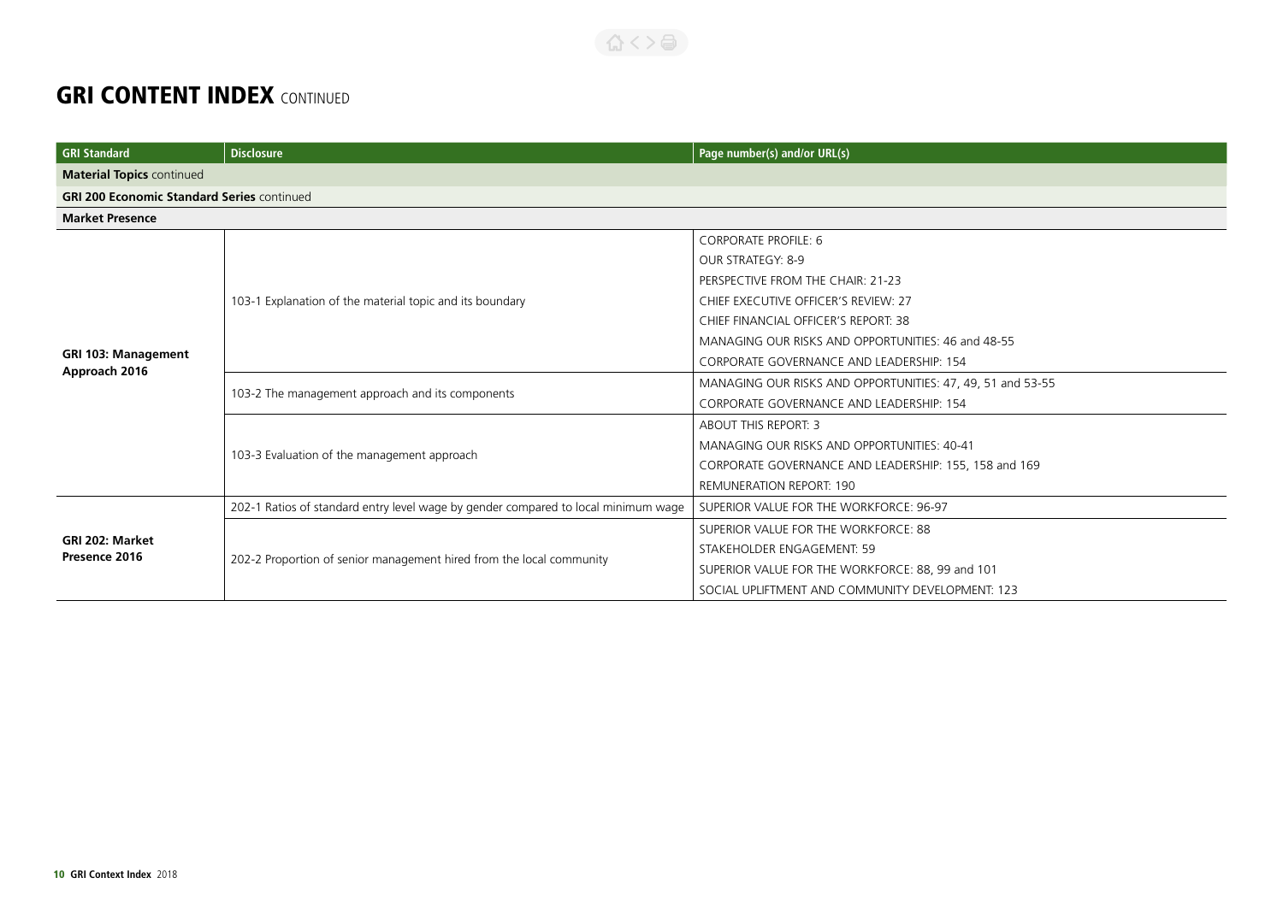| <b>GRI Standard</b>                               | <b>Disclosure</b>                                                                  | Page number(s) and/or URL(s)                               |
|---------------------------------------------------|------------------------------------------------------------------------------------|------------------------------------------------------------|
| <b>Material Topics continued</b>                  |                                                                                    |                                                            |
| <b>GRI 200 Economic Standard Series continued</b> |                                                                                    |                                                            |
| <b>Market Presence</b>                            |                                                                                    |                                                            |
|                                                   |                                                                                    | <b>CORPORATE PROFILE: 6</b>                                |
|                                                   |                                                                                    | OUR STRATEGY: 8-9                                          |
|                                                   |                                                                                    | PERSPECTIVE FROM THE CHAIR: 21-23                          |
|                                                   | 103-1 Explanation of the material topic and its boundary                           | CHIEF EXECUTIVE OFFICER'S REVIEW: 27                       |
|                                                   |                                                                                    | CHIEF FINANCIAL OFFICER'S REPORT: 38                       |
|                                                   |                                                                                    | MANAGING OUR RISKS AND OPPORTUNITIES: 46 and 48-55         |
| <b>GRI 103: Management</b><br>Approach 2016       |                                                                                    | CORPORATE GOVERNANCE AND LEADERSHIP: 154                   |
|                                                   | 103-2 The management approach and its components                                   | MANAGING OUR RISKS AND OPPORTUNITIES: 47, 49, 51 and 53-55 |
|                                                   |                                                                                    | CORPORATE GOVERNANCE AND LEADERSHIP: 154                   |
|                                                   | 103-3 Evaluation of the management approach                                        | <b>ABOUT THIS REPORT: 3</b>                                |
|                                                   |                                                                                    | MANAGING OUR RISKS AND OPPORTUNITIES: 40-41                |
|                                                   |                                                                                    | CORPORATE GOVERNANCE AND LEADERSHIP: 155, 158 and 169      |
|                                                   |                                                                                    | <b>REMUNERATION REPORT: 190</b>                            |
|                                                   | 202-1 Ratios of standard entry level wage by gender compared to local minimum wage | SUPERIOR VALUE FOR THE WORKFORCE: 96-97                    |
|                                                   |                                                                                    | SUPERIOR VALUE FOR THE WORKFORCE: 88                       |
| GRI 202: Market<br>Presence 2016                  | 202-2 Proportion of senior management hired from the local community               | STAKEHOLDER ENGAGEMENT: 59                                 |
|                                                   |                                                                                    | SUPERIOR VALUE FOR THE WORKFORCE: 88, 99 and 101           |
|                                                   |                                                                                    | SOCIAL UPLIFTMENT AND COMMUNITY DEVELOPMENT: 123           |

合くと目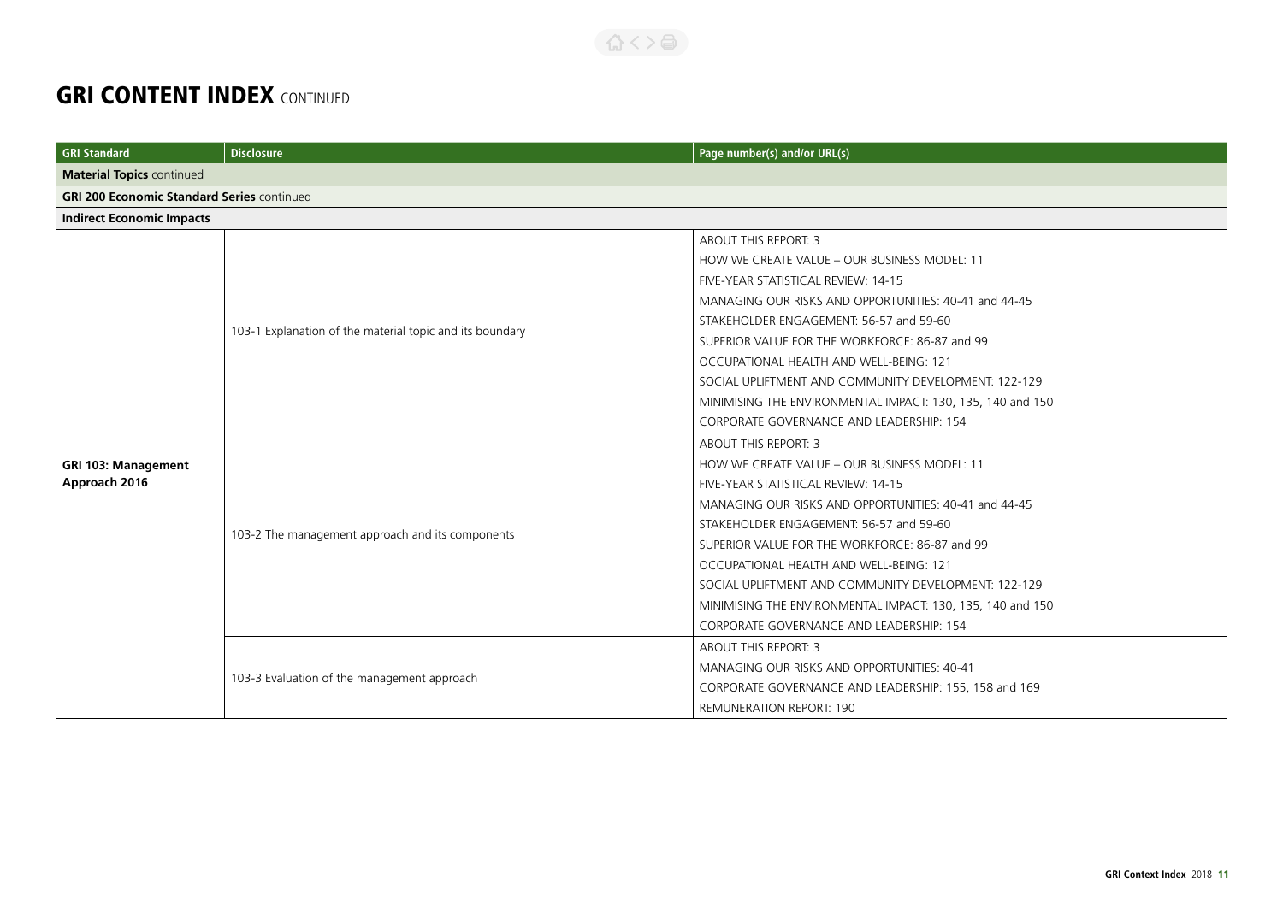| <b>GRI Standard</b>              | <b>Disclosure</b>                                        | Page number(s) and/or URL(s)                               |  |
|----------------------------------|----------------------------------------------------------|------------------------------------------------------------|--|
| <b>Material Topics continued</b> |                                                          |                                                            |  |
|                                  | <b>GRI 200 Economic Standard Series continued</b>        |                                                            |  |
| <b>Indirect Economic Impacts</b> |                                                          |                                                            |  |
|                                  |                                                          | ABOUT THIS REPORT: 3                                       |  |
|                                  |                                                          | HOW WE CREATE VALUE - OUR BUSINESS MODEL: 11               |  |
|                                  |                                                          | FIVE-YEAR STATISTICAL REVIEW: 14-15                        |  |
|                                  |                                                          | MANAGING OUR RISKS AND OPPORTUNITIES: 40-41 and 44-45      |  |
|                                  | 103-1 Explanation of the material topic and its boundary | STAKEHOLDER ENGAGEMENT: 56-57 and 59-60                    |  |
|                                  |                                                          | SUPERIOR VALUE FOR THE WORKFORCE: 86-87 and 99             |  |
|                                  |                                                          | OCCUPATIONAL HEALTH AND WELL-BEING: 121                    |  |
|                                  |                                                          | SOCIAL UPLIFTMENT AND COMMUNITY DEVELOPMENT: 122-129       |  |
|                                  |                                                          | MINIMISING THE ENVIRONMENTAL IMPACT: 130, 135, 140 and 150 |  |
|                                  |                                                          | CORPORATE GOVERNANCE AND LEADERSHIP: 154                   |  |
|                                  |                                                          | ABOUT THIS REPORT: 3                                       |  |
| <b>GRI 103: Management</b>       | 103-2 The management approach and its components         | HOW WE CREATE VALUE - OUR BUSINESS MODEL: 11               |  |
| Approach 2016                    |                                                          | FIVE-YEAR STATISTICAL REVIEW: 14-15                        |  |
|                                  |                                                          | MANAGING OUR RISKS AND OPPORTUNITIES: 40-41 and 44-45      |  |
|                                  |                                                          | STAKEHOLDER ENGAGEMENT: 56-57 and 59-60                    |  |
|                                  |                                                          | SUPERIOR VALUE FOR THE WORKFORCE: 86-87 and 99             |  |
|                                  |                                                          | OCCUPATIONAL HEALTH AND WELL-BEING: 121                    |  |
|                                  |                                                          | SOCIAL UPLIFTMENT AND COMMUNITY DEVELOPMENT: 122-129       |  |
|                                  |                                                          | MINIMISING THE ENVIRONMENTAL IMPACT: 130, 135, 140 and 150 |  |
|                                  |                                                          | CORPORATE GOVERNANCE AND LEADERSHIP: 154                   |  |
|                                  | 103-3 Evaluation of the management approach              | ABOUT THIS REPORT: 3                                       |  |
|                                  |                                                          | MANAGING OUR RISKS AND OPPORTUNITIES: 40-41                |  |
|                                  |                                                          | CORPORATE GOVERNANCE AND LEADERSHIP: 155, 158 and 169      |  |
|                                  |                                                          | <b>REMUNERATION REPORT: 190</b>                            |  |

合くと高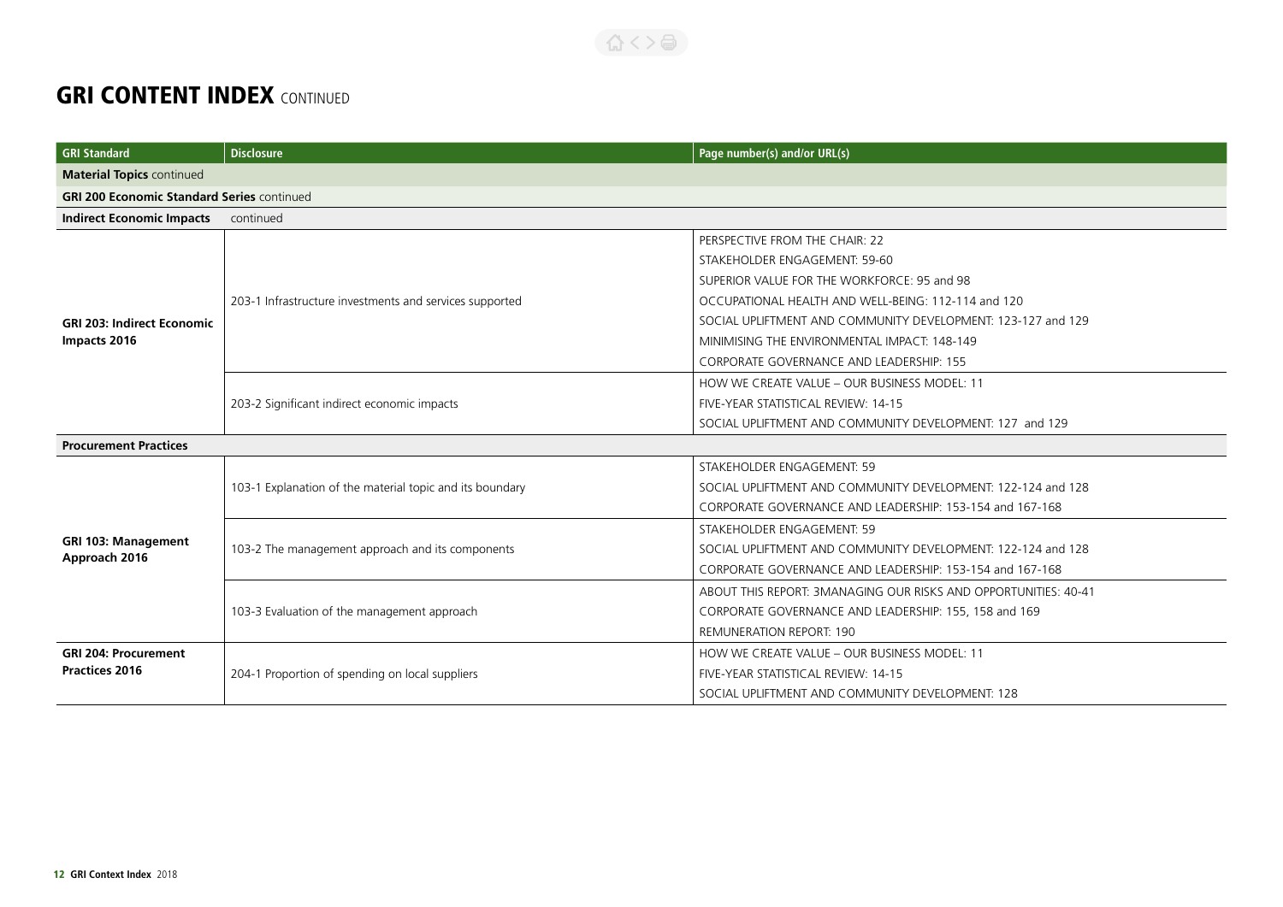| <b>GRI Standard</b>                               | <b>Disclosure</b>                                        | Page number(s) and/or URL(s)                                    |  |
|---------------------------------------------------|----------------------------------------------------------|-----------------------------------------------------------------|--|
| <b>Material Topics continued</b>                  |                                                          |                                                                 |  |
| <b>GRI 200 Economic Standard Series continued</b> |                                                          |                                                                 |  |
| <b>Indirect Economic Impacts</b>                  | continued                                                |                                                                 |  |
|                                                   |                                                          | PERSPECTIVE FROM THE CHAIR: 22                                  |  |
|                                                   |                                                          | STAKEHOLDER ENGAGEMENT: 59-60                                   |  |
|                                                   |                                                          | SUPERIOR VALUE FOR THE WORKFORCE: 95 and 98                     |  |
|                                                   | 203-1 Infrastructure investments and services supported  | OCCUPATIONAL HEALTH AND WELL-BEING: 112-114 and 120             |  |
| <b>GRI 203: Indirect Economic</b>                 |                                                          | SOCIAL UPLIFTMENT AND COMMUNITY DEVELOPMENT: 123-127 and 129    |  |
| Impacts 2016                                      |                                                          | MINIMISING THE ENVIRONMENTAL IMPACT: 148-149                    |  |
|                                                   |                                                          | <b>CORPORATE GOVERNANCE AND LEADERSHIP: 155</b>                 |  |
|                                                   | 203-2 Significant indirect economic impacts              | HOW WE CREATE VALUE - OUR BUSINESS MODEL: 11                    |  |
|                                                   |                                                          | FIVE-YEAR STATISTICAL REVIEW: 14-15                             |  |
|                                                   |                                                          | SOCIAL UPLIFTMENT AND COMMUNITY DEVELOPMENT: 127 and 129        |  |
| <b>Procurement Practices</b>                      |                                                          |                                                                 |  |
|                                                   |                                                          | STAKEHOLDER ENGAGEMENT: 59                                      |  |
|                                                   | 103-1 Explanation of the material topic and its boundary | SOCIAL UPLIFTMENT AND COMMUNITY DEVELOPMENT: 122-124 and 128    |  |
|                                                   |                                                          | CORPORATE GOVERNANCE AND LEADERSHIP: 153-154 and 167-168        |  |
|                                                   |                                                          | STAKEHOLDER ENGAGEMENT: 59                                      |  |
| <b>GRI 103: Management</b><br>Approach 2016       | 103-2 The management approach and its components         | SOCIAL UPLIFTMENT AND COMMUNITY DEVELOPMENT: 122-124 and 128    |  |
|                                                   |                                                          | CORPORATE GOVERNANCE AND LEADERSHIP: 153-154 and 167-168        |  |
|                                                   |                                                          | ABOUT THIS REPORT: 3MANAGING OUR RISKS AND OPPORTUNITIES: 40-41 |  |
|                                                   | 103-3 Evaluation of the management approach              | CORPORATE GOVERNANCE AND LEADERSHIP: 155, 158 and 169           |  |
|                                                   |                                                          | <b>REMUNERATION REPORT: 190</b>                                 |  |
| <b>GRI 204: Procurement</b>                       |                                                          | HOW WE CREATE VALUE - OUR BUSINESS MODEL: 11                    |  |
| <b>Practices 2016</b>                             | 204-1 Proportion of spending on local suppliers          | FIVE-YEAR STATISTICAL REVIEW: 14-15                             |  |
|                                                   |                                                          | SOCIAL UPLIFTMENT AND COMMUNITY DEVELOPMENT: 128                |  |

合くと高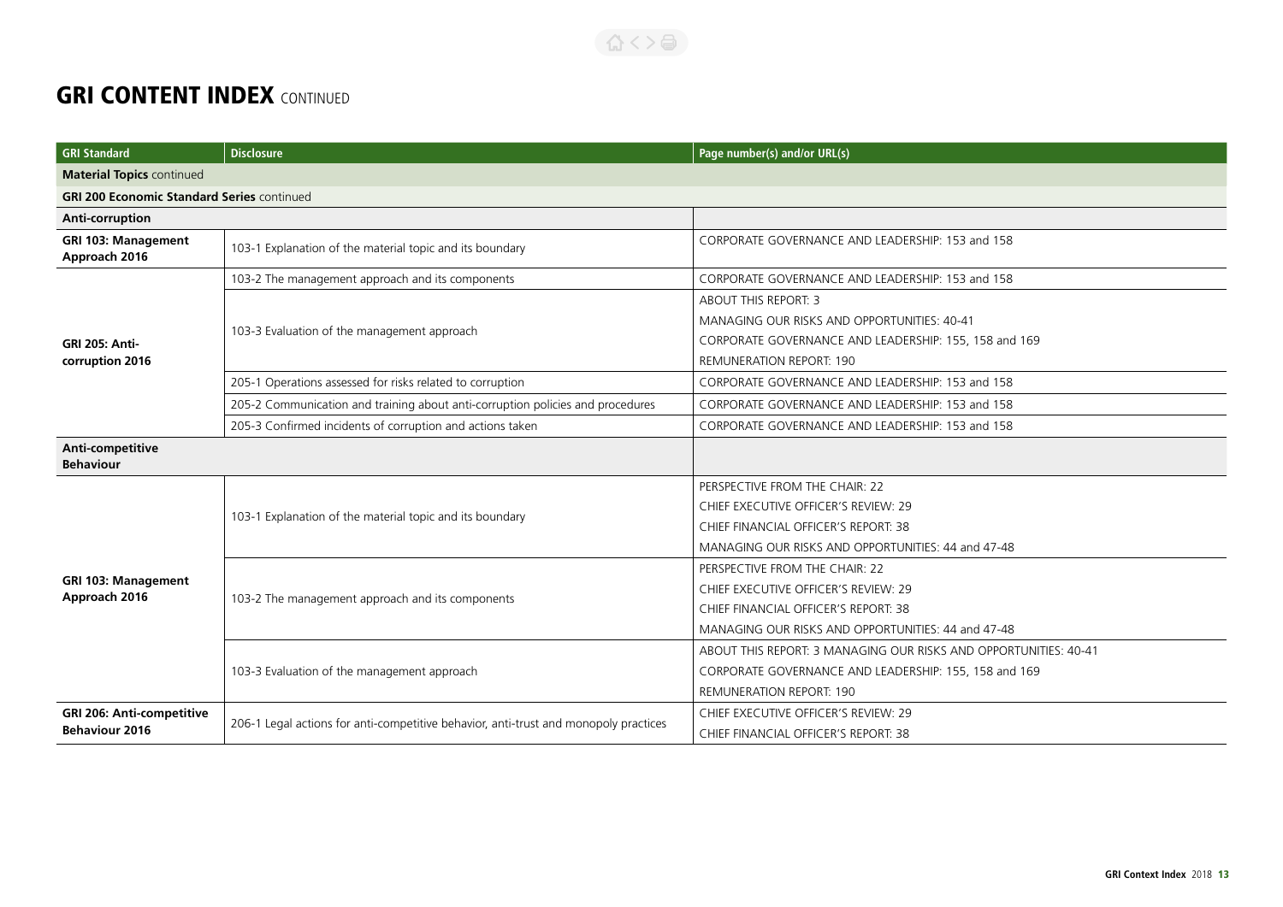#### 合くと高

| <b>GRI Standard</b>                                       | <b>Disclosure</b>                                                                    | Page number(s) and/or URL(s)                                                                                                                                           |
|-----------------------------------------------------------|--------------------------------------------------------------------------------------|------------------------------------------------------------------------------------------------------------------------------------------------------------------------|
| <b>Material Topics continued</b>                          |                                                                                      |                                                                                                                                                                        |
| <b>GRI 200 Economic Standard Series continued</b>         |                                                                                      |                                                                                                                                                                        |
| Anti-corruption                                           |                                                                                      |                                                                                                                                                                        |
| <b>GRI 103: Management</b><br>Approach 2016               | 103-1 Explanation of the material topic and its boundary                             | CORPORATE GOVERNANCE AND LEADERSHIP: 153 and 158                                                                                                                       |
|                                                           | 103-2 The management approach and its components                                     | CORPORATE GOVERNANCE AND LEADERSHIP: 153 and 158                                                                                                                       |
| <b>GRI 205: Anti-</b><br>corruption 2016                  | 103-3 Evaluation of the management approach                                          | <b>ABOUT THIS REPORT: 3</b><br>MANAGING OUR RISKS AND OPPORTUNITIES: 40-41<br>CORPORATE GOVERNANCE AND LEADERSHIP: 155, 158 and 169<br><b>REMUNERATION REPORT: 190</b> |
|                                                           | 205-1 Operations assessed for risks related to corruption                            | CORPORATE GOVERNANCE AND LEADERSHIP: 153 and 158                                                                                                                       |
|                                                           | 205-2 Communication and training about anti-corruption policies and procedures       | CORPORATE GOVERNANCE AND LEADERSHIP: 153 and 158                                                                                                                       |
|                                                           | 205-3 Confirmed incidents of corruption and actions taken                            | CORPORATE GOVERNANCE AND LEADERSHIP: 153 and 158                                                                                                                       |
| Anti-competitive<br><b>Behaviour</b>                      |                                                                                      |                                                                                                                                                                        |
| <b>GRI 103: Management</b><br>Approach 2016               | 103-1 Explanation of the material topic and its boundary                             | PERSPECTIVE FROM THE CHAIR: 22<br>CHIEF EXECUTIVE OFFICER'S REVIEW: 29<br>CHIEF FINANCIAL OFFICER'S REPORT: 38<br>MANAGING OUR RISKS AND OPPORTUNITIES: 44 and 47-48   |
|                                                           | 103-2 The management approach and its components                                     | PERSPECTIVE FROM THE CHAIR: 22<br>CHIEF EXECUTIVE OFFICER'S REVIEW: 29<br>CHIEF FINANCIAL OFFICER'S REPORT: 38<br>MANAGING OUR RISKS AND OPPORTUNITIES: 44 and 47-48   |
|                                                           | 103-3 Evaluation of the management approach                                          | ABOUT THIS REPORT: 3 MANAGING OUR RISKS AND OPPORTUNITIES: 40-41<br>CORPORATE GOVERNANCE AND LEADERSHIP: 155, 158 and 169<br><b>REMUNERATION REPORT: 190</b>           |
| <b>GRI 206: Anti-competitive</b><br><b>Behaviour 2016</b> | 206-1 Legal actions for anti-competitive behavior, anti-trust and monopoly practices | CHIEF EXECUTIVE OFFICER'S REVIEW: 29<br>CHIEF FINANCIAL OFFICER'S REPORT: 38                                                                                           |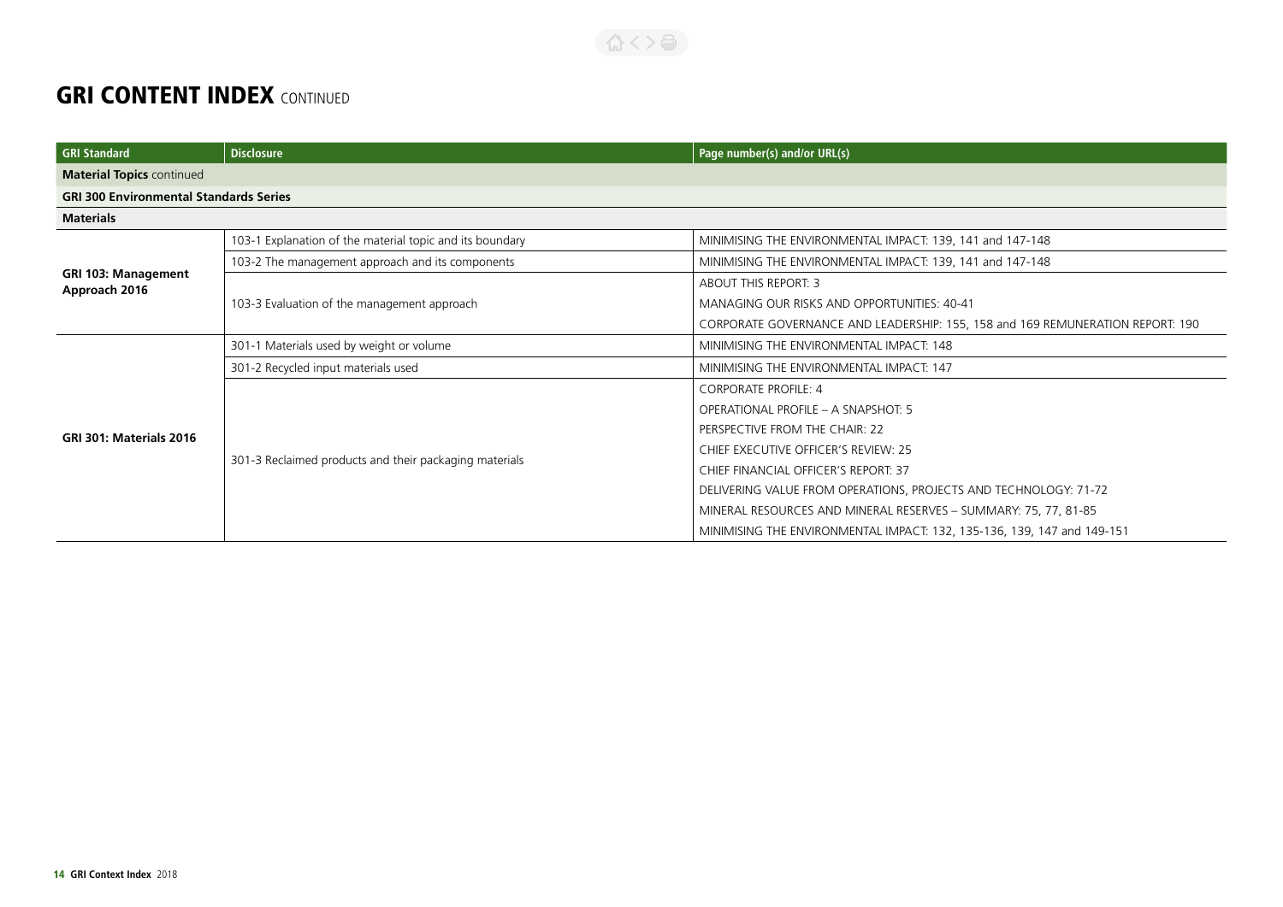| <b>GRI Standard</b>                           | <b>Disclosure</b>                                        | Page number(s) and/or URL(s)                                                   |
|-----------------------------------------------|----------------------------------------------------------|--------------------------------------------------------------------------------|
| <b>Material Topics continued</b>              |                                                          |                                                                                |
| <b>GRI 300 Environmental Standards Series</b> |                                                          |                                                                                |
| <b>Materials</b>                              |                                                          |                                                                                |
|                                               | 103-1 Explanation of the material topic and its boundary | MINIMISING THE ENVIRONMENTAL IMPACT: 139, 141 and 147-148                      |
|                                               | 103-2 The management approach and its components         | MINIMISING THE ENVIRONMENTAL IMPACT: 139, 141 and 147-148                      |
| <b>GRI 103: Management</b><br>Approach 2016   |                                                          | <b>ABOUT THIS REPORT: 3</b>                                                    |
|                                               | 103-3 Evaluation of the management approach              | MANAGING OUR RISKS AND OPPORTUNITIES: 40-41                                    |
|                                               |                                                          | CORPORATE GOVERNANCE AND LEADERSHIP: 155, 158 and 169 REMUNERATION REPORT: 190 |
|                                               | 301-1 Materials used by weight or volume                 | MINIMISING THE ENVIRONMENTAL IMPACT: 148                                       |
|                                               | 301-2 Recycled input materials used                      | MINIMISING THE ENVIRONMENTAL IMPACT: 147                                       |
|                                               | 301-3 Reclaimed products and their packaging materials   | <b>CORPORATE PROFILE: 4</b>                                                    |
|                                               |                                                          | OPERATIONAL PROFILE - A SNAPSHOT: 5                                            |
| GRI 301: Materials 2016                       |                                                          | PERSPECTIVE FROM THE CHAIR: 22                                                 |
|                                               |                                                          | CHIEF EXECUTIVE OFFICER'S REVIEW: 25                                           |
|                                               |                                                          | CHIEF FINANCIAL OFFICER'S REPORT: 37                                           |
|                                               |                                                          | DELIVERING VALUE FROM OPERATIONS, PROJECTS AND TECHNOLOGY: 71-72               |
|                                               |                                                          | MINERAL RESOURCES AND MINERAL RESERVES - SUMMARY: 75, 77, 81-85                |
|                                               |                                                          | MINIMISING THE ENVIRONMENTAL IMPACT: 132, 135-136, 139, 147 and 149-151        |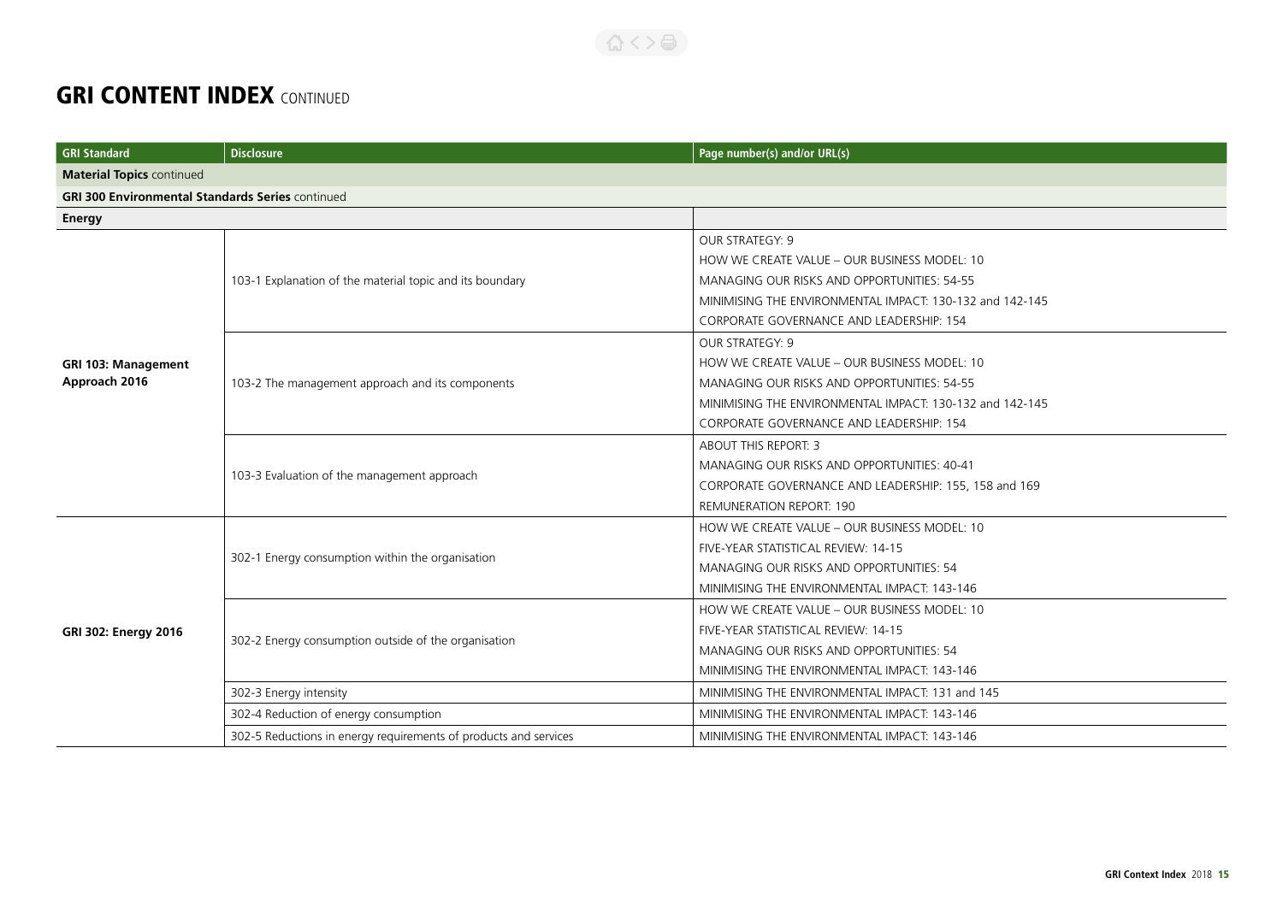| <b>GRI Standard</b>                                     | <b>Disclosure</b>                                                | Page number(s) and/or URL(s)                             |
|---------------------------------------------------------|------------------------------------------------------------------|----------------------------------------------------------|
| <b>Material Topics continued</b>                        |                                                                  |                                                          |
| <b>GRI 300 Environmental Standards Series continued</b> |                                                                  |                                                          |
| Energy                                                  |                                                                  |                                                          |
|                                                         |                                                                  | <b>OUR STRATEGY: 9</b>                                   |
|                                                         |                                                                  | HOW WE CREATE VALUE - OUR BUSINESS MODEL: 10             |
|                                                         | 103-1 Explanation of the material topic and its boundary         | MANAGING OUR RISKS AND OPPORTUNITIES: 54-55              |
|                                                         |                                                                  | MINIMISING THE ENVIRONMENTAL IMPACT: 130-132 and 142-145 |
|                                                         |                                                                  | CORPORATE GOVERNANCE AND LEADERSHIP: 154                 |
|                                                         |                                                                  | <b>OUR STRATEGY: 9</b>                                   |
| <b>GRI 103: Management</b>                              |                                                                  | HOW WE CREATE VALUE - OUR BUSINESS MODEL: 10             |
| Approach 2016                                           | 103-2 The management approach and its components                 | MANAGING OUR RISKS AND OPPORTUNITIES: 54-55              |
|                                                         |                                                                  | MINIMISING THE ENVIRONMENTAL IMPACT: 130-132 and 142-145 |
|                                                         |                                                                  | CORPORATE GOVERNANCE AND LEADERSHIP: 154                 |
|                                                         |                                                                  | ABOUT THIS REPORT: 3                                     |
|                                                         | 103-3 Evaluation of the management approach                      | MANAGING OUR RISKS AND OPPORTUNITIES: 40-41              |
|                                                         |                                                                  | CORPORATE GOVERNANCE AND LEADERSHIP: 155, 158 and 169    |
|                                                         |                                                                  | <b>REMUNERATION REPORT: 190</b>                          |
|                                                         | 302-1 Energy consumption within the organisation                 | HOW WE CREATE VALUE - OUR BUSINESS MODEL: 10             |
|                                                         |                                                                  | FIVE-YEAR STATISTICAL REVIEW: 14-15                      |
|                                                         |                                                                  | MANAGING OUR RISKS AND OPPORTUNITIES: 54                 |
|                                                         |                                                                  | MINIMISING THE ENVIRONMENTAL IMPACT: 143-146             |
|                                                         |                                                                  | HOW WE CREATE VALUE - OUR BUSINESS MODEL: 10             |
| GRI 302: Energy 2016                                    | 302-2 Energy consumption outside of the organisation             | FIVE-YEAR STATISTICAL REVIEW: 14-15                      |
|                                                         |                                                                  | MANAGING OUR RISKS AND OPPORTUNITIES: 54                 |
|                                                         |                                                                  | MINIMISING THE ENVIRONMENTAL IMPACT: 143-146             |
|                                                         | 302-3 Energy intensity                                           | MINIMISING THE ENVIRONMENTAL IMPACT: 131 and 145         |
|                                                         | 302-4 Reduction of energy consumption                            | MINIMISING THE ENVIRONMENTAL IMPACT: 143-146             |
|                                                         | 302-5 Reductions in energy requirements of products and services | MINIMISING THE ENVIRONMENTAL IMPACT: 143-146             |

 $\left\{ \left\{ \left. \right\} \right\} \right\}$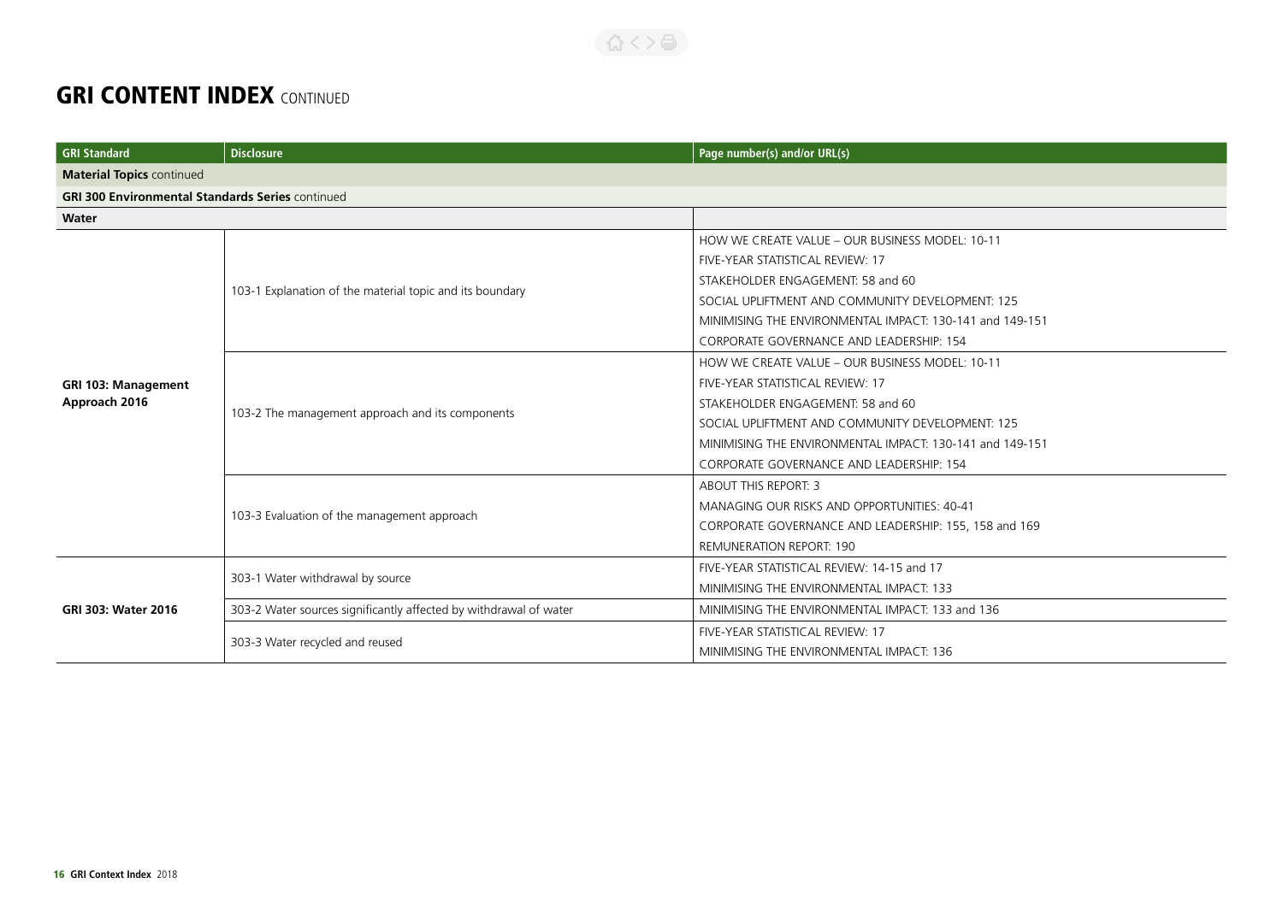| <b>GRI Standard</b>                                     | <b>Disclosure</b>                                                 | Page number(s) and/or URL(s)                             |
|---------------------------------------------------------|-------------------------------------------------------------------|----------------------------------------------------------|
| <b>Material Topics continued</b>                        |                                                                   |                                                          |
| <b>GRI 300 Environmental Standards Series continued</b> |                                                                   |                                                          |
| Water                                                   |                                                                   |                                                          |
|                                                         |                                                                   | HOW WE CREATE VALUE - OUR BUSINESS MODEL: 10-11          |
|                                                         |                                                                   | FIVE-YEAR STATISTICAL REVIEW: 17                         |
|                                                         |                                                                   | STAKEHOLDER ENGAGEMENT: 58 and 60                        |
|                                                         | 103-1 Explanation of the material topic and its boundary          | SOCIAL UPLIFTMENT AND COMMUNITY DEVELOPMENT: 125         |
|                                                         |                                                                   | MINIMISING THE ENVIRONMENTAL IMPACT: 130-141 and 149-151 |
|                                                         |                                                                   | CORPORATE GOVERNANCE AND LEADERSHIP: 154                 |
|                                                         |                                                                   | HOW WE CREATE VALUE - OUR BUSINESS MODEL: 10-11          |
| <b>GRI 103: Management</b>                              | 103-2 The management approach and its components                  | FIVE-YEAR STATISTICAL REVIEW: 17                         |
| Approach 2016                                           |                                                                   | STAKEHOLDER ENGAGEMENT: 58 and 60                        |
|                                                         |                                                                   | SOCIAL UPLIFTMENT AND COMMUNITY DEVELOPMENT: 125         |
|                                                         |                                                                   | MINIMISING THE ENVIRONMENTAL IMPACT: 130-141 and 149-151 |
|                                                         |                                                                   | CORPORATE GOVERNANCE AND LEADERSHIP: 154                 |
|                                                         | 103-3 Evaluation of the management approach                       | <b>ABOUT THIS REPORT: 3</b>                              |
|                                                         |                                                                   | MANAGING OUR RISKS AND OPPORTUNITIES: 40-41              |
|                                                         |                                                                   | CORPORATE GOVERNANCE AND LEADERSHIP: 155, 158 and 169    |
|                                                         |                                                                   | <b>REMUNERATION REPORT: 190</b>                          |
|                                                         |                                                                   | FIVE-YEAR STATISTICAL REVIEW: 14-15 and 17               |
| GRI 303: Water 2016                                     | 303-1 Water withdrawal by source                                  | MINIMISING THE ENVIRONMENTAL IMPACT: 133                 |
|                                                         | 303-2 Water sources significantly affected by withdrawal of water | MINIMISING THE ENVIRONMENTAL IMPACT: 133 and 136         |
|                                                         | 303-3 Water recycled and reused                                   | FIVE-YEAR STATISTICAL REVIEW: 17                         |
|                                                         |                                                                   | MINIMISING THE ENVIRONMENTAL IMPACT: 136                 |

合くと目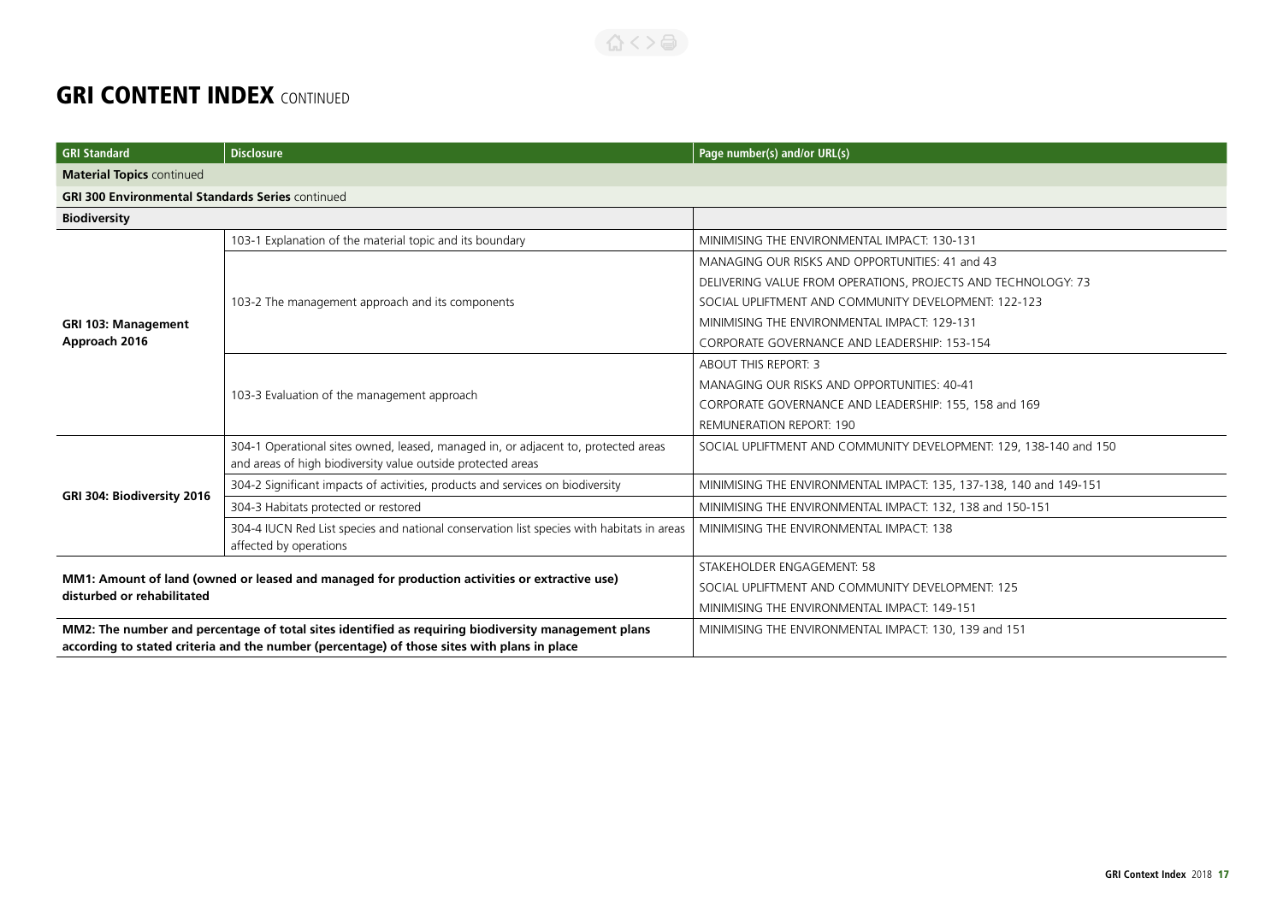| GRI Standard                                                                                                                | <b>Disclosure</b>                                                                                                                                  | Page number(s) and/or URL(s)                                       |
|-----------------------------------------------------------------------------------------------------------------------------|----------------------------------------------------------------------------------------------------------------------------------------------------|--------------------------------------------------------------------|
| <b>Material Topics continued</b>                                                                                            |                                                                                                                                                    |                                                                    |
| <b>GRI 300 Environmental Standards Series continued</b>                                                                     |                                                                                                                                                    |                                                                    |
| <b>Biodiversity</b>                                                                                                         |                                                                                                                                                    |                                                                    |
|                                                                                                                             | 103-1 Explanation of the material topic and its boundary                                                                                           | MINIMISING THE ENVIRONMENTAL IMPACT: 130-131                       |
|                                                                                                                             |                                                                                                                                                    | MANAGING OUR RISKS AND OPPORTUNITIES: 41 and 43                    |
|                                                                                                                             |                                                                                                                                                    | DELIVERING VALUE FROM OPERATIONS, PROJECTS AND TECHNOLOGY: 73      |
|                                                                                                                             | 103-2 The management approach and its components                                                                                                   | SOCIAL UPLIFTMENT AND COMMUNITY DEVELOPMENT: 122-123               |
| <b>GRI 103: Management</b>                                                                                                  |                                                                                                                                                    | MINIMISING THE ENVIRONMENTAL IMPACT: 129-131                       |
| Approach 2016                                                                                                               |                                                                                                                                                    | CORPORATE GOVERNANCE AND LEADERSHIP: 153-154                       |
|                                                                                                                             |                                                                                                                                                    | <b>ABOUT THIS REPORT: 3</b>                                        |
|                                                                                                                             | 103-3 Evaluation of the management approach                                                                                                        | MANAGING OUR RISKS AND OPPORTUNITIES: 40-41                        |
|                                                                                                                             |                                                                                                                                                    | CORPORATE GOVERNANCE AND LEADERSHIP: 155, 158 and 169              |
|                                                                                                                             |                                                                                                                                                    | <b>REMUNERATION REPORT: 190</b>                                    |
|                                                                                                                             | 304-1 Operational sites owned, leased, managed in, or adjacent to, protected areas<br>and areas of high biodiversity value outside protected areas | SOCIAL UPLIFTMENT AND COMMUNITY DEVELOPMENT: 129, 138-140 and 150  |
|                                                                                                                             | 304-2 Significant impacts of activities, products and services on biodiversity                                                                     | MINIMISING THE ENVIRONMENTAL IMPACT: 135, 137-138, 140 and 149-151 |
| GRI 304: Biodiversity 2016                                                                                                  | 304-3 Habitats protected or restored                                                                                                               | MINIMISING THE ENVIRONMENTAL IMPACT: 132, 138 and 150-151          |
|                                                                                                                             | 304-4 IUCN Red List species and national conservation list species with habitats in areas<br>affected by operations                                | MINIMISING THE ENVIRONMENTAL IMPACT: 138                           |
| MM1: Amount of land (owned or leased and managed for production activities or extractive use)<br>disturbed or rehabilitated |                                                                                                                                                    | STAKEHOLDER ENGAGEMENT: 58                                         |
|                                                                                                                             |                                                                                                                                                    | SOCIAL UPLIFTMENT AND COMMUNITY DEVELOPMENT: 125                   |
|                                                                                                                             |                                                                                                                                                    | MINIMISING THE ENVIRONMENTAL IMPACT: 149-151                       |
| MM2: The number and percentage of total sites identified as requiring biodiversity management plans                         |                                                                                                                                                    | MINIMISING THE ENVIRONMENTAL IMPACT: 130, 139 and 151              |
| according to stated criteria and the number (percentage) of those sites with plans in place                                 |                                                                                                                                                    |                                                                    |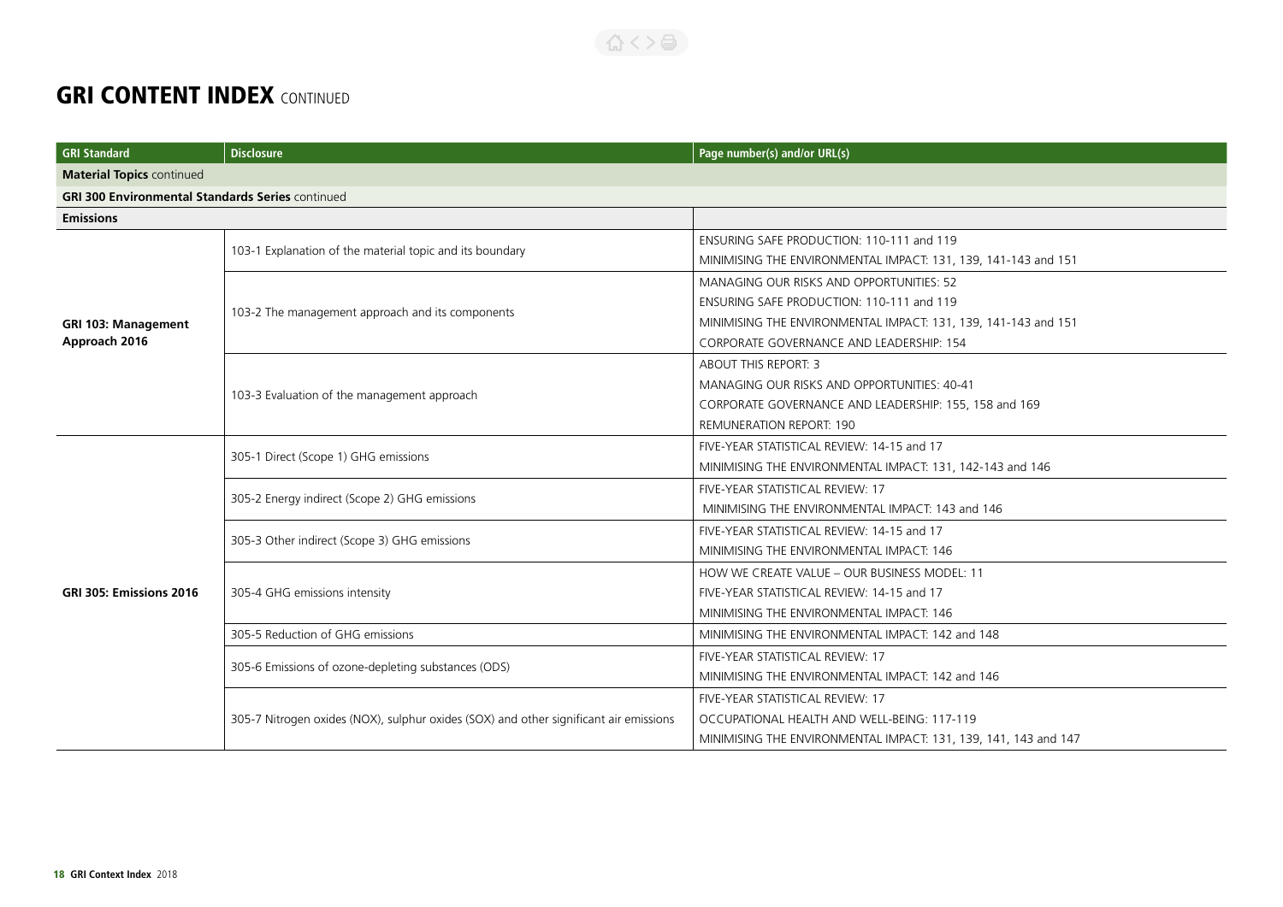| <b>GRI Standard</b>                                     | <b>Disclosure</b>                                                                     | Page number(s) and/or URL(s)                                    |
|---------------------------------------------------------|---------------------------------------------------------------------------------------|-----------------------------------------------------------------|
| <b>Material Topics continued</b>                        |                                                                                       |                                                                 |
| <b>GRI 300 Environmental Standards Series continued</b> |                                                                                       |                                                                 |
| <b>Emissions</b>                                        |                                                                                       |                                                                 |
|                                                         |                                                                                       | ENSURING SAFE PRODUCTION: 110-111 and 119                       |
|                                                         | 103-1 Explanation of the material topic and its boundary                              | MINIMISING THE ENVIRONMENTAL IMPACT: 131, 139, 141-143 and 151  |
|                                                         |                                                                                       | MANAGING OUR RISKS AND OPPORTUNITIES: 52                        |
|                                                         | 103-2 The management approach and its components                                      | ENSURING SAFE PRODUCTION: 110-111 and 119                       |
| GRI 103: Management                                     |                                                                                       | MINIMISING THE ENVIRONMENTAL IMPACT: 131, 139, 141-143 and 151  |
| Approach 2016                                           |                                                                                       | CORPORATE GOVERNANCE AND LEADERSHIP: 154                        |
|                                                         |                                                                                       | ABOUT THIS REPORT: 3                                            |
|                                                         |                                                                                       | MANAGING OUR RISKS AND OPPORTUNITIES: 40-41                     |
|                                                         | 103-3 Evaluation of the management approach                                           | CORPORATE GOVERNANCE AND LEADERSHIP: 155, 158 and 169           |
|                                                         |                                                                                       | <b>REMUNERATION REPORT: 190</b>                                 |
|                                                         | 305-1 Direct (Scope 1) GHG emissions                                                  | FIVE-YEAR STATISTICAL REVIEW: 14-15 and 17                      |
|                                                         |                                                                                       | MINIMISING THE ENVIRONMENTAL IMPACT: 131, 142-143 and 146       |
|                                                         | 305-2 Energy indirect (Scope 2) GHG emissions                                         | FIVE-YEAR STATISTICAL REVIEW: 17                                |
|                                                         |                                                                                       | MINIMISING THE ENVIRONMENTAL IMPACT: 143 and 146                |
|                                                         | 305-3 Other indirect (Scope 3) GHG emissions                                          | FIVE-YEAR STATISTICAL REVIEW: 14-15 and 17                      |
|                                                         |                                                                                       | MINIMISING THE ENVIRONMENTAL IMPACT: 146                        |
|                                                         | 305-4 GHG emissions intensity                                                         | HOW WE CREATE VALUE - OUR BUSINESS MODEL: 11                    |
| GRI 305: Emissions 2016                                 |                                                                                       | FIVE-YEAR STATISTICAL REVIEW: 14-15 and 17                      |
|                                                         |                                                                                       | MINIMISING THE ENVIRONMENTAL IMPACT: 146                        |
|                                                         | 305-5 Reduction of GHG emissions                                                      | MINIMISING THE ENVIRONMENTAL IMPACT: 142 and 148                |
|                                                         |                                                                                       | FIVE-YEAR STATISTICAL REVIEW: 17                                |
|                                                         | 305-6 Emissions of ozone-depleting substances (ODS)                                   | MINIMISING THE ENVIRONMENTAL IMPACT: 142 and 146                |
|                                                         | 305-7 Nitrogen oxides (NOX), sulphur oxides (SOX) and other significant air emissions | FIVE-YEAR STATISTICAL REVIEW: 17                                |
|                                                         |                                                                                       | OCCUPATIONAL HEALTH AND WELL-BEING: 117-119                     |
|                                                         |                                                                                       | MINIMISING THE ENVIRONMENTAL IMPACT: 131, 139, 141, 143 and 147 |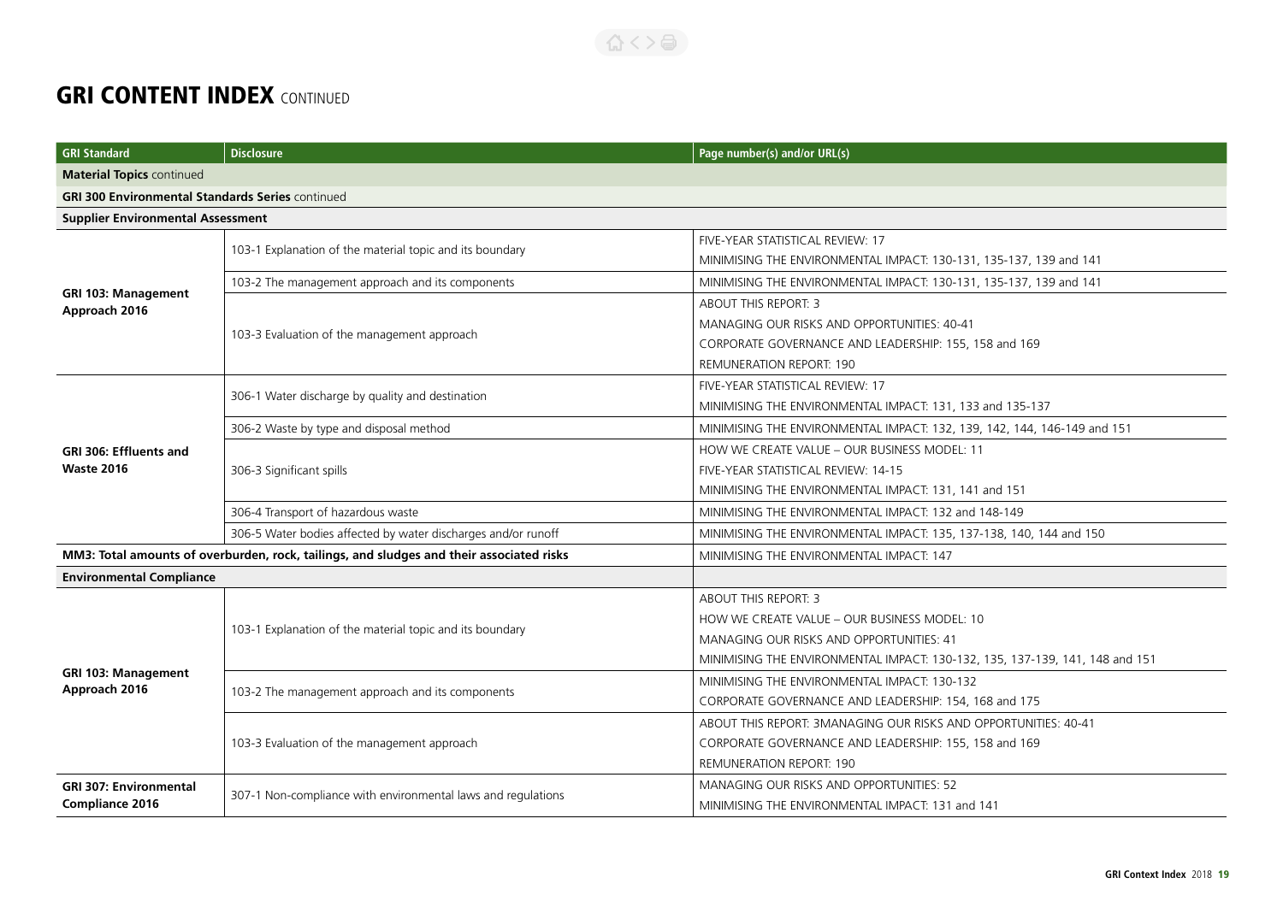| <b>GRI Standard</b>                                                                      | <b>Disclosure</b>                                             | Page number(s) and/or URL(s)                                                 |
|------------------------------------------------------------------------------------------|---------------------------------------------------------------|------------------------------------------------------------------------------|
| <b>Material Topics continued</b>                                                         |                                                               |                                                                              |
| <b>GRI 300 Environmental Standards Series continued</b>                                  |                                                               |                                                                              |
| <b>Supplier Environmental Assessment</b>                                                 |                                                               |                                                                              |
|                                                                                          | 103-1 Explanation of the material topic and its boundary      | FIVE-YEAR STATISTICAL REVIEW: 17                                             |
|                                                                                          |                                                               | MINIMISING THE ENVIRONMENTAL IMPACT: 130-131, 135-137, 139 and 141           |
|                                                                                          | 103-2 The management approach and its components              | MINIMISING THE ENVIRONMENTAL IMPACT: 130-131, 135-137, 139 and 141           |
| <b>GRI 103: Management</b><br>Approach 2016                                              |                                                               | <b>ABOUT THIS REPORT: 3</b>                                                  |
|                                                                                          | 103-3 Evaluation of the management approach                   | MANAGING OUR RISKS AND OPPORTUNITIES: 40-41                                  |
|                                                                                          |                                                               | CORPORATE GOVERNANCE AND LEADERSHIP: 155, 158 and 169                        |
|                                                                                          |                                                               | <b>REMUNERATION REPORT: 190</b>                                              |
|                                                                                          | 306-1 Water discharge by quality and destination              | FIVE-YEAR STATISTICAL REVIEW: 17                                             |
|                                                                                          |                                                               | MINIMISING THE ENVIRONMENTAL IMPACT: 131, 133 and 135-137                    |
|                                                                                          | 306-2 Waste by type and disposal method                       | MINIMISING THE ENVIRONMENTAL IMPACT: 132, 139, 142, 144, 146-149 and 151     |
| GRI 306: Effluents and                                                                   |                                                               | HOW WE CREATE VALUE - OUR BUSINESS MODEL: 11                                 |
| <b>Waste 2016</b>                                                                        | 306-3 Significant spills                                      | FIVE-YEAR STATISTICAL REVIEW: 14-15                                          |
|                                                                                          |                                                               | MINIMISING THE ENVIRONMENTAL IMPACT: 131, 141 and 151                        |
|                                                                                          | 306-4 Transport of hazardous waste                            | MINIMISING THE ENVIRONMENTAL IMPACT: 132 and 148-149                         |
|                                                                                          | 306-5 Water bodies affected by water discharges and/or runoff | MINIMISING THE ENVIRONMENTAL IMPACT: 135, 137-138, 140, 144 and 150          |
| MM3: Total amounts of overburden, rock, tailings, and sludges and their associated risks |                                                               | MINIMISING THE ENVIRONMENTAL IMPACT: 147                                     |
| <b>Environmental Compliance</b>                                                          |                                                               |                                                                              |
|                                                                                          | 103-1 Explanation of the material topic and its boundary      | <b>ABOUT THIS REPORT: 3</b>                                                  |
|                                                                                          |                                                               | HOW WE CREATE VALUE - OUR BUSINESS MODEL: 10                                 |
|                                                                                          |                                                               | MANAGING OUR RISKS AND OPPORTUNITIES: 41                                     |
|                                                                                          |                                                               | MINIMISING THE ENVIRONMENTAL IMPACT: 130-132, 135, 137-139, 141, 148 and 151 |
| <b>GRI 103: Management</b><br>Approach 2016                                              | 103-2 The management approach and its components              | MINIMISING THE ENVIRONMENTAL IMPACT: 130-132                                 |
|                                                                                          |                                                               | CORPORATE GOVERNANCE AND LEADERSHIP: 154, 168 and 175                        |
|                                                                                          |                                                               | ABOUT THIS REPORT: 3MANAGING OUR RISKS AND OPPORTUNITIES: 40-41              |
|                                                                                          | 103-3 Evaluation of the management approach                   | CORPORATE GOVERNANCE AND LEADERSHIP: 155, 158 and 169                        |
|                                                                                          |                                                               | REMUNERATION REPORT: 190                                                     |
| <b>GRI 307: Environmental</b>                                                            | 307-1 Non-compliance with environmental laws and regulations  | <b>MANAGING OUR RISKS AND OPPORTUNITIES: 52</b>                              |
| Compliance 2016                                                                          |                                                               | MINIMISING THE ENVIRONMENTAL IMPACT: 131 and 141                             |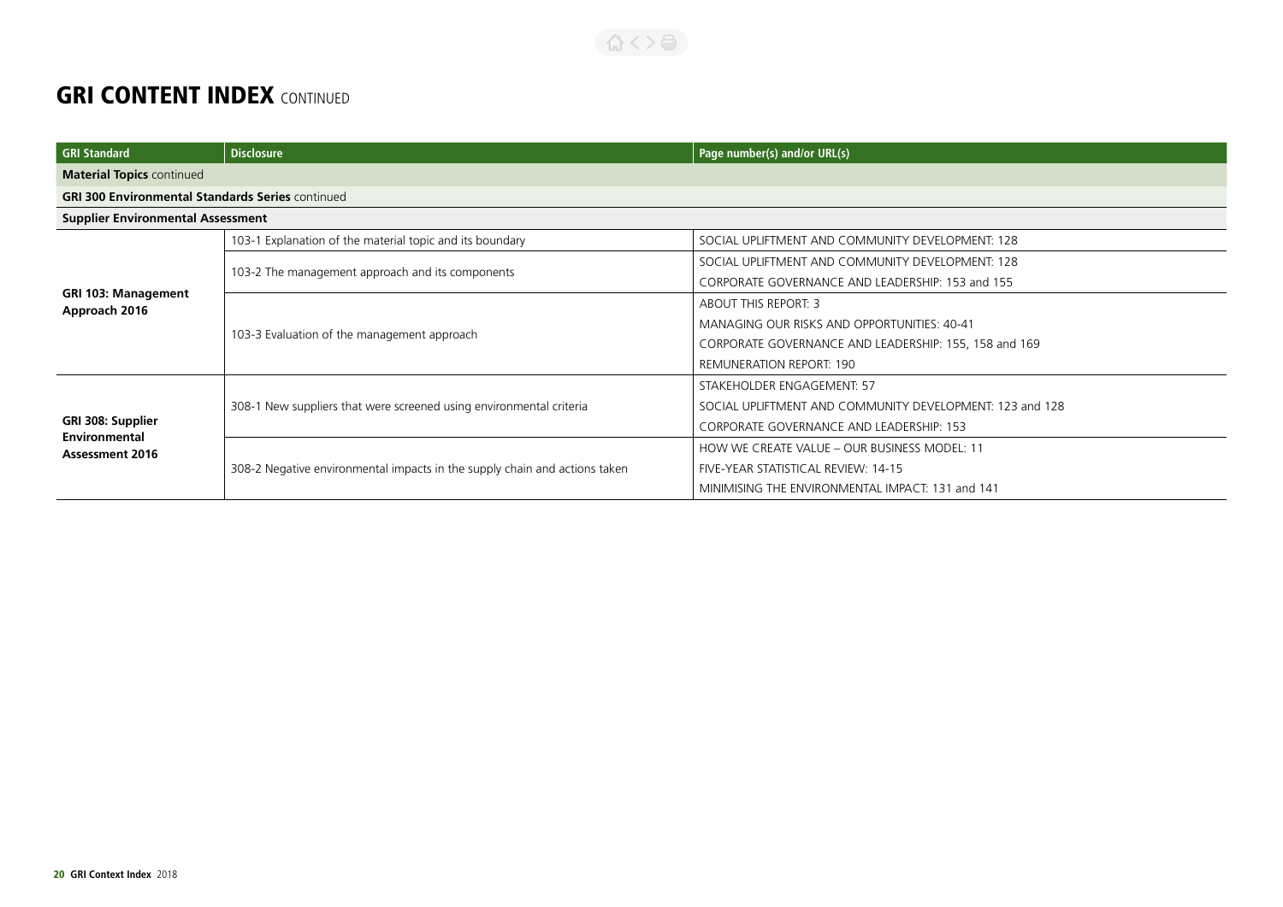| <b>GRI Standard</b>                                          | <b>Disclosure</b>                                                          | Page number(s) and/or URL(s)                             |  |
|--------------------------------------------------------------|----------------------------------------------------------------------------|----------------------------------------------------------|--|
| <b>Material Topics continued</b>                             |                                                                            |                                                          |  |
|                                                              | <b>GRI 300 Environmental Standards Series continued</b>                    |                                                          |  |
| <b>Supplier Environmental Assessment</b>                     |                                                                            |                                                          |  |
|                                                              | 103-1 Explanation of the material topic and its boundary                   | SOCIAL UPLIFTMENT AND COMMUNITY DEVELOPMENT: 128         |  |
|                                                              |                                                                            | SOCIAL UPLIFTMENT AND COMMUNITY DEVELOPMENT: 128         |  |
|                                                              | 103-2 The management approach and its components                           | CORPORATE GOVERNANCE AND LEADERSHIP: 153 and 155         |  |
| <b>GRI 103: Management</b><br>Approach 2016                  | 103-3 Evaluation of the management approach                                | <b>ABOUT THIS REPORT: 3</b>                              |  |
|                                                              |                                                                            | MANAGING OUR RISKS AND OPPORTUNITIES: 40-41              |  |
|                                                              |                                                                            | CORPORATE GOVERNANCE AND LEADERSHIP: 155, 158 and 169    |  |
|                                                              |                                                                            | <b>REMUNERATION REPORT: 190</b>                          |  |
|                                                              | 308-1 New suppliers that were screened using environmental criteria        | STAKEHOLDER ENGAGEMENT: 57                               |  |
|                                                              |                                                                            | SOCIAL UPLIFTMENT AND COMMUNITY DEVELOPMENT: 123 and 128 |  |
| GRI 308: Supplier<br>Environmental<br><b>Assessment 2016</b> |                                                                            | CORPORATE GOVERNANCE AND LEADERSHIP: 153                 |  |
|                                                              |                                                                            | HOW WE CREATE VALUE - OUR BUSINESS MODEL: 11             |  |
|                                                              | 308-2 Negative environmental impacts in the supply chain and actions taken | FIVE-YEAR STATISTICAL REVIEW: 14-15                      |  |
|                                                              |                                                                            | MINIMISING THE ENVIRONMENTAL IMPACT: 131 and 141         |  |

くろくう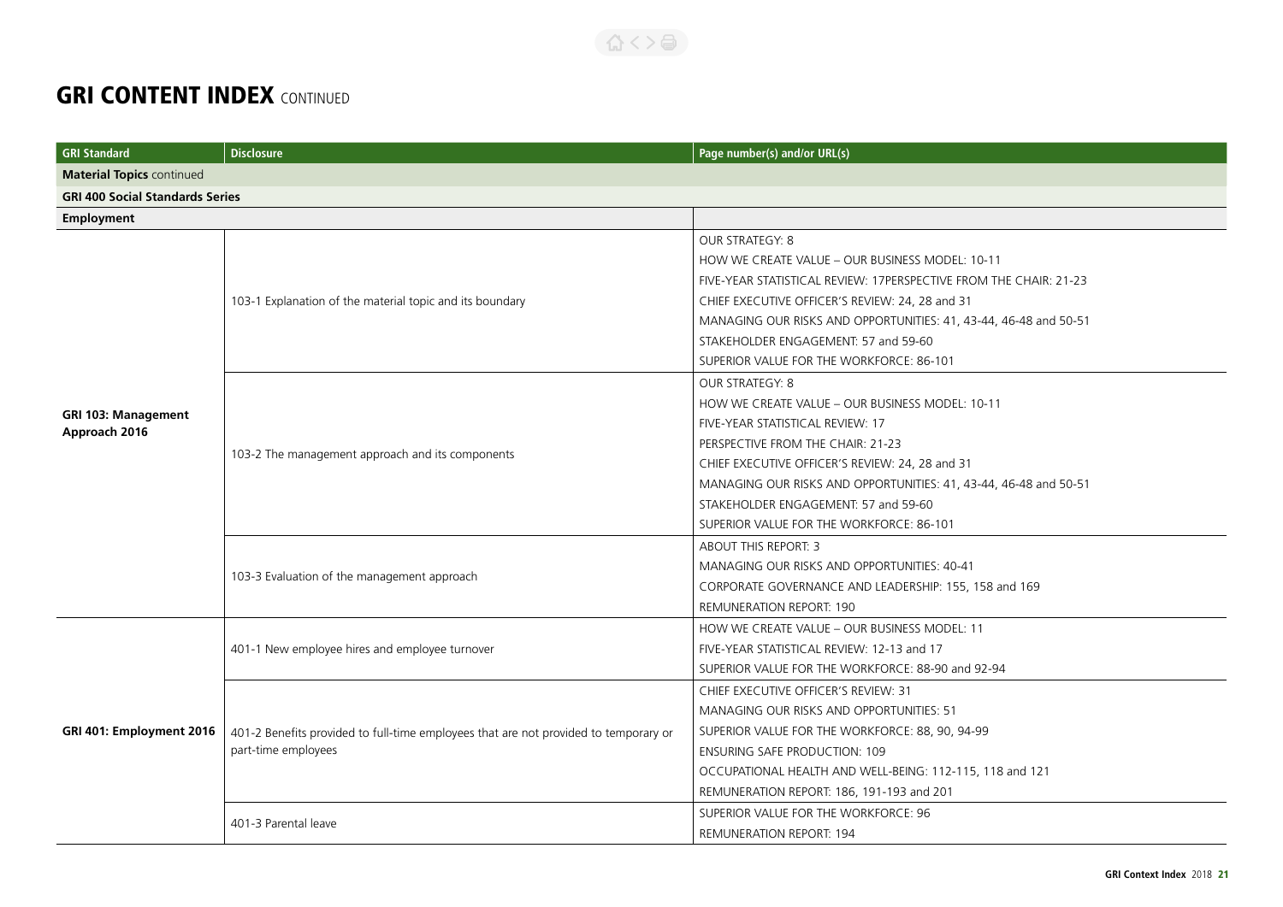#### 合くと高

| <b>GRI Standard</b>                         | <b>Disclosure</b>                                                                    | Page number(s) and/or URL(s)                                      |
|---------------------------------------------|--------------------------------------------------------------------------------------|-------------------------------------------------------------------|
| <b>Material Topics continued</b>            |                                                                                      |                                                                   |
| <b>GRI 400 Social Standards Series</b>      |                                                                                      |                                                                   |
| Employment                                  |                                                                                      |                                                                   |
|                                             |                                                                                      | OUR STRATEGY: 8                                                   |
|                                             |                                                                                      | HOW WE CREATE VALUE - OUR BUSINESS MODEL: 10-11                   |
|                                             |                                                                                      | FIVE-YEAR STATISTICAL REVIEW: 17PERSPECTIVE FROM THE CHAIR: 21-23 |
|                                             | 103-1 Explanation of the material topic and its boundary                             | CHIEF EXECUTIVE OFFICER'S REVIEW: 24, 28 and 31                   |
|                                             |                                                                                      | MANAGING OUR RISKS AND OPPORTUNITIES: 41, 43-44, 46-48 and 50-51  |
|                                             |                                                                                      | STAKEHOLDER ENGAGEMENT: 57 and 59-60                              |
|                                             |                                                                                      | SUPERIOR VALUE FOR THE WORKFORCE: 86-101                          |
|                                             |                                                                                      | <b>OUR STRATEGY: 8</b>                                            |
|                                             |                                                                                      | HOW WE CREATE VALUE - OUR BUSINESS MODEL: 10-11                   |
| <b>GRI 103: Management</b><br>Approach 2016 |                                                                                      | FIVE-YEAR STATISTICAL REVIEW: 17                                  |
|                                             |                                                                                      | PERSPECTIVE FROM THE CHAIR: 21-23                                 |
|                                             | 103-2 The management approach and its components                                     | CHIEF EXECUTIVE OFFICER'S REVIEW: 24, 28 and 31                   |
|                                             |                                                                                      | MANAGING OUR RISKS AND OPPORTUNITIES: 41, 43-44, 46-48 and 50-51  |
|                                             |                                                                                      | STAKEHOLDER ENGAGEMENT: 57 and 59-60                              |
|                                             |                                                                                      | SUPERIOR VALUE FOR THE WORKFORCE: 86-101                          |
|                                             | 103-3 Evaluation of the management approach                                          | ABOUT THIS REPORT: 3                                              |
|                                             |                                                                                      | MANAGING OUR RISKS AND OPPORTUNITIES: 40-41                       |
|                                             |                                                                                      | CORPORATE GOVERNANCE AND LEADERSHIP: 155, 158 and 169             |
|                                             |                                                                                      | <b>REMUNERATION REPORT: 190</b>                                   |
|                                             | 401-1 New employee hires and employee turnover                                       | HOW WE CREATE VALUE - OUR BUSINESS MODEL: 11                      |
|                                             |                                                                                      | FIVE-YEAR STATISTICAL REVIEW: 12-13 and 17                        |
|                                             |                                                                                      | SUPERIOR VALUE FOR THE WORKFORCE: 88-90 and 92-94                 |
|                                             |                                                                                      | CHIEF EXECUTIVE OFFICER'S REVIEW: 31                              |
| GRI 401: Employment 2016                    |                                                                                      | MANAGING OUR RISKS AND OPPORTUNITIES: 51                          |
|                                             | 401-2 Benefits provided to full-time employees that are not provided to temporary or | SUPERIOR VALUE FOR THE WORKFORCE: 88, 90, 94-99                   |
|                                             | part-time employees                                                                  | <b>ENSURING SAFE PRODUCTION: 109</b>                              |
|                                             |                                                                                      | OCCUPATIONAL HEALTH AND WELL-BEING: 112-115, 118 and 121          |
|                                             |                                                                                      | REMUNERATION REPORT: 186, 191-193 and 201                         |
|                                             | 401-3 Parental leave                                                                 | SUPERIOR VALUE FOR THE WORKFORCE: 96                              |
|                                             |                                                                                      | <b>REMUNERATION REPORT: 194</b>                                   |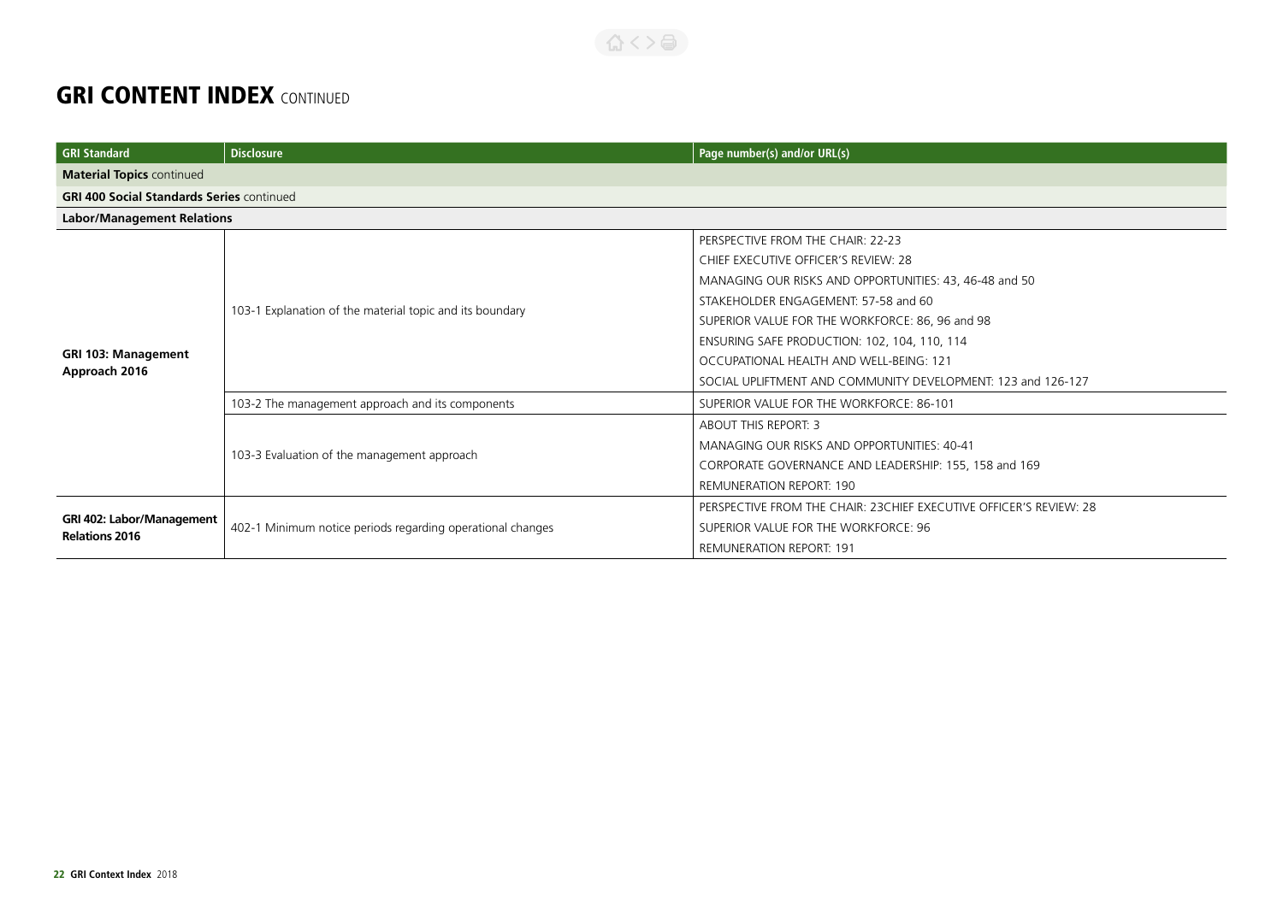| <b>GRI Standard</b>                                | <b>Disclosure</b>                                          | Page number(s) and/or URL(s)                                        |
|----------------------------------------------------|------------------------------------------------------------|---------------------------------------------------------------------|
| <b>Material Topics continued</b>                   |                                                            |                                                                     |
| <b>GRI 400 Social Standards Series continued</b>   |                                                            |                                                                     |
| <b>Labor/Management Relations</b>                  |                                                            |                                                                     |
|                                                    |                                                            | PERSPECTIVE FROM THE CHAIR: 22-23                                   |
|                                                    |                                                            | CHIEF EXECUTIVE OFFICER'S REVIEW: 28                                |
|                                                    |                                                            | MANAGING OUR RISKS AND OPPORTUNITIES: 43, 46-48 and 50              |
|                                                    |                                                            | STAKEHOLDER ENGAGEMENT: 57-58 and 60                                |
|                                                    | 103-1 Explanation of the material topic and its boundary   | SUPERIOR VALUE FOR THE WORKFORCE: 86, 96 and 98                     |
|                                                    |                                                            | ENSURING SAFE PRODUCTION: 102, 104, 110, 114                        |
| <b>GRI 103: Management</b>                         |                                                            | OCCUPATIONAL HEALTH AND WELL-BEING: 121                             |
| Approach 2016                                      |                                                            | SOCIAL UPLIFTMENT AND COMMUNITY DEVELOPMENT: 123 and 126-127        |
|                                                    | 103-2 The management approach and its components           | SUPERIOR VALUE FOR THE WORKFORCE: 86-101                            |
|                                                    | 103-3 Evaluation of the management approach                | <b>ABOUT THIS REPORT: 3</b>                                         |
|                                                    |                                                            | MANAGING OUR RISKS AND OPPORTUNITIES: 40-41                         |
|                                                    |                                                            | CORPORATE GOVERNANCE AND LEADERSHIP: 155, 158 and 169               |
|                                                    |                                                            | <b>REMUNERATION REPORT: 190</b>                                     |
| GRI 402: Labor/Management<br><b>Relations 2016</b> | 402-1 Minimum notice periods regarding operational changes | PERSPECTIVE FROM THE CHAIR: 23 CHIEF EXECUTIVE OFFICER'S REVIEW: 28 |
|                                                    |                                                            | SUPERIOR VALUE FOR THE WORKFORCE: 96                                |
|                                                    |                                                            | <b>REMUNERATION REPORT: 191</b>                                     |

合くと目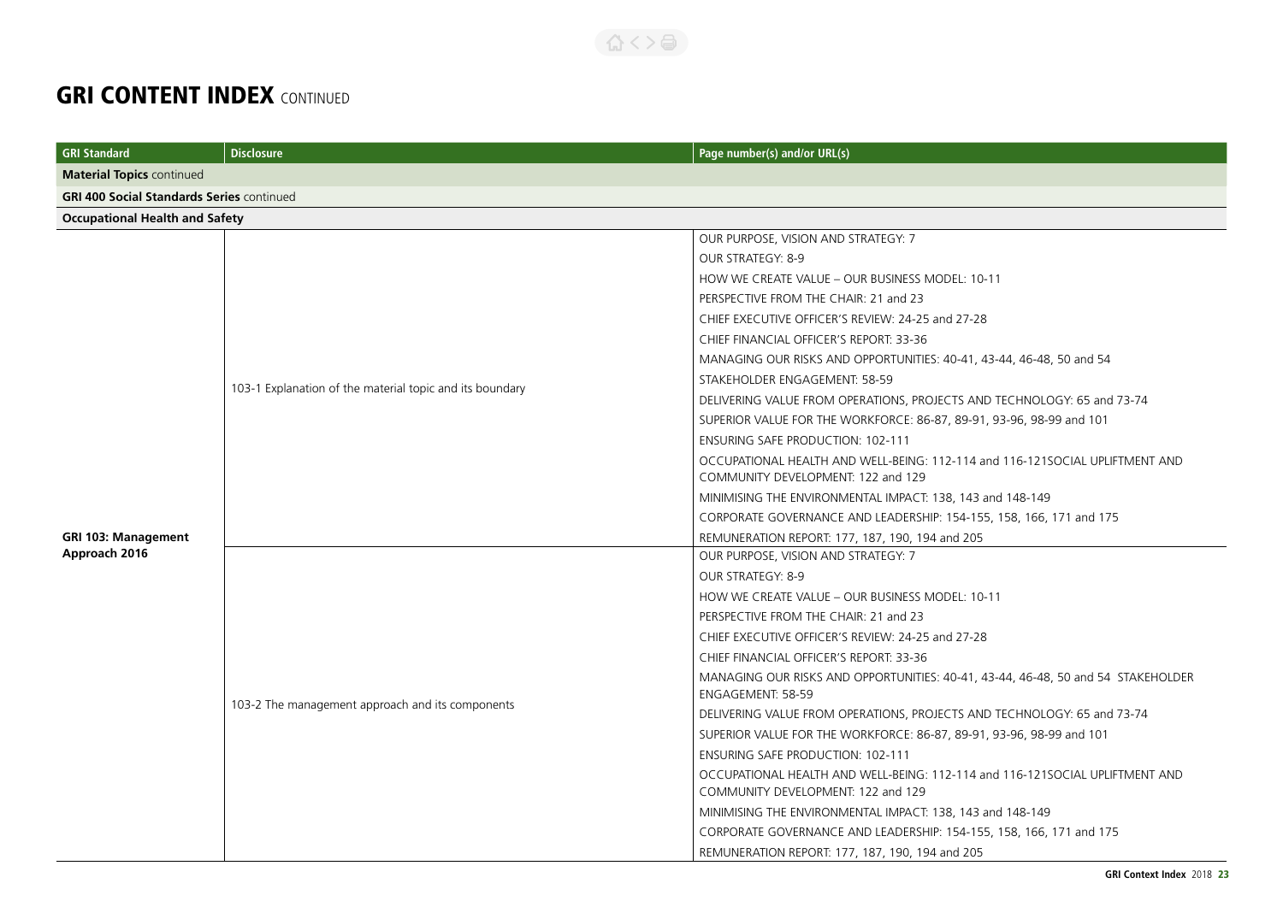| <b>GRI Standard</b>                              | <b>Disclosure</b>                                        | Page number(s) and/or URL(s)                                                                                       |  |
|--------------------------------------------------|----------------------------------------------------------|--------------------------------------------------------------------------------------------------------------------|--|
| <b>Material Topics continued</b>                 |                                                          |                                                                                                                    |  |
| <b>GRI 400 Social Standards Series continued</b> |                                                          |                                                                                                                    |  |
| <b>Occupational Health and Safety</b>            |                                                          |                                                                                                                    |  |
|                                                  |                                                          | OUR PURPOSE, VISION AND STRATEGY: 7                                                                                |  |
|                                                  |                                                          | OUR STRATEGY: 8-9                                                                                                  |  |
|                                                  |                                                          | HOW WE CREATE VALUE - OUR BUSINESS MODEL: 10-11                                                                    |  |
|                                                  |                                                          | PERSPECTIVE FROM THE CHAIR: 21 and 23                                                                              |  |
|                                                  |                                                          | CHIEF EXECUTIVE OFFICER'S REVIEW: 24-25 and 27-28                                                                  |  |
|                                                  |                                                          | CHIEF FINANCIAL OFFICER'S REPORT: 33-36                                                                            |  |
|                                                  |                                                          | MANAGING OUR RISKS AND OPPORTUNITIES: 40-41, 43-44, 46-48, 50 and 54                                               |  |
|                                                  | 103-1 Explanation of the material topic and its boundary | STAKEHOLDER ENGAGEMENT: 58-59                                                                                      |  |
|                                                  |                                                          | DELIVERING VALUE FROM OPERATIONS, PROJECTS AND TECHNOLOGY: 65 and 73-74                                            |  |
|                                                  |                                                          | SUPERIOR VALUE FOR THE WORKFORCE: 86-87, 89-91, 93-96, 98-99 and 101                                               |  |
|                                                  |                                                          | <b>ENSURING SAFE PRODUCTION: 102-111</b>                                                                           |  |
|                                                  |                                                          | OCCUPATIONAL HEALTH AND WELL-BEING: 112-114 and 116-121SOCIAL UPLIFTMENT AND                                       |  |
|                                                  |                                                          | COMMUNITY DEVELOPMENT: 122 and 129                                                                                 |  |
|                                                  |                                                          | MINIMISING THE ENVIRONMENTAL IMPACT: 138, 143 and 148-149                                                          |  |
|                                                  |                                                          | CORPORATE GOVERNANCE AND LEADERSHIP: 154-155, 158, 166, 171 and 175                                                |  |
| <b>GRI 103: Management</b>                       |                                                          | REMUNERATION REPORT: 177, 187, 190, 194 and 205                                                                    |  |
| Approach 2016                                    |                                                          | OUR PURPOSE, VISION AND STRATEGY: 7                                                                                |  |
|                                                  |                                                          | OUR STRATEGY: 8-9                                                                                                  |  |
|                                                  |                                                          | HOW WE CREATE VALUE - OUR BUSINESS MODEL: 10-11                                                                    |  |
|                                                  |                                                          | PERSPECTIVE FROM THE CHAIR: 21 and 23                                                                              |  |
|                                                  |                                                          | CHIEF EXECUTIVE OFFICER'S REVIEW: 24-25 and 27-28                                                                  |  |
|                                                  |                                                          | CHIEF FINANCIAL OFFICER'S REPORT: 33-36                                                                            |  |
|                                                  |                                                          | MANAGING OUR RISKS AND OPPORTUNITIES: 40-41, 43-44, 46-48, 50 and 54 STAKEHOLDER<br>ENGAGEMENT: 58-59              |  |
|                                                  | 103-2 The management approach and its components         | DELIVERING VALUE FROM OPERATIONS, PROJECTS AND TECHNOLOGY: 65 and 73-74                                            |  |
|                                                  |                                                          | SUPERIOR VALUE FOR THE WORKFORCE: 86-87, 89-91, 93-96, 98-99 and 101                                               |  |
|                                                  |                                                          | <b>ENSURING SAFE PRODUCTION: 102-111</b>                                                                           |  |
|                                                  |                                                          | OCCUPATIONAL HEALTH AND WELL-BEING: 112-114 and 116-121SOCIAL UPLIFTMENT AND<br>COMMUNITY DEVELOPMENT: 122 and 129 |  |
|                                                  |                                                          | MINIMISING THE ENVIRONMENTAL IMPACT: 138, 143 and 148-149                                                          |  |
|                                                  |                                                          | CORPORATE GOVERNANCE AND LEADERSHIP: 154-155, 158, 166, 171 and 175                                                |  |
|                                                  |                                                          | REMUNERATION REPORT: 177, 187, 190, 194 and 205                                                                    |  |

合くと目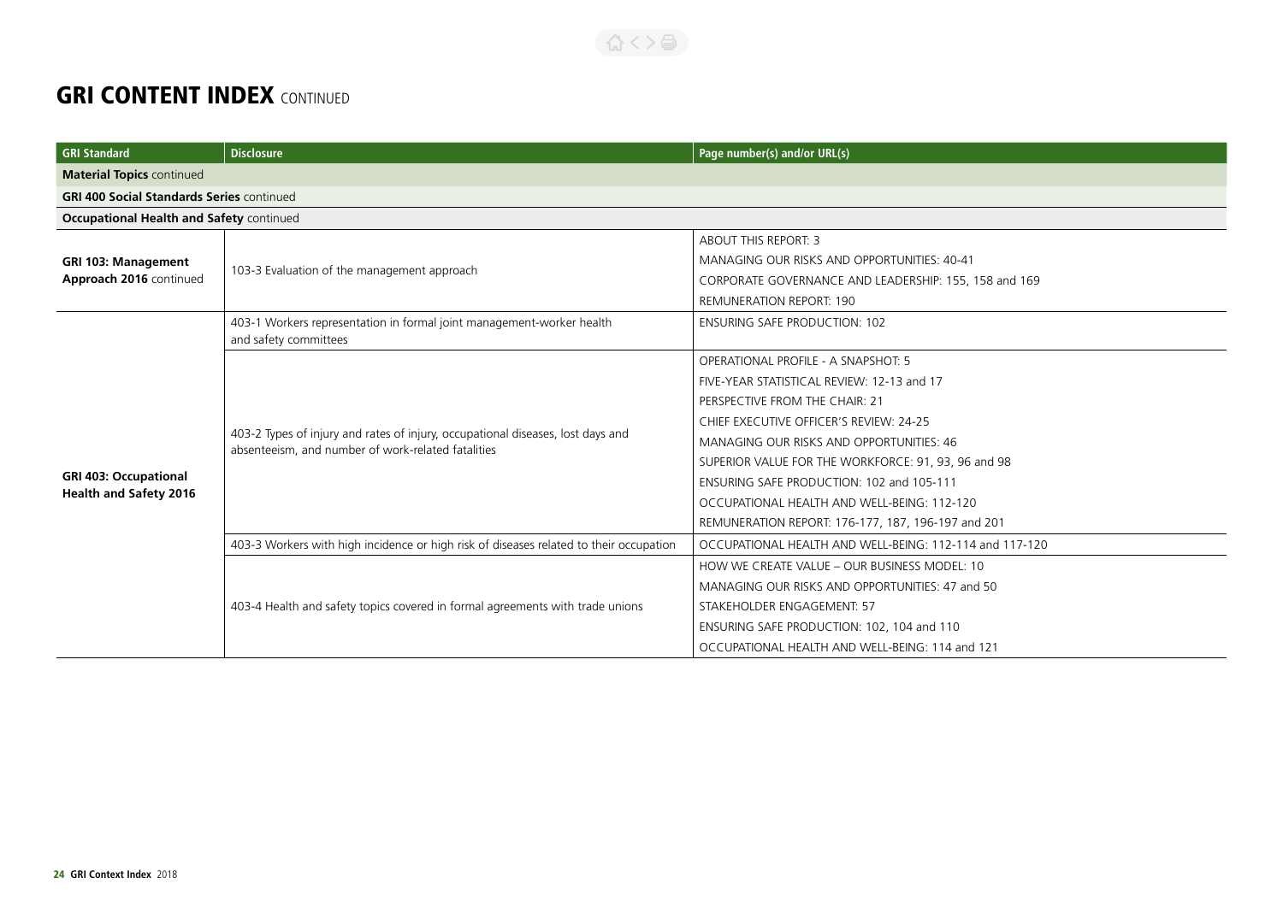| <b>GRI Standard</b>                              | <b>Disclosure</b>                                                                                                                     | Page number(s) and/or URL(s)                            |
|--------------------------------------------------|---------------------------------------------------------------------------------------------------------------------------------------|---------------------------------------------------------|
| <b>Material Topics continued</b>                 |                                                                                                                                       |                                                         |
| <b>GRI 400 Social Standards Series continued</b> |                                                                                                                                       |                                                         |
| <b>Occupational Health and Safety continued</b>  |                                                                                                                                       |                                                         |
|                                                  |                                                                                                                                       | <b>ABOUT THIS REPORT: 3</b>                             |
| <b>GRI 103: Management</b>                       |                                                                                                                                       | MANAGING OUR RISKS AND OPPORTUNITIES: 40-41             |
| Approach 2016 continued                          | 103-3 Evaluation of the management approach                                                                                           | CORPORATE GOVERNANCE AND LEADERSHIP: 155, 158 and 169   |
|                                                  |                                                                                                                                       | <b>REMUNERATION REPORT: 190</b>                         |
|                                                  | 403-1 Workers representation in formal joint management-worker health                                                                 | <b>ENSURING SAFE PRODUCTION: 102</b>                    |
|                                                  | and safety committees                                                                                                                 |                                                         |
|                                                  |                                                                                                                                       | OPERATIONAL PROFILE - A SNAPSHOT: 5                     |
|                                                  |                                                                                                                                       | FIVE-YEAR STATISTICAL REVIEW: 12-13 and 17              |
|                                                  |                                                                                                                                       | PERSPECTIVE FROM THE CHAIR: 21                          |
|                                                  | 403-2 Types of injury and rates of injury, occupational diseases, lost days and<br>absenteeism, and number of work-related fatalities | CHIEF EXECUTIVE OFFICER'S REVIEW: 24-25                 |
|                                                  |                                                                                                                                       | MANAGING OUR RISKS AND OPPORTUNITIES: 46                |
|                                                  |                                                                                                                                       | SUPERIOR VALUE FOR THE WORKFORCE: 91, 93, 96 and 98     |
| <b>GRI 403: Occupational</b>                     |                                                                                                                                       | ENSURING SAFE PRODUCTION: 102 and 105-111               |
| <b>Health and Safety 2016</b>                    |                                                                                                                                       | OCCUPATIONAL HEALTH AND WELL-BEING: 112-120             |
|                                                  |                                                                                                                                       | REMUNERATION REPORT: 176-177, 187, 196-197 and 201      |
|                                                  | 403-3 Workers with high incidence or high risk of diseases related to their occupation                                                | OCCUPATIONAL HEALTH AND WELL-BEING: 112-114 and 117-120 |
|                                                  |                                                                                                                                       | HOW WE CREATE VALUE - OUR BUSINESS MODEL: 10            |
|                                                  | 403-4 Health and safety topics covered in formal agreements with trade unions                                                         | MANAGING OUR RISKS AND OPPORTUNITIES: 47 and 50         |
|                                                  |                                                                                                                                       | STAKEHOLDER ENGAGEMENT: 57                              |
|                                                  |                                                                                                                                       | ENSURING SAFE PRODUCTION: 102, 104 and 110              |
|                                                  |                                                                                                                                       | OCCUPATIONAL HEALTH AND WELL-BEING: 114 and 121         |

公く>台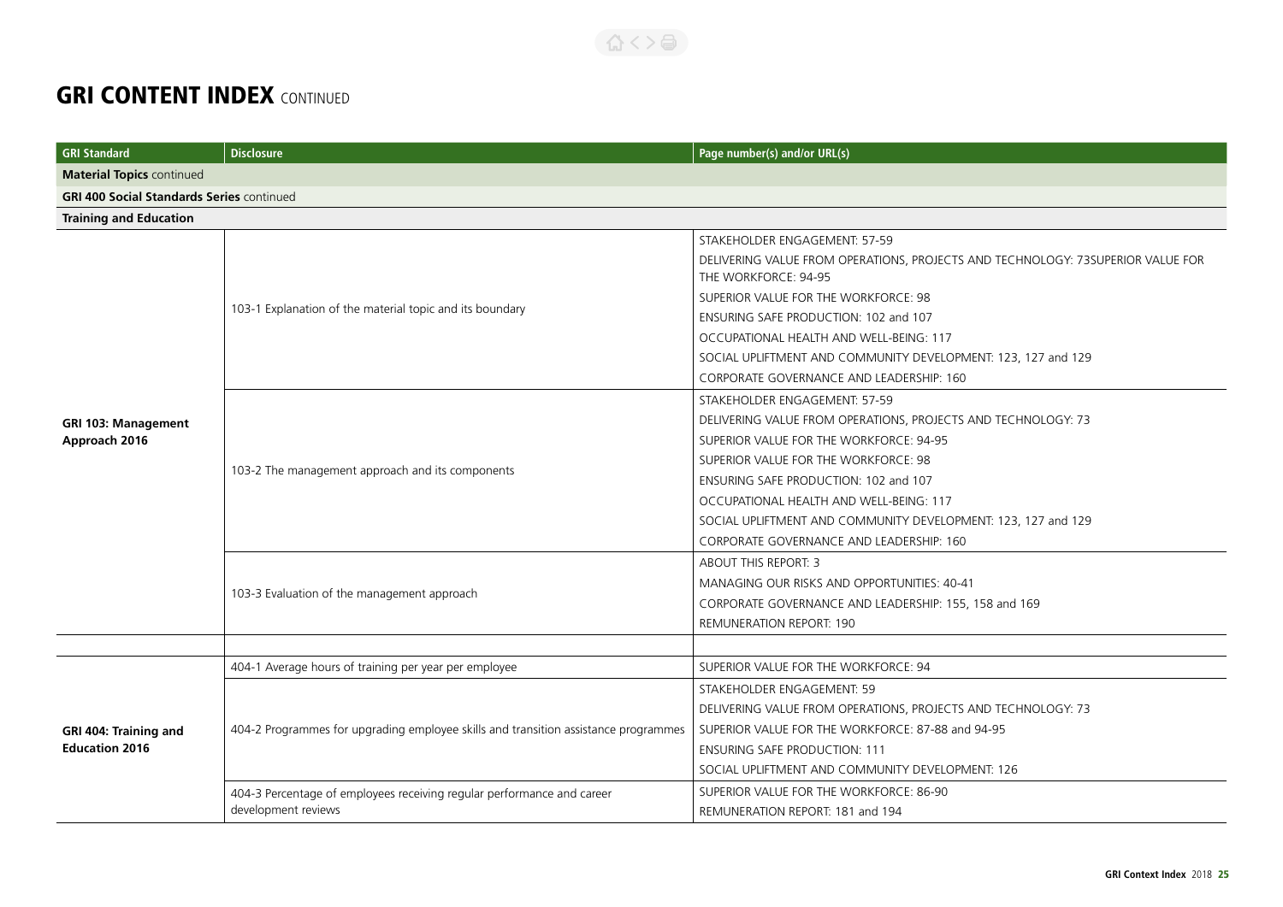| <b>GRI Standard</b>                              | <b>Disclosure</b>                                                                             | Page number(s) and/or URL(s)                                                                            |  |
|--------------------------------------------------|-----------------------------------------------------------------------------------------------|---------------------------------------------------------------------------------------------------------|--|
| <b>Material Topics continued</b>                 |                                                                                               |                                                                                                         |  |
| <b>GRI 400 Social Standards Series continued</b> |                                                                                               |                                                                                                         |  |
| <b>Training and Education</b>                    |                                                                                               |                                                                                                         |  |
|                                                  |                                                                                               | STAKEHOLDER ENGAGEMENT: 57-59                                                                           |  |
|                                                  |                                                                                               | DELIVERING VALUE FROM OPERATIONS, PROJECTS AND TECHNOLOGY: 73SUPERIOR VALUE FOR<br>THE WORKFORCE: 94-95 |  |
|                                                  |                                                                                               | SUPERIOR VALUE FOR THE WORKFORCE: 98                                                                    |  |
|                                                  | 103-1 Explanation of the material topic and its boundary                                      | ENSURING SAFE PRODUCTION: 102 and 107                                                                   |  |
|                                                  |                                                                                               | OCCUPATIONAL HEALTH AND WELL-BEING: 117                                                                 |  |
|                                                  |                                                                                               | SOCIAL UPLIFTMENT AND COMMUNITY DEVELOPMENT: 123, 127 and 129                                           |  |
|                                                  |                                                                                               | CORPORATE GOVERNANCE AND LEADERSHIP: 160                                                                |  |
|                                                  |                                                                                               | STAKEHOLDER ENGAGEMENT: 57-59                                                                           |  |
| <b>GRI 103: Management</b>                       | 103-2 The management approach and its components                                              | DELIVERING VALUE FROM OPERATIONS, PROJECTS AND TECHNOLOGY: 73                                           |  |
| Approach 2016                                    |                                                                                               | SUPERIOR VALUE FOR THE WORKFORCE: 94-95                                                                 |  |
|                                                  |                                                                                               | SUPERIOR VALUE FOR THE WORKFORCE: 98                                                                    |  |
|                                                  |                                                                                               | ENSURING SAFE PRODUCTION: 102 and 107                                                                   |  |
|                                                  |                                                                                               | OCCUPATIONAL HEALTH AND WELL-BEING: 117                                                                 |  |
|                                                  |                                                                                               | SOCIAL UPLIFTMENT AND COMMUNITY DEVELOPMENT: 123, 127 and 129                                           |  |
|                                                  |                                                                                               | CORPORATE GOVERNANCE AND LEADERSHIP: 160                                                                |  |
|                                                  | 103-3 Evaluation of the management approach                                                   | <b>ABOUT THIS REPORT: 3</b>                                                                             |  |
|                                                  |                                                                                               | MANAGING OUR RISKS AND OPPORTUNITIES: 40-41                                                             |  |
|                                                  |                                                                                               | CORPORATE GOVERNANCE AND LEADERSHIP: 155, 158 and 169                                                   |  |
|                                                  |                                                                                               | <b>REMUNERATION REPORT: 190</b>                                                                         |  |
|                                                  |                                                                                               |                                                                                                         |  |
|                                                  | 404-1 Average hours of training per year per employee                                         | SUPERIOR VALUE FOR THE WORKFORCE: 94                                                                    |  |
|                                                  | 404-2 Programmes for upgrading employee skills and transition assistance programmes           | STAKEHOLDER ENGAGEMENT: 59                                                                              |  |
| GRI 404: Training and<br><b>Education 2016</b>   |                                                                                               | DELIVERING VALUE FROM OPERATIONS, PROJECTS AND TECHNOLOGY: 73                                           |  |
|                                                  |                                                                                               | SUPERIOR VALUE FOR THE WORKFORCE: 87-88 and 94-95                                                       |  |
|                                                  |                                                                                               | <b>ENSURING SAFE PRODUCTION: 111</b>                                                                    |  |
|                                                  |                                                                                               | SOCIAL UPLIFTMENT AND COMMUNITY DEVELOPMENT: 126                                                        |  |
|                                                  | 404-3 Percentage of employees receiving regular performance and career<br>development reviews | SUPERIOR VALUE FOR THE WORKFORCE: 86-90                                                                 |  |
|                                                  |                                                                                               | REMUNERATION REPORT: 181 and 194                                                                        |  |

合くと高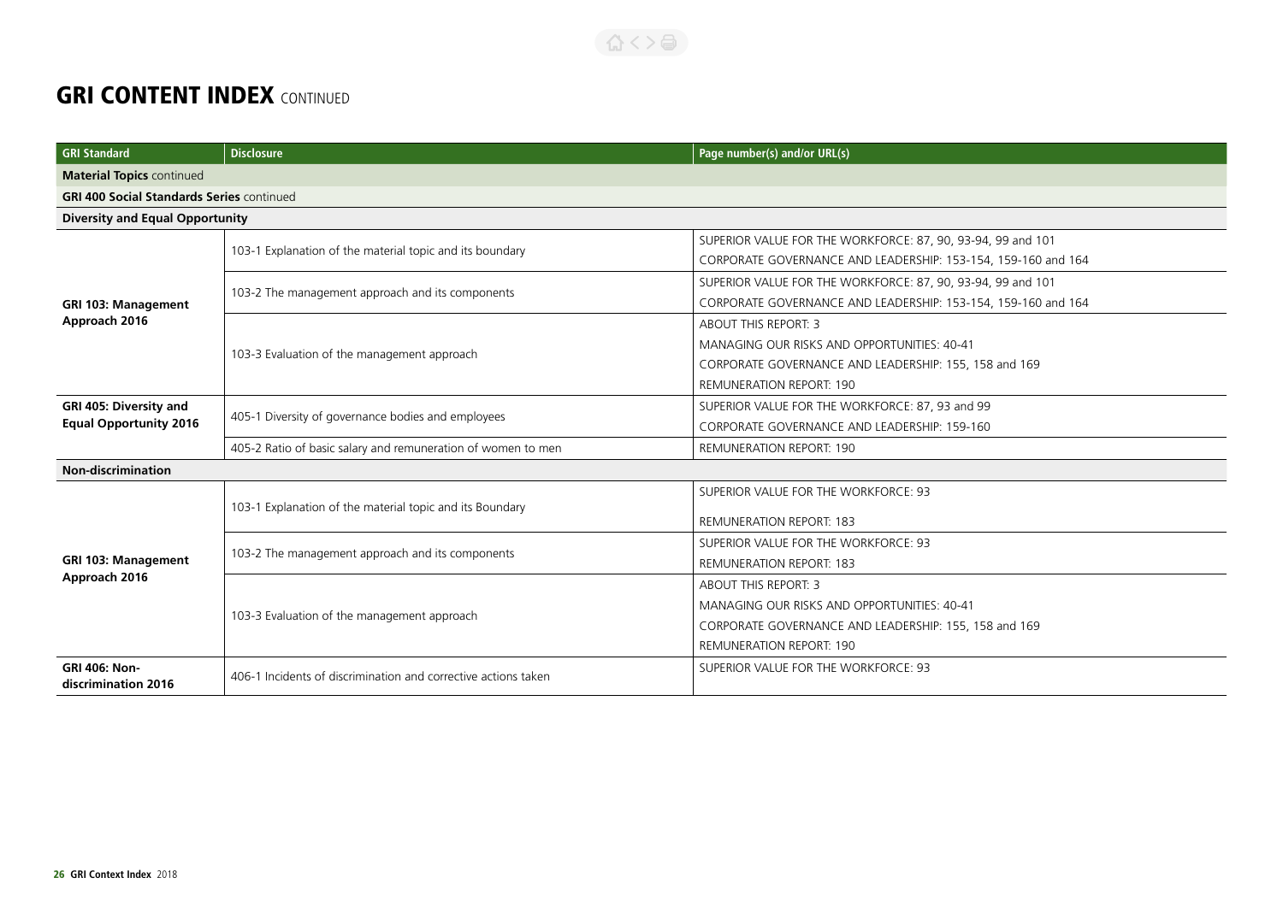| <b>GRI Standard</b>                              | <b>Disclosure</b>                                              | Page number(s) and/or URL(s)                                  |  |
|--------------------------------------------------|----------------------------------------------------------------|---------------------------------------------------------------|--|
| <b>Material Topics continued</b>                 |                                                                |                                                               |  |
| <b>GRI 400 Social Standards Series continued</b> |                                                                |                                                               |  |
| <b>Diversity and Equal Opportunity</b>           |                                                                |                                                               |  |
|                                                  | 103-1 Explanation of the material topic and its boundary       | SUPERIOR VALUE FOR THE WORKFORCE: 87, 90, 93-94, 99 and 101   |  |
|                                                  |                                                                | CORPORATE GOVERNANCE AND LEADERSHIP: 153-154, 159-160 and 164 |  |
|                                                  | 103-2 The management approach and its components               | SUPERIOR VALUE FOR THE WORKFORCE: 87, 90, 93-94, 99 and 101   |  |
| <b>GRI 103: Management</b>                       |                                                                | CORPORATE GOVERNANCE AND LEADERSHIP: 153-154, 159-160 and 164 |  |
| Approach 2016                                    |                                                                | <b>ABOUT THIS REPORT: 3</b>                                   |  |
|                                                  | 103-3 Evaluation of the management approach                    | MANAGING OUR RISKS AND OPPORTUNITIES: 40-41                   |  |
|                                                  |                                                                | CORPORATE GOVERNANCE AND LEADERSHIP: 155, 158 and 169         |  |
|                                                  |                                                                | <b>REMUNERATION REPORT: 190</b>                               |  |
| GRI 405: Diversity and                           | 405-1 Diversity of governance bodies and employees             | SUPERIOR VALUE FOR THE WORKFORCE: 87, 93 and 99               |  |
| <b>Equal Opportunity 2016</b>                    |                                                                | CORPORATE GOVERNANCE AND LEADERSHIP: 159-160                  |  |
|                                                  | 405-2 Ratio of basic salary and remuneration of women to men   | <b>REMUNERATION REPORT: 190</b>                               |  |
| <b>Non-discrimination</b>                        |                                                                |                                                               |  |
|                                                  | 103-1 Explanation of the material topic and its Boundary       | SUPERIOR VALUE FOR THE WORKFORCE: 93                          |  |
|                                                  |                                                                | <b>REMUNERATION REPORT: 183</b>                               |  |
|                                                  | 103-2 The management approach and its components               | SUPERIOR VALUE FOR THE WORKFORCE: 93                          |  |
| <b>GRI 103: Management</b>                       |                                                                | <b>REMUNERATION REPORT: 183</b>                               |  |
| Approach 2016                                    | 103-3 Evaluation of the management approach                    | <b>ABOUT THIS REPORT: 3</b>                                   |  |
|                                                  |                                                                | MANAGING OUR RISKS AND OPPORTUNITIES: 40-41                   |  |
|                                                  |                                                                | CORPORATE GOVERNANCE AND LEADERSHIP: 155, 158 and 169         |  |
|                                                  |                                                                | <b>REMUNERATION REPORT: 190</b>                               |  |
| <b>GRI 406: Non-</b><br>discrimination 2016      | 406-1 Incidents of discrimination and corrective actions taken | SUPERIOR VALUE FOR THE WORKFORCE: 93                          |  |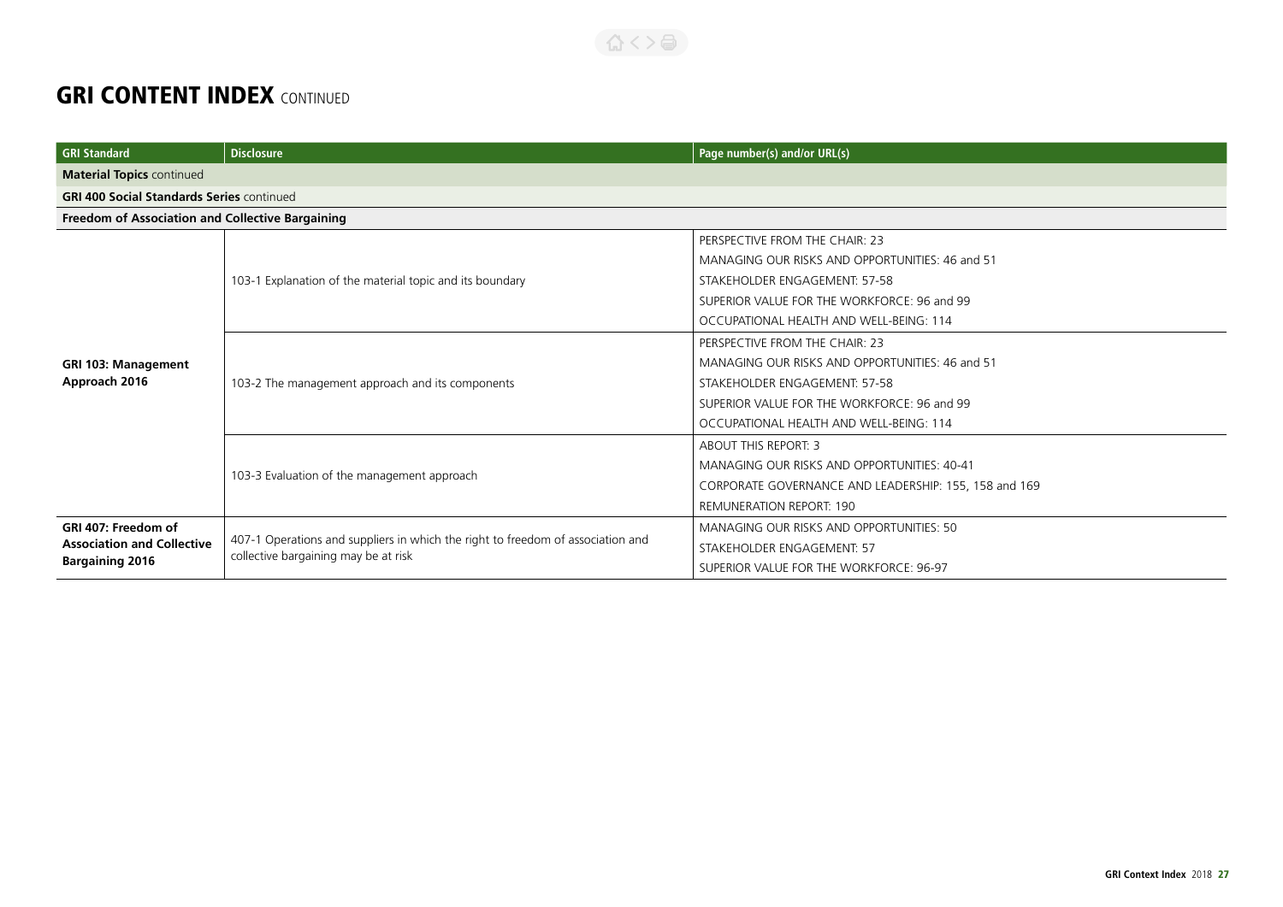| <b>GRI Standard</b>                                         | <b>Disclosure</b>                                                                                                       | Page number(s) and/or URL(s)                          |
|-------------------------------------------------------------|-------------------------------------------------------------------------------------------------------------------------|-------------------------------------------------------|
| <b>Material Topics continued</b>                            |                                                                                                                         |                                                       |
| <b>GRI 400 Social Standards Series continued</b>            |                                                                                                                         |                                                       |
| Freedom of Association and Collective Bargaining            |                                                                                                                         |                                                       |
|                                                             | 103-1 Explanation of the material topic and its boundary                                                                | PERSPECTIVE FROM THE CHAIR: 23                        |
|                                                             |                                                                                                                         | MANAGING OUR RISKS AND OPPORTUNITIES: 46 and 51       |
|                                                             |                                                                                                                         | STAKEHOLDER ENGAGEMENT: 57-58                         |
|                                                             |                                                                                                                         | SUPERIOR VALUE FOR THE WORKFORCE: 96 and 99           |
|                                                             |                                                                                                                         | OCCUPATIONAL HEALTH AND WELL-BEING: 114               |
|                                                             | 103-2 The management approach and its components                                                                        | PERSPECTIVE FROM THE CHAIR: 23                        |
| <b>GRI 103: Management</b>                                  |                                                                                                                         | MANAGING OUR RISKS AND OPPORTUNITIES: 46 and 51       |
| Approach 2016                                               |                                                                                                                         | STAKEHOLDER ENGAGEMENT: 57-58                         |
|                                                             |                                                                                                                         | SUPERIOR VALUE FOR THE WORKFORCE: 96 and 99           |
|                                                             |                                                                                                                         | OCCUPATIONAL HEALTH AND WELL-BEING: 114               |
|                                                             | 103-3 Evaluation of the management approach                                                                             | <b>ABOUT THIS REPORT: 3</b>                           |
|                                                             |                                                                                                                         | MANAGING OUR RISKS AND OPPORTUNITIES: 40-41           |
|                                                             |                                                                                                                         | CORPORATE GOVERNANCE AND LEADERSHIP: 155, 158 and 169 |
|                                                             |                                                                                                                         | <b>REMUNERATION REPORT: 190</b>                       |
| GRI 407: Freedom of                                         | 407-1 Operations and suppliers in which the right to freedom of association and<br>collective bargaining may be at risk | MANAGING OUR RISKS AND OPPORTUNITIES: 50              |
| <b>Association and Collective</b><br><b>Bargaining 2016</b> |                                                                                                                         | STAKEHOLDER ENGAGEMENT: 57                            |
|                                                             |                                                                                                                         | SUPERIOR VALUE FOR THE WORKFORCE: 96-97               |

合くと高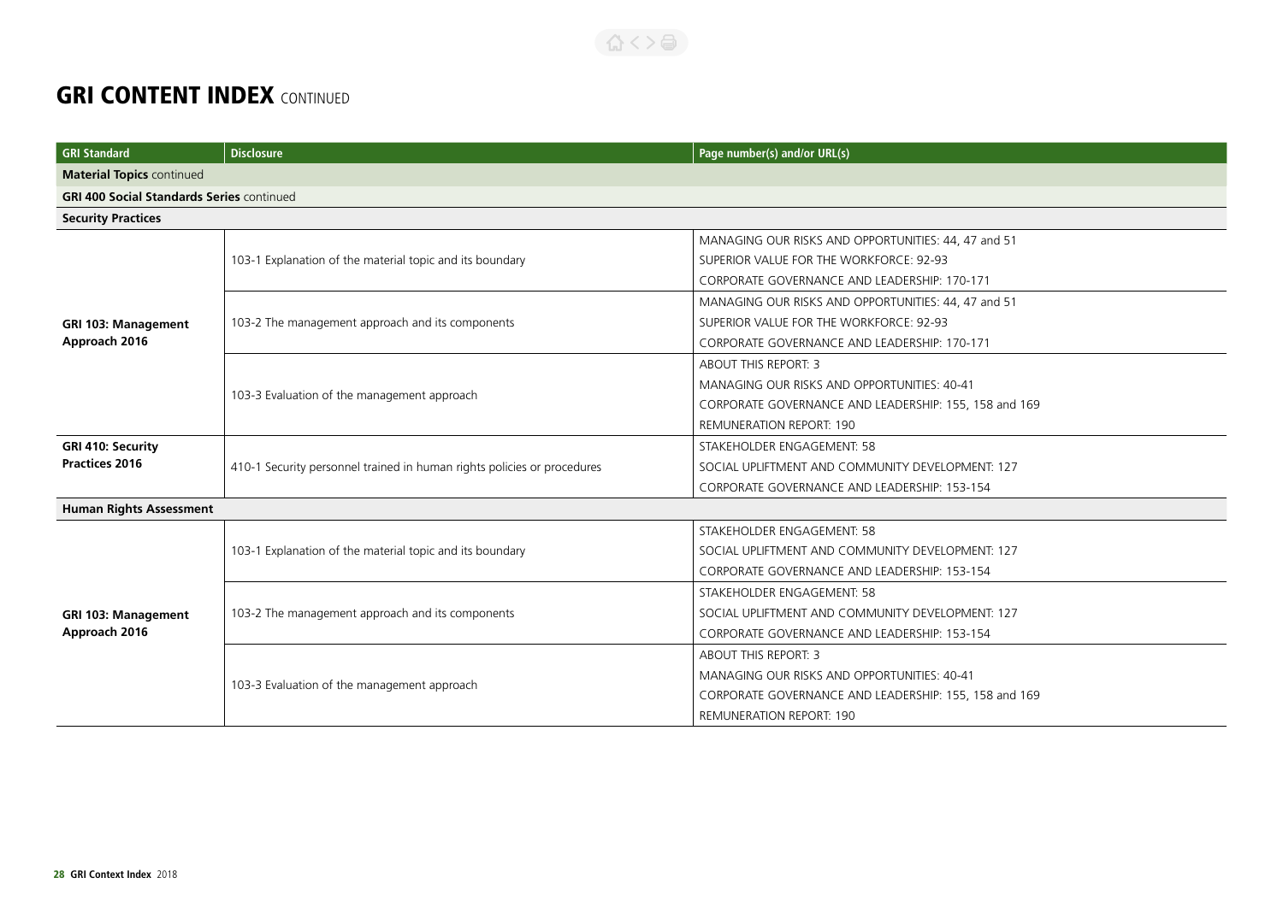| <b>GRI Standard</b>                              | <b>Disclosure</b>                                                       | Page number(s) and/or URL(s)                          |
|--------------------------------------------------|-------------------------------------------------------------------------|-------------------------------------------------------|
| <b>Material Topics continued</b>                 |                                                                         |                                                       |
| <b>GRI 400 Social Standards Series continued</b> |                                                                         |                                                       |
| <b>Security Practices</b>                        |                                                                         |                                                       |
|                                                  |                                                                         | MANAGING OUR RISKS AND OPPORTUNITIES: 44, 47 and 51   |
|                                                  | 103-1 Explanation of the material topic and its boundary                | SUPERIOR VALUE FOR THE WORKFORCE: 92-93               |
|                                                  |                                                                         | CORPORATE GOVERNANCE AND LEADERSHIP: 170-171          |
|                                                  |                                                                         | MANAGING OUR RISKS AND OPPORTUNITIES: 44, 47 and 51   |
| <b>GRI 103: Management</b>                       | 103-2 The management approach and its components                        | SUPERIOR VALUE FOR THE WORKFORCE: 92-93               |
| Approach 2016                                    |                                                                         | CORPORATE GOVERNANCE AND LEADERSHIP: 170-171          |
|                                                  |                                                                         | ABOUT THIS REPORT: 3                                  |
|                                                  |                                                                         | MANAGING OUR RISKS AND OPPORTUNITIES: 40-41           |
|                                                  | 103-3 Evaluation of the management approach                             | CORPORATE GOVERNANCE AND LEADERSHIP: 155, 158 and 169 |
|                                                  |                                                                         | <b>REMUNERATION REPORT: 190</b>                       |
| GRI 410: Security                                | 410-1 Security personnel trained in human rights policies or procedures | STAKEHOLDER ENGAGEMENT: 58                            |
| <b>Practices 2016</b>                            |                                                                         | SOCIAL UPLIFTMENT AND COMMUNITY DEVELOPMENT: 127      |
|                                                  |                                                                         | CORPORATE GOVERNANCE AND LEADERSHIP: 153-154          |
| <b>Human Rights Assessment</b>                   |                                                                         |                                                       |
|                                                  | 103-1 Explanation of the material topic and its boundary                | STAKEHOLDER ENGAGEMENT: 58                            |
|                                                  |                                                                         | SOCIAL UPLIFTMENT AND COMMUNITY DEVELOPMENT: 127      |
|                                                  |                                                                         | CORPORATE GOVERNANCE AND LEADERSHIP: 153-154          |
|                                                  | 103-2 The management approach and its components                        | STAKEHOLDER ENGAGEMENT: 58                            |
| GRI 103: Management                              |                                                                         | SOCIAL UPLIFTMENT AND COMMUNITY DEVELOPMENT: 127      |
| Approach 2016                                    |                                                                         | CORPORATE GOVERNANCE AND LEADERSHIP: 153-154          |
|                                                  | 103-3 Evaluation of the management approach                             | ABOUT THIS REPORT: 3                                  |
|                                                  |                                                                         | MANAGING OUR RISKS AND OPPORTUNITIES: 40-41           |
|                                                  |                                                                         | CORPORATE GOVERNANCE AND LEADERSHIP: 155, 158 and 169 |
|                                                  |                                                                         | <b>REMUNERATION REPORT: 190</b>                       |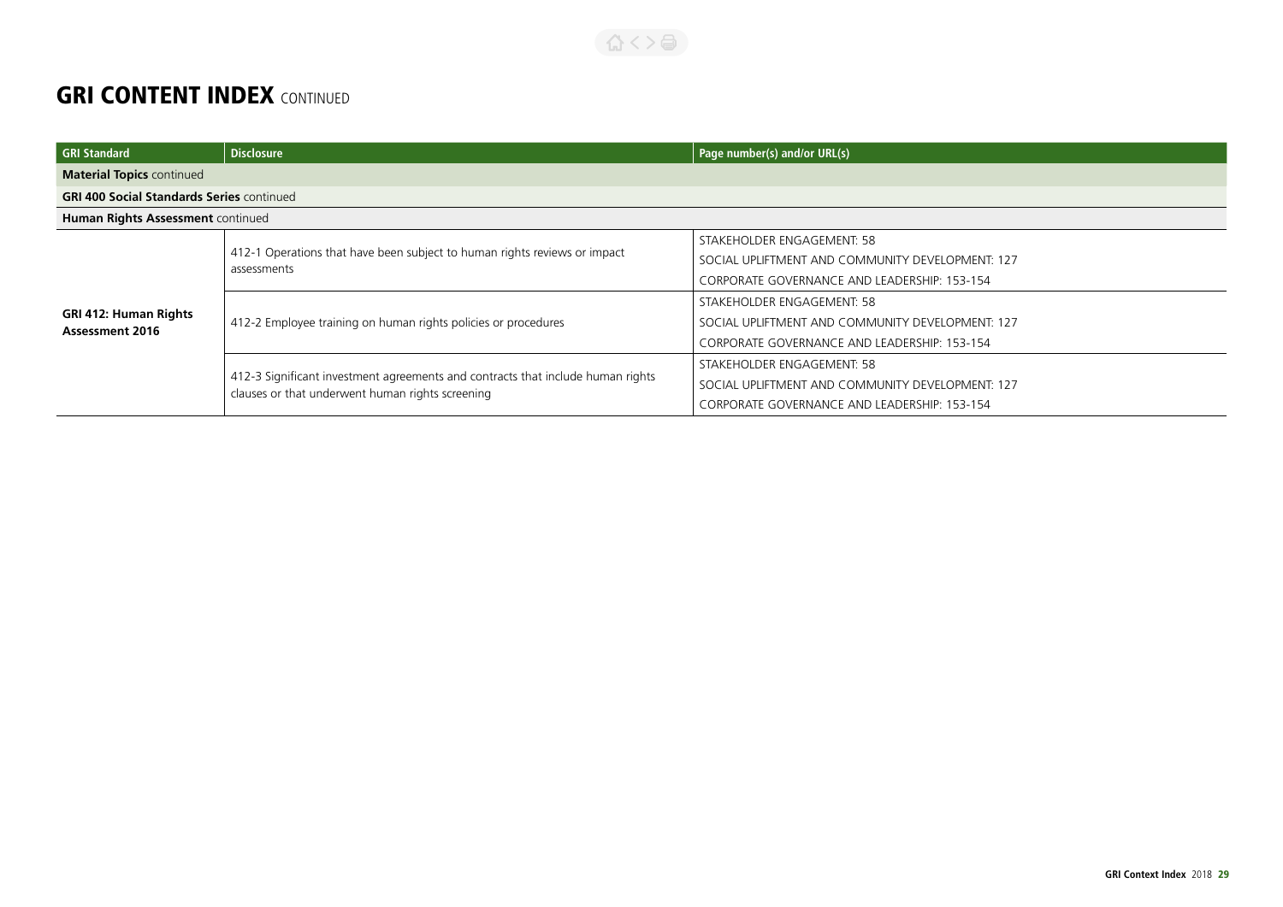#### 合くと目

| <b>GRI Standard</b>                                    | <b>Disclosure</b>                                                                                                                   | Page number(s) and/or URL(s)                     |
|--------------------------------------------------------|-------------------------------------------------------------------------------------------------------------------------------------|--------------------------------------------------|
| <b>Material Topics continued</b>                       |                                                                                                                                     |                                                  |
| <b>GRI 400 Social Standards Series continued</b>       |                                                                                                                                     |                                                  |
| Human Rights Assessment continued                      |                                                                                                                                     |                                                  |
| <b>GRI 412: Human Rights</b><br><b>Assessment 2016</b> | 412-1 Operations that have been subject to human rights reviews or impact<br>assessments                                            | STAKEHOLDER ENGAGEMENT: 58                       |
|                                                        |                                                                                                                                     | SOCIAL UPLIFTMENT AND COMMUNITY DEVELOPMENT: 127 |
|                                                        |                                                                                                                                     | CORPORATE GOVERNANCE AND LEADERSHIP: 153-154     |
|                                                        | 412-2 Employee training on human rights policies or procedures                                                                      | STAKEHOLDER ENGAGEMENT: 58                       |
|                                                        |                                                                                                                                     | SOCIAL UPLIFTMENT AND COMMUNITY DEVELOPMENT: 127 |
|                                                        |                                                                                                                                     | CORPORATE GOVERNANCE AND LEADERSHIP: 153-154     |
|                                                        | 412-3 Significant investment agreements and contracts that include human rights<br>clauses or that underwent human rights screening | STAKEHOLDER ENGAGEMENT: 58                       |
|                                                        |                                                                                                                                     | SOCIAL UPLIFTMENT AND COMMUNITY DEVELOPMENT: 127 |
|                                                        |                                                                                                                                     | CORPORATE GOVERNANCE AND LEADERSHIP: 153-154     |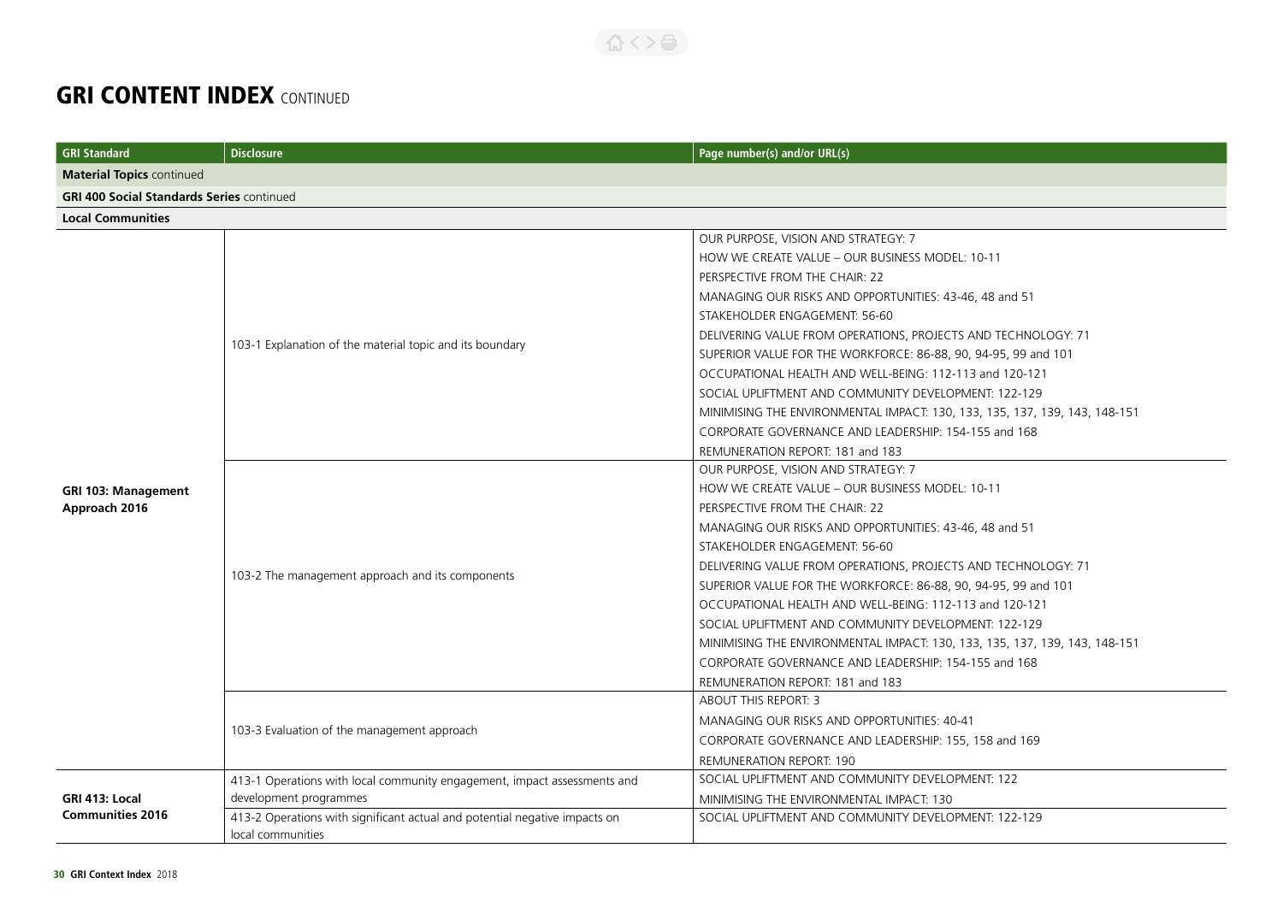| <b>GRI Standard</b>                              | <b>Disclosure</b>                                                                               | Page number(s) and/or URL(s)                                               |
|--------------------------------------------------|-------------------------------------------------------------------------------------------------|----------------------------------------------------------------------------|
| <b>Material Topics continued</b>                 |                                                                                                 |                                                                            |
| <b>GRI 400 Social Standards Series continued</b> |                                                                                                 |                                                                            |
| <b>Local Communities</b>                         |                                                                                                 |                                                                            |
|                                                  |                                                                                                 | OUR PURPOSE, VISION AND STRATEGY: 7                                        |
|                                                  |                                                                                                 | HOW WE CREATE VALUE - OUR BUSINESS MODEL: 10-11                            |
|                                                  |                                                                                                 | PERSPECTIVE FROM THE CHAIR: 22                                             |
|                                                  |                                                                                                 | MANAGING OUR RISKS AND OPPORTUNITIES: 43-46, 48 and 51                     |
|                                                  |                                                                                                 | STAKEHOLDER ENGAGEMENT: 56-60                                              |
|                                                  | 103-1 Explanation of the material topic and its boundary                                        | DELIVERING VALUE FROM OPERATIONS, PROJECTS AND TECHNOLOGY: 71              |
|                                                  |                                                                                                 | SUPERIOR VALUE FOR THE WORKFORCE: 86-88, 90, 94-95, 99 and 101             |
|                                                  |                                                                                                 | OCCUPATIONAL HEALTH AND WELL-BEING: 112-113 and 120-121                    |
|                                                  |                                                                                                 | SOCIAL UPLIFTMENT AND COMMUNITY DEVELOPMENT: 122-129                       |
|                                                  |                                                                                                 | MINIMISING THE ENVIRONMENTAL IMPACT: 130, 133, 135, 137, 139, 143, 148-151 |
|                                                  |                                                                                                 | CORPORATE GOVERNANCE AND LEADERSHIP: 154-155 and 168                       |
|                                                  |                                                                                                 | REMUNERATION REPORT: 181 and 183                                           |
|                                                  |                                                                                                 | OUR PURPOSE, VISION AND STRATEGY: 7                                        |
| <b>GRI 103: Management</b>                       |                                                                                                 | HOW WE CREATE VALUE - OUR BUSINESS MODEL: 10-11                            |
| Approach 2016                                    |                                                                                                 | PERSPECTIVE FROM THE CHAIR: 22                                             |
|                                                  |                                                                                                 | MANAGING OUR RISKS AND OPPORTUNITIES: 43-46, 48 and 51                     |
|                                                  |                                                                                                 | STAKEHOLDER ENGAGEMENT: 56-60                                              |
|                                                  |                                                                                                 | DELIVERING VALUE FROM OPERATIONS, PROJECTS AND TECHNOLOGY: 71              |
|                                                  | 103-2 The management approach and its components                                                | SUPERIOR VALUE FOR THE WORKFORCE: 86-88, 90, 94-95, 99 and 101             |
|                                                  |                                                                                                 | OCCUPATIONAL HEALTH AND WELL-BEING: 112-113 and 120-121                    |
|                                                  |                                                                                                 | SOCIAL UPLIFTMENT AND COMMUNITY DEVELOPMENT: 122-129                       |
|                                                  |                                                                                                 | MINIMISING THE ENVIRONMENTAL IMPACT: 130, 133, 135, 137, 139, 143, 148-151 |
|                                                  |                                                                                                 | CORPORATE GOVERNANCE AND LEADERSHIP: 154-155 and 168                       |
|                                                  |                                                                                                 | REMUNERATION REPORT: 181 and 183                                           |
|                                                  | 103-3 Evaluation of the management approach                                                     | ABOUT THIS REPORT: 3                                                       |
|                                                  |                                                                                                 | MANAGING OUR RISKS AND OPPORTUNITIES: 40-41                                |
|                                                  |                                                                                                 | CORPORATE GOVERNANCE AND LEADERSHIP: 155, 158 and 169                      |
|                                                  |                                                                                                 | <b>REMUNERATION REPORT: 190</b>                                            |
|                                                  | 413-1 Operations with local community engagement, impact assessments and                        | SOCIAL UPLIFTMENT AND COMMUNITY DEVELOPMENT: 122                           |
| GRI 413: Local                                   | development programmes                                                                          | MINIMISING THE ENVIRONMENTAL IMPACT: 130                                   |
| <b>Communities 2016</b>                          | 413-2 Operations with significant actual and potential negative impacts on<br>local communities | SOCIAL UPLIFTMENT AND COMMUNITY DEVELOPMENT: 122-129                       |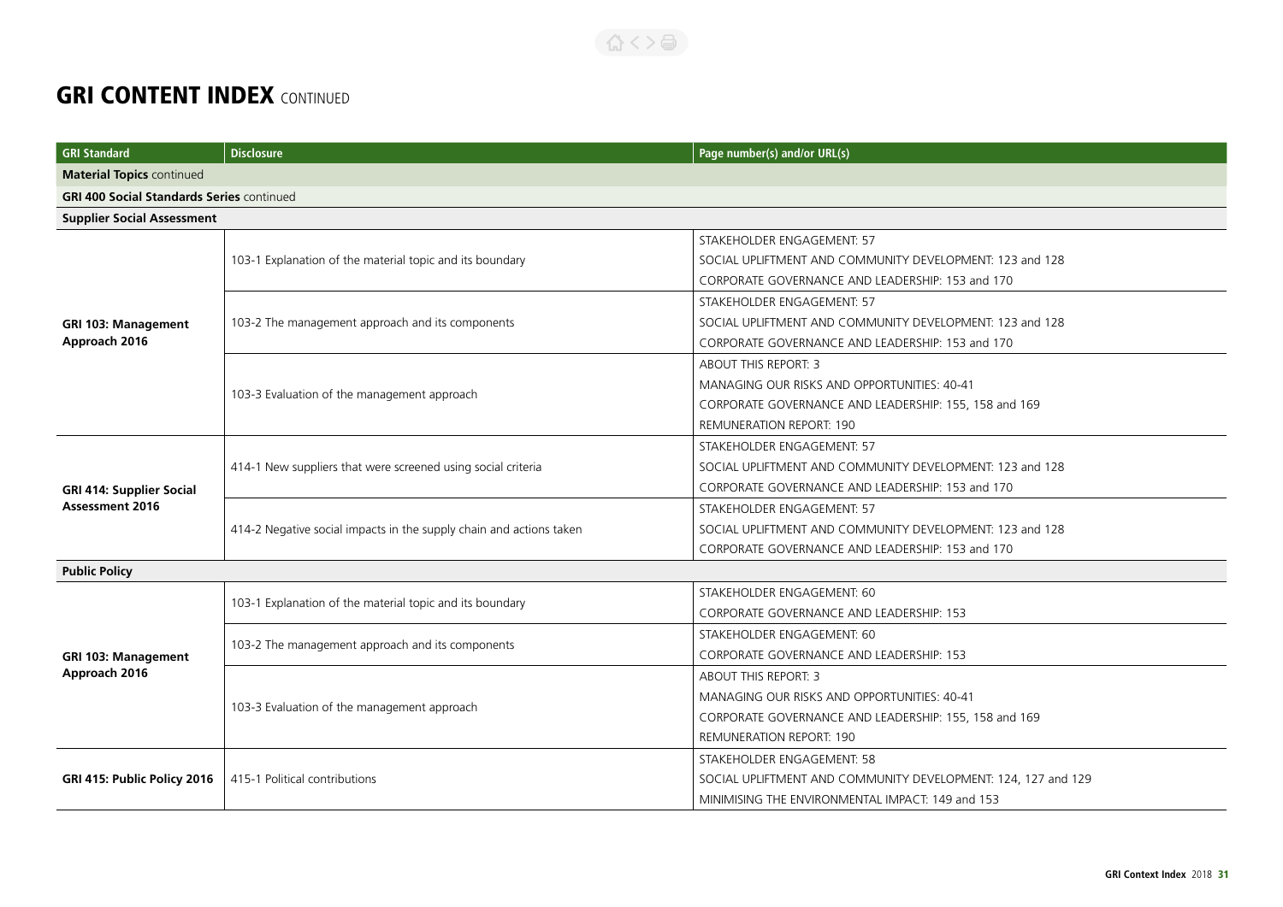| <b>GRI Standard</b>                              | <b>Disclosure</b>                                                   | Page number(s) and/or URL(s)                                  |
|--------------------------------------------------|---------------------------------------------------------------------|---------------------------------------------------------------|
| <b>Material Topics continued</b>                 |                                                                     |                                                               |
| <b>GRI 400 Social Standards Series continued</b> |                                                                     |                                                               |
| <b>Supplier Social Assessment</b>                |                                                                     |                                                               |
|                                                  |                                                                     | STAKEHOLDER ENGAGEMENT: 57                                    |
|                                                  | 103-1 Explanation of the material topic and its boundary            | SOCIAL UPLIFTMENT AND COMMUNITY DEVELOPMENT: 123 and 128      |
|                                                  |                                                                     | CORPORATE GOVERNANCE AND LEADERSHIP: 153 and 170              |
|                                                  |                                                                     | STAKEHOLDER ENGAGEMENT: 57                                    |
| <b>GRI 103: Management</b>                       | 103-2 The management approach and its components                    | SOCIAL UPLIFTMENT AND COMMUNITY DEVELOPMENT: 123 and 128      |
| Approach 2016                                    |                                                                     | CORPORATE GOVERNANCE AND LEADERSHIP: 153 and 170              |
|                                                  |                                                                     | <b>ABOUT THIS REPORT: 3</b>                                   |
|                                                  | 103-3 Evaluation of the management approach                         | MANAGING OUR RISKS AND OPPORTUNITIES: 40-41                   |
|                                                  |                                                                     | CORPORATE GOVERNANCE AND LEADERSHIP: 155, 158 and 169         |
|                                                  |                                                                     | <b>REMUNERATION REPORT: 190</b>                               |
|                                                  | 414-1 New suppliers that were screened using social criteria        | STAKEHOLDER ENGAGEMENT: 57                                    |
|                                                  |                                                                     | SOCIAL UPLIFTMENT AND COMMUNITY DEVELOPMENT: 123 and 128      |
| <b>GRI 414: Supplier Social</b>                  |                                                                     | CORPORATE GOVERNANCE AND LEADERSHIP: 153 and 170              |
| <b>Assessment 2016</b>                           | 414-2 Negative social impacts in the supply chain and actions taken | STAKEHOLDER ENGAGEMENT: 57                                    |
|                                                  |                                                                     | SOCIAL UPLIFTMENT AND COMMUNITY DEVELOPMENT: 123 and 128      |
|                                                  |                                                                     | CORPORATE GOVERNANCE AND LEADERSHIP: 153 and 170              |
| <b>Public Policy</b>                             |                                                                     |                                                               |
|                                                  | 103-1 Explanation of the material topic and its boundary            | STAKEHOLDER ENGAGEMENT: 60                                    |
|                                                  |                                                                     | CORPORATE GOVERNANCE AND LEADERSHIP: 153                      |
|                                                  | 103-2 The management approach and its components                    | STAKEHOLDER ENGAGEMENT: 60                                    |
| <b>GRI 103: Management</b>                       |                                                                     | CORPORATE GOVERNANCE AND LEADERSHIP: 153                      |
| Approach 2016                                    | 103-3 Evaluation of the management approach                         | ABOUT THIS REPORT: 3                                          |
|                                                  |                                                                     | MANAGING OUR RISKS AND OPPORTUNITIES: 40-41                   |
|                                                  |                                                                     | CORPORATE GOVERNANCE AND LEADERSHIP: 155, 158 and 169         |
|                                                  |                                                                     | REMUNERATION REPORT: 190                                      |
| GRI 415: Public Policy 2016                      | 415-1 Political contributions                                       | STAKEHOLDER ENGAGEMENT: 58                                    |
|                                                  |                                                                     | SOCIAL UPLIFTMENT AND COMMUNITY DEVELOPMENT: 124, 127 and 129 |
|                                                  |                                                                     | MINIMISING THE ENVIRONMENTAL IMPACT: 149 and 153              |

公 くゝ